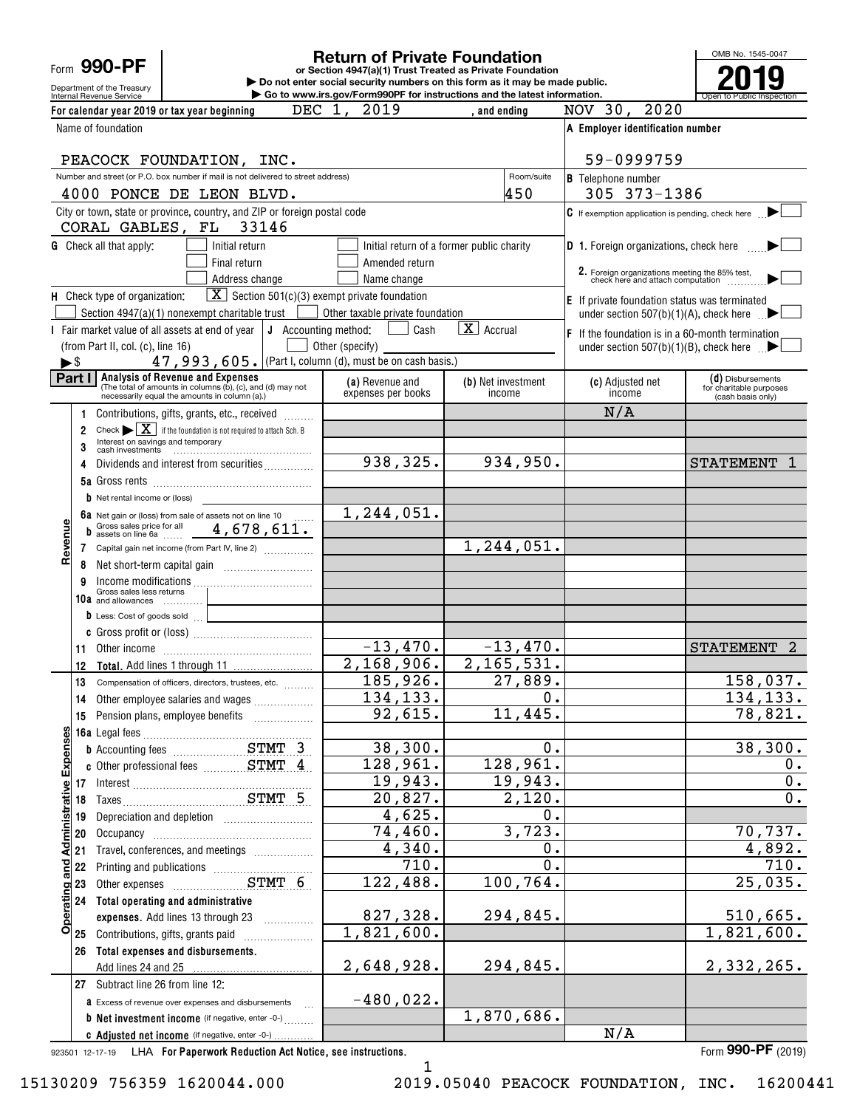Form **990-PF**

Department of the Treasury

#### **Return of Private Foundation**

**or Section 4947(a)(1) Trust Treated as Private Foundation | Do not enter social security numbers on this form as it may be made public. | Go to www.irs.gov/Form990PF for instructions and the latest information.**

OMB No. 1545-0047 Internal Revenue Service **Number 19th Construction Constructions and the latest information.** The Service of Public Inspection **2019**

| For calendar year 2019 or tax year beginning                                                                                                           | DEC 1, 2019                           | . and ending                              | NOV 30, 2020                                                                     |                                                                   |
|--------------------------------------------------------------------------------------------------------------------------------------------------------|---------------------------------------|-------------------------------------------|----------------------------------------------------------------------------------|-------------------------------------------------------------------|
| Name of foundation                                                                                                                                     |                                       |                                           | A Employer identification number                                                 |                                                                   |
| PEACOCK FOUNDATION, INC.                                                                                                                               |                                       |                                           | 59-0999759                                                                       |                                                                   |
| Number and street (or P.O. box number if mail is not delivered to street address)                                                                      |                                       | Room/suite                                | <b>B</b> Telephone number                                                        |                                                                   |
| 4000 PONCE DE LEON BLVD.                                                                                                                               |                                       | 450                                       | 305 373-1386                                                                     |                                                                   |
| City or town, state or province, country, and ZIP or foreign postal code<br>CORAL GABLES, FL 33146                                                     |                                       |                                           | C If exemption application is pending, check here                                |                                                                   |
| <b>G</b> Check all that apply:<br>Initial return                                                                                                       |                                       | Initial return of a former public charity | <b>D</b> 1. Foreign organizations, check here                                    |                                                                   |
| Final return                                                                                                                                           | Amended return                        |                                           |                                                                                  |                                                                   |
| Address change                                                                                                                                         | Name change                           |                                           | 2. Foreign organizations meeting the 85% test, check here and attach computation |                                                                   |
| $\boxed{\mathbf{X}}$ Section 501(c)(3) exempt private foundation<br>H Check type of organization:                                                      |                                       |                                           | E If private foundation status was terminated                                    |                                                                   |
| Section 4947(a)(1) nonexempt charitable trust                                                                                                          | Other taxable private foundation      |                                           | under section 507(b)(1)(A), check here $\Box$                                    |                                                                   |
| I Fair market value of all assets at end of year $\vert \mathbf{J} \vert$ Accounting method:                                                           | Cash                                  | $\overline{\mathbf{X}}$ Accrual           | $\mathsf F$ If the foundation is in a 60-month termination                       |                                                                   |
| (from Part II, col. (c), line 16)                                                                                                                      | Other (specify)                       |                                           | under section 507(b)(1)(B), check here $\blacksquare$                            |                                                                   |
| 47, 993, 605. (Part I, column (d), must be on cash basis.)<br>$\blacktriangleright$ \$                                                                 |                                       |                                           |                                                                                  |                                                                   |
| Part I Analysis of Revenue and Expenses<br>(The total of amounts in columns (b), (c), and (d) may not<br>necessarily equal the amounts in column (a).) | (a) Revenue and<br>expenses per books | (b) Net investment<br>income              | (c) Adjusted net<br>income                                                       | (d) Disbursements<br>for charitable purposes<br>(cash basis only) |
| Contributions, gifts, grants, etc., received                                                                                                           |                                       |                                           | N/A                                                                              |                                                                   |
| Check $\blacktriangleright \boxed{\mathbf{X}}$ if the foundation is not required to attach Sch. B<br>$\overline{2}$                                    |                                       |                                           |                                                                                  |                                                                   |
| Interest on savings and temporary<br>3                                                                                                                 |                                       |                                           |                                                                                  |                                                                   |
| Dividends and interest from securities<br>4                                                                                                            | 938,325.                              | 934,950.                                  |                                                                                  | STATEMENT 1                                                       |
|                                                                                                                                                        |                                       |                                           |                                                                                  |                                                                   |
| $\mathbf b$ Net rental income or (loss)                                                                                                                |                                       |                                           |                                                                                  |                                                                   |
| 6a Net gain or (loss) from sale of assets not on line 10<br>b Gross sales price for all 4, 678, 611.                                                   | 1,244,051.                            |                                           |                                                                                  |                                                                   |
| Revenue                                                                                                                                                |                                       | 1, 244, 051.                              |                                                                                  |                                                                   |
| 7 Capital gain net income (from Part IV, line 2)                                                                                                       |                                       |                                           |                                                                                  |                                                                   |
| 8                                                                                                                                                      |                                       |                                           |                                                                                  |                                                                   |
| Income modifications<br>Gross sales less returns<br>9                                                                                                  |                                       |                                           |                                                                                  |                                                                   |
| 10a and allowances<br>$\bullet$ Less: Cost of goods sold $\qquad \qquad \_$                                                                            |                                       |                                           |                                                                                  |                                                                   |
|                                                                                                                                                        |                                       |                                           |                                                                                  |                                                                   |
| 11                                                                                                                                                     | $-13,470.$                            | $-13,470.$                                |                                                                                  | STATEMENT 2                                                       |
| 12                                                                                                                                                     | 2,168,906.                            | 2, 165, 531.                              |                                                                                  |                                                                   |
| 13<br>Compensation of officers, directors, trustees, etc.                                                                                              | 185,926.                              | $\overline{27,889}$ .                     |                                                                                  | 158,037.                                                          |
| Other employee salaries and wages<br>14                                                                                                                | 134, 133.                             | 0.                                        |                                                                                  | 134, 133.                                                         |
| Pension plans, employee benefits<br>15                                                                                                                 | 92,615.                               | 11,445.                                   |                                                                                  | 78,821.                                                           |
|                                                                                                                                                        |                                       |                                           |                                                                                  |                                                                   |
|                                                                                                                                                        | 38,300.                               | 0.                                        |                                                                                  | 38,300.                                                           |
| Operating and Administrative Expenses                                                                                                                  | 128,961.                              | 128,961.                                  |                                                                                  | 0.                                                                |
|                                                                                                                                                        | 19,943.                               | 19,943.                                   |                                                                                  | $\mathbf 0$ .                                                     |
|                                                                                                                                                        | 20,827.                               | 2,120.                                    |                                                                                  | $\overline{0}$ .                                                  |
| Depreciation and depletion [11] Depreciation and depletion<br>19                                                                                       | 4,625.                                | 0.                                        |                                                                                  |                                                                   |
| 20                                                                                                                                                     | $\overline{74, 460}$ .                | 3,723.                                    |                                                                                  | 70,737.                                                           |
| Travel, conferences, and meetings<br>21                                                                                                                | 4,340.<br>710.                        | 0.<br>0.                                  |                                                                                  | 4,892.<br>710.                                                    |
| 22<br>Printing and publications <i>manufacture container</i>                                                                                           | 122,488.                              | 100,764.                                  |                                                                                  | 25,035.                                                           |
| 23<br>24                                                                                                                                               |                                       |                                           |                                                                                  |                                                                   |
| Total operating and administrative<br>expenses. Add lines 13 through 23                                                                                | 827,328.                              | 294,845.                                  |                                                                                  | 510,665.                                                          |
| Contributions, gifts, grants paid<br>25                                                                                                                | $\overline{1,821,600}$ .              |                                           |                                                                                  | 1,821,600.                                                        |
| Total expenses and disbursements.<br>26                                                                                                                |                                       |                                           |                                                                                  |                                                                   |
| Add lines 24 and 25                                                                                                                                    | 2,648,928.                            | 294,845.                                  |                                                                                  | 2,332,265.                                                        |
| 27 Subtract line 26 from line 12:                                                                                                                      |                                       |                                           |                                                                                  |                                                                   |
| <b>a</b> Excess of revenue over expenses and disbursements                                                                                             | $-480,022$ .                          |                                           |                                                                                  |                                                                   |
| <b>b</b> Net investment income (if negative, enter -0-)                                                                                                |                                       | 1,870,686.                                |                                                                                  |                                                                   |
| C Adjusted net income (if negative, enter -0-)                                                                                                         |                                       |                                           | N/A                                                                              |                                                                   |

923501 12-17-19 **For Paperwork Reduction Act Notice, see instructions.** LHA Form (2019)

**990-PF**

1

15130209 756359 1620044.000 2019.05040 PEACOCK FOUNDATION, INC. 16200441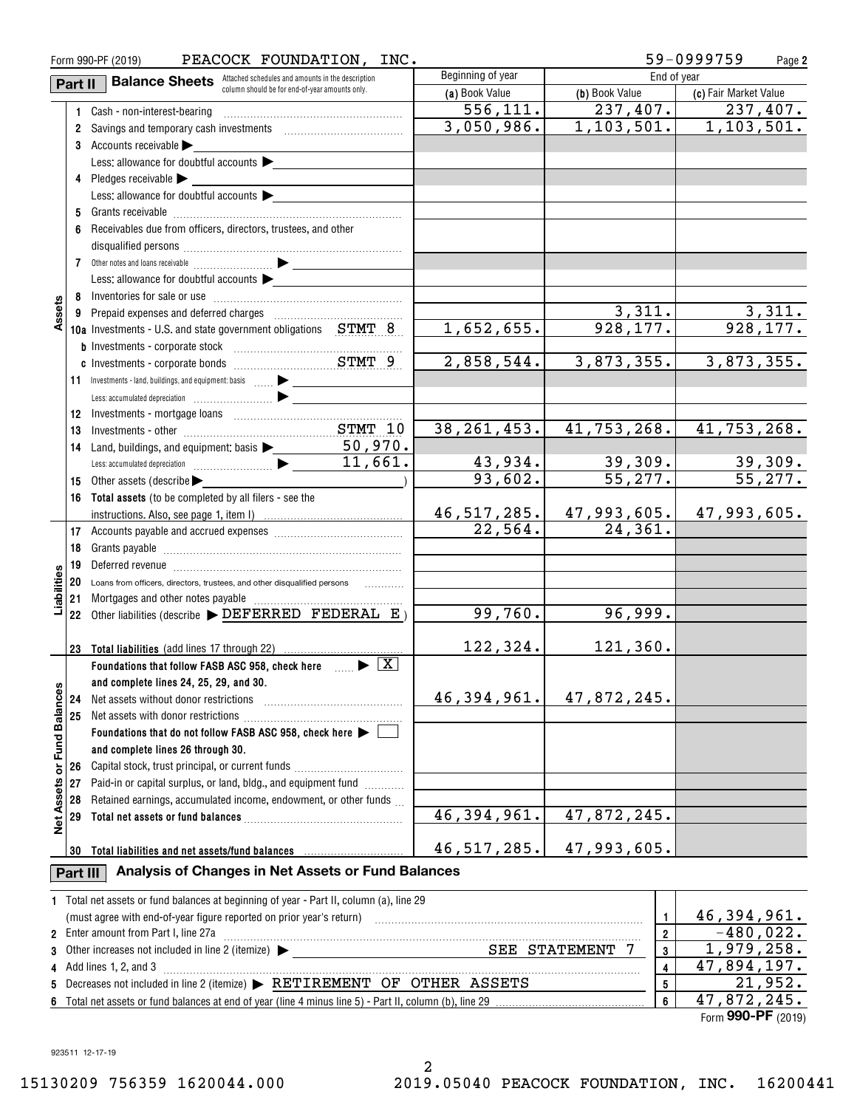| Form 990-PF (2019)<br>PEACOCK FOUNDATION, INC. |          |                                                                                                                                                                                                                                | 59-0999759<br>Page 2 |                |                           |
|------------------------------------------------|----------|--------------------------------------------------------------------------------------------------------------------------------------------------------------------------------------------------------------------------------|----------------------|----------------|---------------------------|
|                                                | Part II  | <b>Balance Sheets</b> Attached schedules and amounts in the description                                                                                                                                                        | Beginning of year    |                |                           |
|                                                |          | column should be for end-of-year amounts only.                                                                                                                                                                                 | (a) Book Value       | (b) Book Value | (c) Fair Market Value     |
|                                                |          | 1 Cash - non-interest-bearing                                                                                                                                                                                                  | 556, 111.            | 237,407.       | 237,407.                  |
|                                                |          |                                                                                                                                                                                                                                | 3,050,986.           | 1, 103, 501.   | 1, 103, 501.              |
|                                                |          | 3 Accounts receivable                                                                                                                                                                                                          |                      |                |                           |
|                                                |          | Less: allowance for doubtful accounts                                                                                                                                                                                          |                      |                |                           |
|                                                |          | 4 Pledges receivable                                                                                                                                                                                                           |                      |                |                           |
|                                                |          | Less: allowance for doubtful accounts                                                                                                                                                                                          |                      |                |                           |
|                                                |          |                                                                                                                                                                                                                                |                      |                |                           |
|                                                |          |                                                                                                                                                                                                                                |                      |                |                           |
|                                                |          | 6 Receivables due from officers, directors, trustees, and other                                                                                                                                                                |                      |                |                           |
|                                                |          |                                                                                                                                                                                                                                |                      |                |                           |
|                                                |          |                                                                                                                                                                                                                                |                      |                |                           |
|                                                |          | Less: allowance for doubtful accounts $\blacktriangleright$                                                                                                                                                                    |                      |                |                           |
|                                                |          |                                                                                                                                                                                                                                |                      |                |                           |
| Assets                                         |          |                                                                                                                                                                                                                                |                      | 3,311.         | 3,311.                    |
|                                                |          | <b>10a</b> Investments - U.S. and state government obligations $STMT$ 8                                                                                                                                                        | 1,652,655.           | 928, 177.      | 928, 177.                 |
|                                                |          |                                                                                                                                                                                                                                |                      |                |                           |
|                                                |          |                                                                                                                                                                                                                                | 2,858,544.           | 3,873,355.     | 3,873,355.                |
|                                                |          |                                                                                                                                                                                                                                |                      |                |                           |
|                                                |          |                                                                                                                                                                                                                                |                      |                |                           |
|                                                | 12       |                                                                                                                                                                                                                                |                      |                |                           |
|                                                | 13       |                                                                                                                                                                                                                                | 38, 261, 453.        | 41,753,268.    | 41, 753, 268.             |
|                                                | 14       | Land, buildings, and equipment: basis $\begin{array}{ c c c }\n\hline\n&50,970.\n\hline\n&44,664\n\end{array}$                                                                                                                 |                      |                |                           |
|                                                |          |                                                                                                                                                                                                                                | 43,934.              | 39,309.        | 39,309.                   |
|                                                | 15       | Other assets (describe                                                                                                                                                                                                         | 93,602.              | 55, 277.       | 55, 277.                  |
|                                                |          |                                                                                                                                                                                                                                |                      |                |                           |
|                                                | 16       | Total assets (to be completed by all filers - see the                                                                                                                                                                          | 46, 517, 285.        | 47,993,605.    | 47,993,605.               |
|                                                |          |                                                                                                                                                                                                                                | 22,564.              | 24,361.        |                           |
|                                                |          |                                                                                                                                                                                                                                |                      |                |                           |
|                                                | 18       |                                                                                                                                                                                                                                |                      |                |                           |
|                                                | 19       | Deferred revenue imminimum contracts and the contracts of the contracts of the contracts of the contracts of the contracts of the contracts of the contracts of the contracts of the contracts of the contracts of the contrac |                      |                |                           |
| Liabilities                                    | 20       | Loans from officers, directors, trustees, and other disqualified persons                                                                                                                                                       |                      |                |                           |
|                                                | 21       |                                                                                                                                                                                                                                |                      |                |                           |
|                                                |          | 22 Other liabilities (describe $\blacktriangleright$ DEFERRED FEDERAL E)                                                                                                                                                       | 99,760.              | 96,999.        |                           |
|                                                |          |                                                                                                                                                                                                                                |                      |                |                           |
|                                                | 23       | Total liabilities (add lines 17 through 22)                                                                                                                                                                                    | 122,324.             | 121,360.       |                           |
|                                                |          | Foundations that follow FASB ASC 958, check here $\Box$ $\blacktriangleright$ $\Box$                                                                                                                                           |                      |                |                           |
|                                                |          | and complete lines 24, 25, 29, and 30.                                                                                                                                                                                         |                      |                |                           |
|                                                | 24       | Net assets without donor restrictions                                                                                                                                                                                          | 46,394,961.          | 47,872,245.    |                           |
|                                                | 25       | Net assets with donor restrictions                                                                                                                                                                                             |                      |                |                           |
| or Fund Balances                               |          | Foundations that do not follow FASB ASC 958, check here >                                                                                                                                                                      |                      |                |                           |
|                                                |          | and complete lines 26 through 30.                                                                                                                                                                                              |                      |                |                           |
|                                                | 26       | Capital stock, trust principal, or current funds                                                                                                                                                                               |                      |                |                           |
|                                                | 27       | Paid-in or capital surplus, or land, bldg., and equipment fund                                                                                                                                                                 |                      |                |                           |
|                                                | 28       | Retained earnings, accumulated income, endowment, or other funds                                                                                                                                                               |                      |                |                           |
|                                                | 29       |                                                                                                                                                                                                                                | 46,394,961.          | 47,872,245.    |                           |
| <b>Net Assets</b>                              |          |                                                                                                                                                                                                                                |                      |                |                           |
|                                                |          | Total liabilities and net assets/fund balances                                                                                                                                                                                 | 46, 517, 285.        | 47,993,605.    |                           |
|                                                | 30       |                                                                                                                                                                                                                                |                      |                |                           |
|                                                | Part III | Analysis of Changes in Net Assets or Fund Balances                                                                                                                                                                             |                      |                |                           |
|                                                |          | 1 Total net assets or fund balances at beginning of year - Part II, column (a), line 29                                                                                                                                        |                      |                |                           |
|                                                |          | (must agree with end-of-year figure reported on prior year's return)                                                                                                                                                           |                      | $\mathbf{1}$   | 46,394,961.               |
|                                                |          | 2 Enter amount from Part I, line 27a                                                                                                                                                                                           |                      | $\overline{2}$ | $-480,022.$               |
|                                                |          |                                                                                                                                                                                                                                |                      | 3              | 1,979,258.                |
|                                                |          | 4 Add lines 1, 2, and 3                                                                                                                                                                                                        |                      | 4              | $\overline{47,894,197}$ . |
|                                                |          | 5 Decreases not included in line 2 (itemize) > RETIREMENT OF OTHER ASSETS                                                                                                                                                      |                      | 5              | 21,952.                   |
|                                                |          |                                                                                                                                                                                                                                |                      | 6              | 47,872,245.               |
|                                                |          |                                                                                                                                                                                                                                |                      |                |                           |

| Other increases not included in line 2 (itemize)<br>5 H.H.<br>STATEMENT                               | 258.      |
|-------------------------------------------------------------------------------------------------------|-----------|
| Add lines 1, 2, and 3                                                                                 | .894.197. |
| Example 2 (itemize) Denominon Terms of $\bullet$ Per $\bullet$ Theorem $\bullet$ Then $\bullet$ SSETS |           |
| Total net assets or fund balances at end of year (line 4 minus line 5) - Part II, column (b), line 29 | - 245.    |

Form (2019) **990-PF**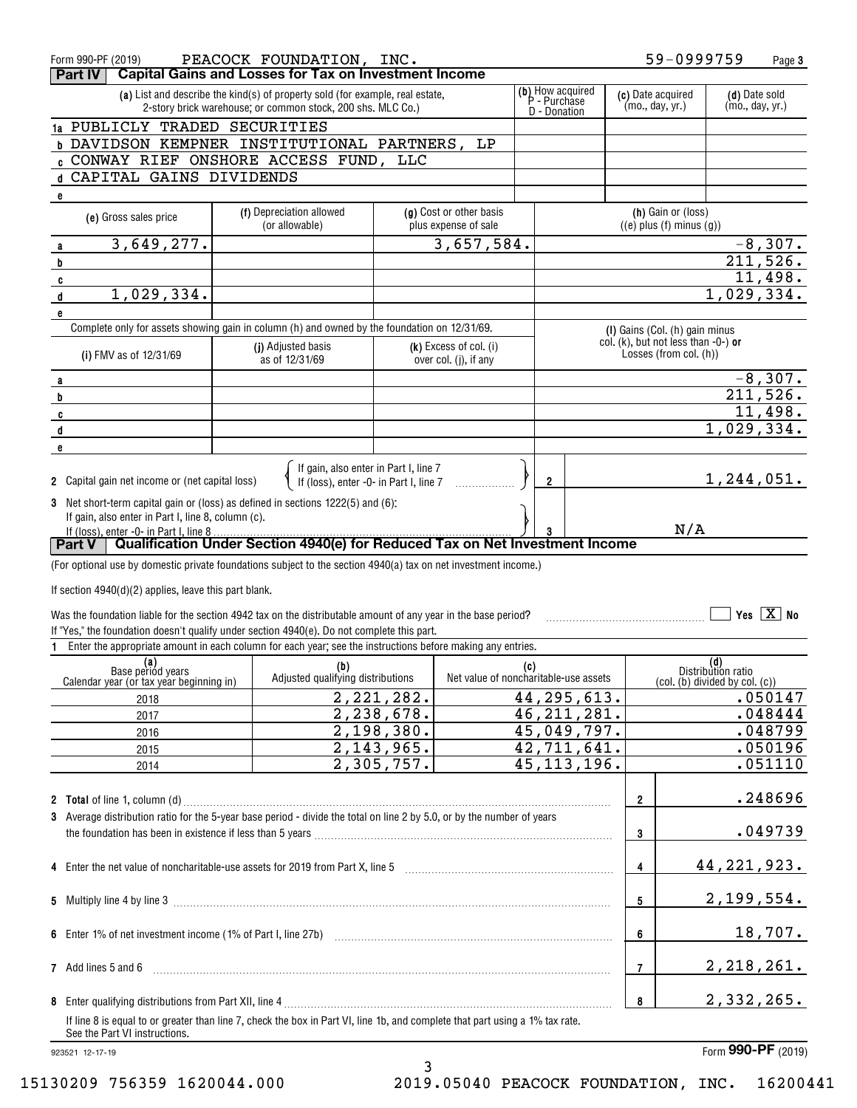| Form 990-PF (2019)<br>Part IV                                                                                   | PEACOCK FOUNDATION, INC.<br><b>Capital Gains and Losses for Tax on Investment Income</b>                                     |                            |                                                 |                |                                  |                   | 59-0999759                                                               |                           | Page 3                |
|-----------------------------------------------------------------------------------------------------------------|------------------------------------------------------------------------------------------------------------------------------|----------------------------|-------------------------------------------------|----------------|----------------------------------|-------------------|--------------------------------------------------------------------------|---------------------------|-----------------------|
|                                                                                                                 | (a) List and describe the kind(s) of property sold (for example, real estate,                                                |                            |                                                 |                | (b) How acquired<br>P - Purchase | (c) Date acquired |                                                                          | (d) Date sold             |                       |
|                                                                                                                 | 2-story brick warehouse; or common stock, 200 shs. MLC Co.)                                                                  |                            |                                                 |                | D - Donation                     | (mo., day, yr.)   |                                                                          | (mo., day, yr.)           |                       |
| 1a PUBLICLY TRADED SECURITIES<br>b DAVIDSON KEMPNER INSTITUTIONAL PARTNERS, LP                                  |                                                                                                                              |                            |                                                 |                |                                  |                   |                                                                          |                           |                       |
| : CONWAY RIEF ONSHORE ACCESS FUND, LLC                                                                          |                                                                                                                              |                            |                                                 |                |                                  |                   |                                                                          |                           |                       |
| d CAPITAL GAINS DIVIDENDS                                                                                       |                                                                                                                              |                            |                                                 |                |                                  |                   |                                                                          |                           |                       |
| e                                                                                                               |                                                                                                                              |                            |                                                 |                |                                  |                   |                                                                          |                           |                       |
| (e) Gross sales price                                                                                           | (f) Depreciation allowed<br>(or allowable)                                                                                   |                            | (g) Cost or other basis<br>plus expense of sale |                |                                  |                   | (h) Gain or (loss)<br>$((e)$ plus $(f)$ minus $(g)$ )                    |                           |                       |
| 3,649,277.<br>a                                                                                                 |                                                                                                                              |                            | 3,657,584.                                      |                |                                  |                   |                                                                          |                           | $-8,307.$             |
| b                                                                                                               |                                                                                                                              |                            |                                                 |                |                                  |                   |                                                                          |                           | 211,526.              |
| C                                                                                                               |                                                                                                                              |                            |                                                 |                |                                  |                   |                                                                          |                           | 11,498.               |
| 1,029,334.<br>d                                                                                                 |                                                                                                                              |                            |                                                 |                |                                  |                   |                                                                          | 1,029,334.                |                       |
| e                                                                                                               |                                                                                                                              |                            |                                                 |                |                                  |                   |                                                                          |                           |                       |
|                                                                                                                 | Complete only for assets showing gain in column (h) and owned by the foundation on 12/31/69.                                 |                            |                                                 |                |                                  |                   | (I) Gains (Col. (h) gain minus<br>col. $(k)$ , but not less than -0-) or |                           |                       |
| (i) FMV as of 12/31/69                                                                                          | (j) Adjusted basis<br>as of 12/31/69                                                                                         |                            | (k) Excess of col. (i)<br>over col. (j), if any |                |                                  |                   | Losses (from col. (h))                                                   |                           |                       |
|                                                                                                                 |                                                                                                                              |                            |                                                 |                |                                  |                   |                                                                          |                           | $-8,307.$             |
| a<br>b                                                                                                          |                                                                                                                              |                            |                                                 |                |                                  |                   |                                                                          |                           | 211,526.              |
| C                                                                                                               |                                                                                                                              |                            |                                                 |                |                                  |                   |                                                                          |                           | $\overline{11,498}$ . |
| d                                                                                                               |                                                                                                                              |                            |                                                 |                |                                  |                   |                                                                          | 1,029,334.                |                       |
| e                                                                                                               |                                                                                                                              |                            |                                                 |                |                                  |                   |                                                                          |                           |                       |
|                                                                                                                 |                                                                                                                              |                            |                                                 |                |                                  |                   |                                                                          |                           |                       |
| 2 Capital gain net income or (net capital loss)                                                                 | If gain, also enter in Part I, line 7<br>If (loss), enter -0- in Part I, line 7                                              |                            |                                                 | $\overline{2}$ |                                  |                   |                                                                          | 1,244,051.                |                       |
| 3 Net short-term capital gain or (loss) as defined in sections 1222(5) and (6):                                 |                                                                                                                              |                            |                                                 |                |                                  |                   |                                                                          |                           |                       |
| If gain, also enter in Part I, line 8, column (c).                                                              |                                                                                                                              |                            |                                                 |                |                                  |                   |                                                                          |                           |                       |
| If (loss), enter -0- in Part I, line 8<br><b>Part V</b>                                                         | Qualification Under Section 4940(e) for Reduced Tax on Net Investment Income                                                 |                            |                                                 |                |                                  |                   | N/A                                                                      |                           |                       |
|                                                                                                                 |                                                                                                                              |                            |                                                 |                |                                  |                   |                                                                          |                           |                       |
| (For optional use by domestic private foundations subject to the section 4940(a) tax on net investment income.) |                                                                                                                              |                            |                                                 |                |                                  |                   |                                                                          |                           |                       |
| If section 4940(d)(2) applies, leave this part blank.                                                           |                                                                                                                              |                            |                                                 |                |                                  |                   |                                                                          |                           |                       |
| Was the foundation liable for the section 4942 tax on the distributable amount of any year in the base period?  |                                                                                                                              |                            |                                                 |                |                                  |                   |                                                                          |                           | Yes $X$ No            |
| If "Yes," the foundation doesn't qualify under section 4940(e). Do not complete this part.                      |                                                                                                                              |                            |                                                 |                |                                  |                   |                                                                          |                           |                       |
| 1.                                                                                                              | Enter the appropriate amount in each column for each year; see the instructions before making any entries.                   |                            |                                                 |                |                                  |                   |                                                                          |                           |                       |
| (a)<br>Base period years                                                                                        | (b)                                                                                                                          |                            |                                                 | (c)            |                                  |                   |                                                                          | (d)<br>Distribution ratio |                       |
| Calendar year (or tax year beginning in)                                                                        | Adjusted qualifying distributions                                                                                            |                            | Net value of noncharitable-use assets           |                |                                  |                   | (col. (b) divided by col. (c))                                           |                           |                       |
| 2018                                                                                                            |                                                                                                                              | 2, 221, 282.               |                                                 |                | 44, 295, 613.                    |                   |                                                                          |                           | .050147               |
| 2017                                                                                                            |                                                                                                                              | 2,238,678.                 |                                                 |                | $\overline{46}$ , 211, 281.      |                   |                                                                          |                           | .048444               |
| 2016                                                                                                            |                                                                                                                              | 2,198,380.<br>2, 143, 965. |                                                 |                | 45,049,797.<br>42,711,641.       |                   |                                                                          |                           | .048799<br>.050196    |
| 2015                                                                                                            |                                                                                                                              | 2,305,757.                 |                                                 |                | 45, 113, 196.                    |                   |                                                                          |                           | .051110               |
| 2014                                                                                                            |                                                                                                                              |                            |                                                 |                |                                  |                   |                                                                          |                           |                       |
| <b>2</b> Total of line 1, column (d)                                                                            |                                                                                                                              |                            |                                                 |                |                                  |                   |                                                                          |                           | .248696               |
|                                                                                                                 |                                                                                                                              |                            |                                                 |                |                                  |                   |                                                                          |                           |                       |
|                                                                                                                 |                                                                                                                              |                            |                                                 |                |                                  | $\overline{2}$    |                                                                          |                           |                       |
|                                                                                                                 | 3 Average distribution ratio for the 5-year base period - divide the total on line 2 by 5.0, or by the number of years       |                            |                                                 |                |                                  |                   |                                                                          |                           |                       |
|                                                                                                                 |                                                                                                                              |                            |                                                 |                |                                  | 3                 |                                                                          |                           | .049739               |
|                                                                                                                 |                                                                                                                              |                            |                                                 |                |                                  | 4                 |                                                                          | 44,221,923.               |                       |
|                                                                                                                 |                                                                                                                              |                            |                                                 |                |                                  |                   |                                                                          |                           |                       |
|                                                                                                                 |                                                                                                                              |                            |                                                 |                |                                  | 5                 |                                                                          | 2,199,554.                |                       |
|                                                                                                                 |                                                                                                                              |                            |                                                 |                |                                  |                   |                                                                          |                           |                       |
|                                                                                                                 |                                                                                                                              |                            |                                                 |                |                                  | 6                 |                                                                          |                           | 18,707.               |
|                                                                                                                 |                                                                                                                              |                            |                                                 |                |                                  |                   |                                                                          |                           |                       |
| 7 Add lines 5 and 6                                                                                             |                                                                                                                              |                            |                                                 |                |                                  | 7                 |                                                                          | 2, 218, 261.              |                       |
|                                                                                                                 |                                                                                                                              |                            |                                                 |                |                                  |                   |                                                                          |                           |                       |
|                                                                                                                 |                                                                                                                              |                            |                                                 |                |                                  | 8                 |                                                                          | 2,332,265.                |                       |
| See the Part VI instructions.                                                                                   | If line 8 is equal to or greater than line 7, check the box in Part VI, line 1b, and complete that part using a 1% tax rate. |                            |                                                 |                |                                  |                   |                                                                          |                           |                       |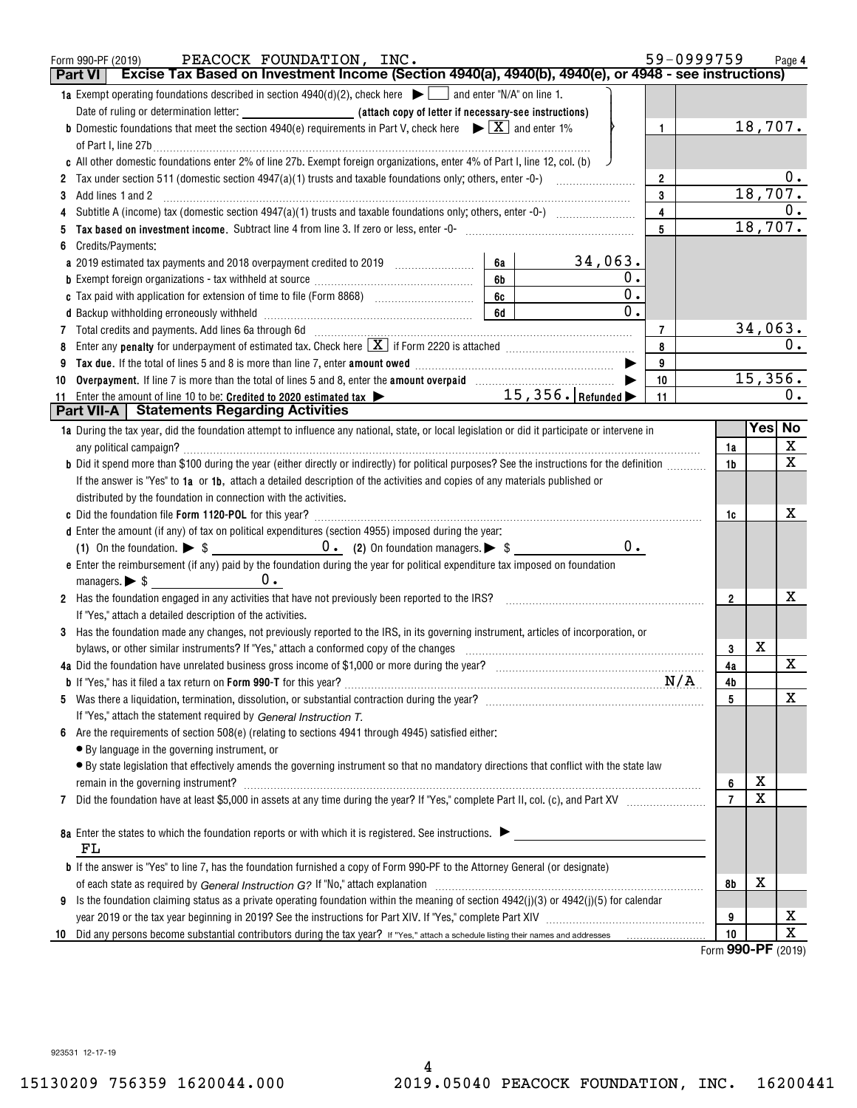| Form 990-PF (2019)<br>Part VI | PEACOCK FOUNDATION, INC.<br>Excise Tax Based on Investment Income (Section 4940(a), 4940(b), 4940(e), or 4948 - see instructions)                                                                                                                                                                         |          |                  |                | 59-0999759     |                  | Page 4           |
|-------------------------------|-----------------------------------------------------------------------------------------------------------------------------------------------------------------------------------------------------------------------------------------------------------------------------------------------------------|----------|------------------|----------------|----------------|------------------|------------------|
|                               | <b>1a</b> Exempt operating foundations described in section $4940(d)(2)$ , check here $\Box$ and enter "N/A" on line 1.                                                                                                                                                                                   |          |                  |                |                |                  |                  |
|                               | Date of ruling or determination letter: <b>All entity of the Case of Letter if necessary-see instructions</b> )                                                                                                                                                                                           |          |                  |                |                |                  |                  |
|                               | <b>b</b> Domestic foundations that meet the section 4940(e) requirements in Part V, check here $\blacktriangleright \boxed{X}$ and enter 1%                                                                                                                                                               |          |                  | $\mathbf{1}$   |                | 18,707.          |                  |
|                               | of Part I, line 27b $\ldots$                                                                                                                                                                                                                                                                              |          |                  |                |                |                  |                  |
|                               | c All other domestic foundations enter 2% of line 27b. Exempt foreign organizations, enter 4% of Part I, line 12, col. (b)                                                                                                                                                                                |          |                  |                |                |                  |                  |
|                               | Tax under section 511 (domestic section 4947(a)(1) trusts and taxable foundations only; others, enter -0-) <i>mmmmmm</i>                                                                                                                                                                                  |          |                  | $\overline{2}$ |                |                  | 0.               |
|                               |                                                                                                                                                                                                                                                                                                           |          |                  | 3              |                | 18,707.          |                  |
|                               |                                                                                                                                                                                                                                                                                                           |          |                  | $\overline{4}$ |                |                  | 0.               |
|                               |                                                                                                                                                                                                                                                                                                           |          |                  | 5              |                | 18,707.          |                  |
|                               | Credits/Payments:                                                                                                                                                                                                                                                                                         |          |                  |                |                |                  |                  |
|                               | a 2019 estimated tax payments and 2018 overpayment credited to 2019 [11, 12, 13, 13, 13, 13, 13, 13, 13, 13, 1                                                                                                                                                                                            | 6а<br>6b | 34,063.<br>0.    |                |                |                  |                  |
|                               |                                                                                                                                                                                                                                                                                                           | $6c$     | $\overline{0}$ . |                |                |                  |                  |
|                               |                                                                                                                                                                                                                                                                                                           | 6d       | 0.               |                |                |                  |                  |
|                               |                                                                                                                                                                                                                                                                                                           |          |                  | $\overline{7}$ |                | 34,063.          |                  |
|                               | Enter any <b>penalty</b> for underpayment of estimated tax. Check here $\boxed{\mathbf{X}}$ if Form 2220 is attached <i>manumumumum</i>                                                                                                                                                                   |          |                  | 8              |                |                  | $\overline{0}$ . |
| 9                             | Tax due. If the total of lines 5 and 8 is more than line 7, enter amount owed <i>manumerand communicanous</i>                                                                                                                                                                                             |          |                  | 9              |                |                  |                  |
| 10                            |                                                                                                                                                                                                                                                                                                           |          |                  | 10             |                | 15,356.          |                  |
|                               | 11 Enter the amount of line 10 to be: Credited to 2020 estimated tax $\triangleright$ 15, 356. Refunded $\triangleright$                                                                                                                                                                                  |          |                  | 11             |                |                  | $0$ .            |
|                               | <b>Part VII-A</b>   Statements Regarding Activities                                                                                                                                                                                                                                                       |          |                  |                |                |                  |                  |
|                               | 1a During the tax year, did the foundation attempt to influence any national, state, or local legislation or did it participate or intervene in                                                                                                                                                           |          |                  |                |                |                  | Yes No           |
|                               |                                                                                                                                                                                                                                                                                                           |          |                  |                | 1a             |                  | X                |
|                               | b Did it spend more than \$100 during the year (either directly or indirectly) for political purposes? See the instructions for the definition                                                                                                                                                            |          |                  |                | 1b             |                  | X                |
|                               | If the answer is "Yes" to 1a or 1b, attach a detailed description of the activities and copies of any materials published or                                                                                                                                                                              |          |                  |                |                |                  |                  |
|                               | distributed by the foundation in connection with the activities.                                                                                                                                                                                                                                          |          |                  |                |                |                  |                  |
|                               |                                                                                                                                                                                                                                                                                                           |          |                  |                | 1c             |                  | х                |
|                               | d Enter the amount (if any) of tax on political expenditures (section 4955) imposed during the year:                                                                                                                                                                                                      |          |                  |                |                |                  |                  |
|                               |                                                                                                                                                                                                                                                                                                           |          | $0$ .            |                |                |                  |                  |
|                               | e Enter the reimbursement (if any) paid by the foundation during the year for political expenditure tax imposed on foundation                                                                                                                                                                             |          |                  |                |                |                  |                  |
|                               |                                                                                                                                                                                                                                                                                                           |          |                  |                |                |                  |                  |
|                               | 2 Has the foundation engaged in any activities that have not previously been reported to the IRS?                                                                                                                                                                                                         |          |                  |                | $\overline{2}$ |                  | х                |
|                               | If "Yes," attach a detailed description of the activities.                                                                                                                                                                                                                                                |          |                  |                |                |                  |                  |
|                               | 3 Has the foundation made any changes, not previously reported to the IRS, in its governing instrument, articles of incorporation, or                                                                                                                                                                     |          |                  |                |                | X                |                  |
|                               | bylaws, or other similar instruments? If "Yes," attach a conformed copy of the changes<br>4a Did the foundation have unrelated business gross income of \$1,000 or more during the year?<br>1997 The series with the series with the series with the series with the series with the series with the seri |          |                  |                | 3<br>4a        |                  | X                |
|                               |                                                                                                                                                                                                                                                                                                           |          |                  |                | 4b             |                  |                  |
| 5.                            |                                                                                                                                                                                                                                                                                                           |          |                  |                | 5              |                  | X                |
|                               | If "Yes," attach the statement required by General Instruction T.                                                                                                                                                                                                                                         |          |                  |                |                |                  |                  |
| 6                             | Are the requirements of section 508(e) (relating to sections 4941 through 4945) satisfied either:                                                                                                                                                                                                         |          |                  |                |                |                  |                  |
|                               | • By language in the governing instrument, or                                                                                                                                                                                                                                                             |          |                  |                |                |                  |                  |
|                               | · By state legislation that effectively amends the governing instrument so that no mandatory directions that conflict with the state law                                                                                                                                                                  |          |                  |                |                |                  |                  |
|                               |                                                                                                                                                                                                                                                                                                           |          |                  |                | 6              | х                |                  |
| 7                             |                                                                                                                                                                                                                                                                                                           |          |                  |                | $\overline{7}$ | X                |                  |
|                               |                                                                                                                                                                                                                                                                                                           |          |                  |                |                |                  |                  |
|                               | 8a Enter the states to which the foundation reports or with which it is registered. See instructions.                                                                                                                                                                                                     |          |                  |                |                |                  |                  |
| FL                            |                                                                                                                                                                                                                                                                                                           |          |                  |                |                |                  |                  |
|                               | <b>b</b> If the answer is "Yes" to line 7, has the foundation furnished a copy of Form 990-PF to the Attorney General (or designate)                                                                                                                                                                      |          |                  |                |                |                  |                  |
|                               |                                                                                                                                                                                                                                                                                                           |          |                  |                | 8b             | х                |                  |
| 9                             | Is the foundation claiming status as a private operating foundation within the meaning of section $4942(j)(3)$ or $4942(j)(5)$ for calendar                                                                                                                                                               |          |                  |                |                |                  |                  |
|                               |                                                                                                                                                                                                                                                                                                           |          |                  |                | 9              |                  | х                |
| 10                            |                                                                                                                                                                                                                                                                                                           |          |                  |                | 10             | 000 <sub>0</sub> | $\mathbf X$      |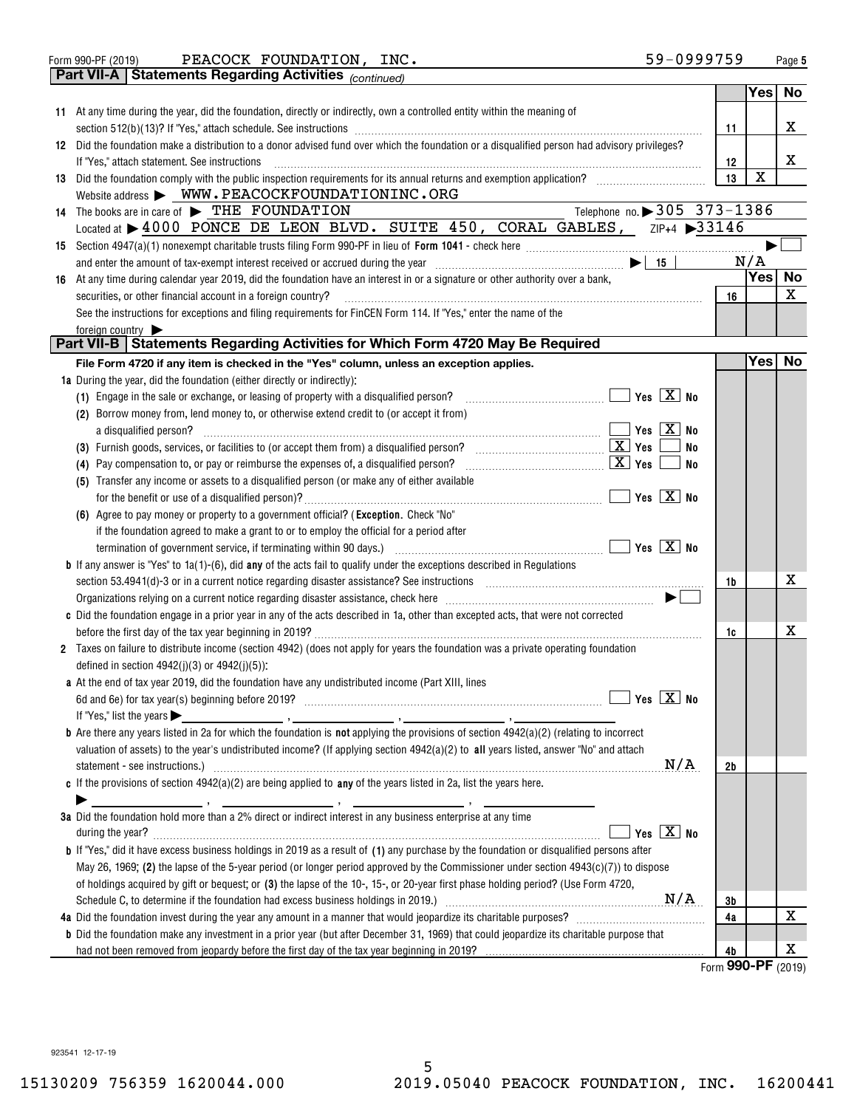| Form 990-PF (2019) |  |
|--------------------|--|

Form 990-PF (2019)  $\bf PEACOCK$   $\bf FOUNDATION$  ,  $\bf INC.$   $\bf 9999-0999759$   $\bf 9999759$ PEACOCK FOUNDATION, INC. 59-0999759

**Part VII-A Statements Regarding Activities** 

| <b>Part VII-A</b>   Statements Regarding Activities $_{(continued)}$                                                                                                                             |            |        |           |
|--------------------------------------------------------------------------------------------------------------------------------------------------------------------------------------------------|------------|--------|-----------|
|                                                                                                                                                                                                  |            | Yes    | No        |
| 11 At any time during the year, did the foundation, directly or indirectly, own a controlled entity within the meaning of                                                                        |            |        |           |
|                                                                                                                                                                                                  | 11         |        | X         |
| 12 Did the foundation make a distribution to a donor advised fund over which the foundation or a disqualified person had advisory privileges?                                                    |            |        |           |
| If "Yes," attach statement. See instructions                                                                                                                                                     | 12         |        | X         |
| 13 Did the foundation comply with the public inspection requirements for its annual returns and exemption application?                                                                           | 13         | X      |           |
| Website address > WWW.PEACOCKFOUNDATIONINC.ORG                                                                                                                                                   |            |        |           |
| Telephone no. > 305 373-1386<br>14 The books are in care of FUHE FOUNDATION                                                                                                                      |            |        |           |
| Located at $\triangleright$ 4000 PONCE DE LEON BLVD. SUITE 450, CORAL GABLES, $\overline{z}$ [P+4 $\triangleright$ 33146                                                                         |            |        |           |
|                                                                                                                                                                                                  |            |        |           |
|                                                                                                                                                                                                  |            | N/A    |           |
| 16 At any time during calendar year 2019, did the foundation have an interest in or a signature or other authority over a bank,                                                                  |            | Yes    | <b>No</b> |
| securities, or other financial account in a foreign country?                                                                                                                                     | 16         |        | x         |
| See the instructions for exceptions and filing requirements for FinCEN Form 114. If "Yes," enter the name of the                                                                                 |            |        |           |
| foreign country $\blacktriangleright$                                                                                                                                                            |            |        |           |
| Part VII-B Statements Regarding Activities for Which Form 4720 May Be Required                                                                                                                   |            |        |           |
| File Form 4720 if any item is checked in the "Yes" column, unless an exception applies.                                                                                                          |            | Yes No |           |
| 1a During the year, did the foundation (either directly or indirectly):                                                                                                                          |            |        |           |
| (1) Engage in the sale or exchange, or leasing of property with a disqualified person?                                                                                                           |            |        |           |
| (2) Borrow money from, lend money to, or otherwise extend credit to (or accept it from)                                                                                                          |            |        |           |
| a disqualified person?                                                                                                                                                                           |            |        |           |
| No                                                                                                                                                                                               |            |        |           |
| (4) Pay compensation to, or pay or reimburse the expenses of, a disqualified person?                                                                                                             |            |        |           |
| (5) Transfer any income or assets to a disqualified person (or make any of either available                                                                                                      |            |        |           |
|                                                                                                                                                                                                  |            |        |           |
| (6) Agree to pay money or property to a government official? (Exception. Check "No"                                                                                                              |            |        |           |
| if the foundation agreed to make a grant to or to employ the official for a period after                                                                                                         |            |        |           |
|                                                                                                                                                                                                  |            |        |           |
| <b>b</b> If any answer is "Yes" to $1a(1)-(6)$ , did any of the acts fail to qualify under the exceptions described in Regulations                                                               |            |        |           |
| section 53.4941(d)-3 or in a current notice regarding disaster assistance? See instructions [11,111] section 53.4941(d)-3 or in a current notice regarding disaster assistance? See instructions | 1b         |        | х         |
|                                                                                                                                                                                                  |            |        |           |
| c Did the foundation engage in a prior year in any of the acts described in 1a, other than excepted acts, that were not corrected                                                                |            |        |           |
|                                                                                                                                                                                                  | 1c         |        | х         |
| 2 Taxes on failure to distribute income (section 4942) (does not apply for years the foundation was a private operating foundation                                                               |            |        |           |
| defined in section $4942(j)(3)$ or $4942(j)(5)$ :                                                                                                                                                |            |        |           |
| a At the end of tax year 2019, did the foundation have any undistributed income (Part XIII, lines<br>Yes $X$ No                                                                                  |            |        |           |
| 6d and 6e) for tax year(s) beginning before 2019?<br>If "Yes," list the years $\blacktriangleright$                                                                                              |            |        |           |
| $\mathbf b$ Are there any years listed in 2a for which the foundation is not applying the provisions of section 4942(a)(2) (relating to incorrect                                                |            |        |           |
| valuation of assets) to the year's undistributed income? (If applying section $4942(a)(2)$ to all years listed, answer "No" and attach                                                           |            |        |           |
| N/A                                                                                                                                                                                              | 2b         |        |           |
| c If the provisions of section $4942(a)(2)$ are being applied to any of the years listed in 2a, list the years here.                                                                             |            |        |           |
|                                                                                                                                                                                                  |            |        |           |
| 3a Did the foundation hold more than a 2% direct or indirect interest in any business enterprise at any time                                                                                     |            |        |           |
| Yes $\boxed{\text{X}}$ No                                                                                                                                                                        |            |        |           |
| <b>b</b> If "Yes," did it have excess business holdings in 2019 as a result of (1) any purchase by the foundation or disqualified persons after                                                  |            |        |           |
| May 26, 1969; (2) the lapse of the 5-year period (or longer period approved by the Commissioner under section $4943(c)(7)$ ) to dispose                                                          |            |        |           |
| of holdings acquired by gift or bequest; or (3) the lapse of the 10-, 15-, or 20-year first phase holding period? (Use Form 4720,                                                                |            |        |           |
|                                                                                                                                                                                                  | 3b         |        |           |
|                                                                                                                                                                                                  | 4a         |        | х         |
| <b>b</b> Did the foundation make any investment in a prior year (but after December 31, 1969) that could jeopardize its charitable purpose that                                                  |            |        |           |
| had not been removed from jeopardy before the first day of the tax year beginning in 2019?                                                                                                       | 4b         |        | х         |
|                                                                                                                                                                                                  | <b>OOO</b> | nЕ     |           |

Form (2019) **990-PF**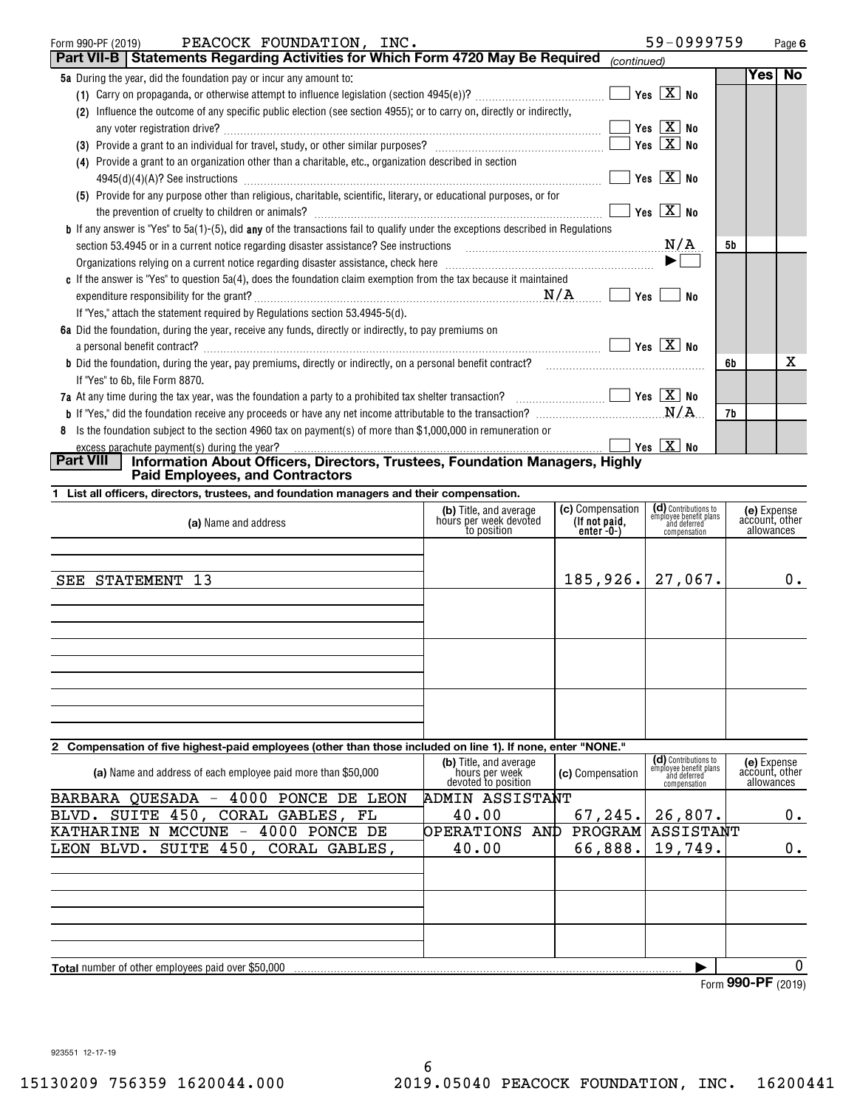| PEACOCK FOUNDATION, INC.<br>Form 990-PF (2019)                                                                                                                                                                                      |                                                  |                                   | 59-0999759                                                     |           | Page 6                        |
|-------------------------------------------------------------------------------------------------------------------------------------------------------------------------------------------------------------------------------------|--------------------------------------------------|-----------------------------------|----------------------------------------------------------------|-----------|-------------------------------|
| Part VII-B   Statements Regarding Activities for Which Form 4720 May Be Required                                                                                                                                                    |                                                  | (continued)                       |                                                                |           |                               |
| 5a During the year, did the foundation pay or incur any amount to:                                                                                                                                                                  |                                                  |                                   |                                                                |           | Yes No                        |
|                                                                                                                                                                                                                                     |                                                  |                                   |                                                                |           |                               |
| (2) Influence the outcome of any specific public election (see section 4955); or to carry on, directly or indirectly,                                                                                                               |                                                  |                                   |                                                                |           |                               |
|                                                                                                                                                                                                                                     |                                                  |                                   | $Yes \quad X \quad No$                                         |           |                               |
|                                                                                                                                                                                                                                     |                                                  |                                   |                                                                |           |                               |
| (4) Provide a grant to an organization other than a charitable, etc., organization described in section                                                                                                                             |                                                  |                                   |                                                                |           |                               |
| 4945(d)(4)(A)? See instructions $\frac{1}{2}$ No                                                                                                                                                                                    |                                                  |                                   |                                                                |           |                               |
| (5) Provide for any purpose other than religious, charitable, scientific, literary, or educational purposes, or for                                                                                                                 |                                                  |                                   |                                                                |           |                               |
|                                                                                                                                                                                                                                     |                                                  |                                   | Yes $\boxed{\text{X}}$ No                                      |           |                               |
| <b>b</b> If any answer is "Yes" to $5a(1)$ -(5), did any of the transactions fail to qualify under the exceptions described in Regulations                                                                                          |                                                  |                                   |                                                                |           |                               |
| section 53.4945 or in a current notice regarding disaster assistance? See instructions $M/A$                                                                                                                                        |                                                  |                                   |                                                                | <b>5b</b> |                               |
| Organizations relying on a current notice regarding disaster assistance, check here <i>manual content of the content of the content</i> of the content of the content of the content of the content of the content of the content o |                                                  |                                   |                                                                |           |                               |
| c If the answer is "Yes" to question 5a(4), does the foundation claim exemption from the tax because it maintained                                                                                                                  |                                                  |                                   |                                                                |           |                               |
|                                                                                                                                                                                                                                     |                                                  |                                   | No                                                             |           |                               |
| If "Yes," attach the statement required by Regulations section 53.4945-5(d).                                                                                                                                                        |                                                  |                                   |                                                                |           |                               |
| 6a Did the foundation, during the year, receive any funds, directly or indirectly, to pay premiums on                                                                                                                               |                                                  |                                   |                                                                |           |                               |
| a personal benefit contract? $\ldots$ No                                                                                                                                                                                            |                                                  |                                   |                                                                |           |                               |
| <b>b</b> Did the foundation, during the year, pay premiums, directly or indirectly, on a personal benefit contract?                                                                                                                 |                                                  |                                   |                                                                | 6b        | x                             |
| If "Yes" to 6b, file Form 8870.                                                                                                                                                                                                     |                                                  |                                   |                                                                |           |                               |
| 7a At any time during the tax year, was the foundation a party to a prohibited tax shelter transaction? $\Box$ $\Box$ Yes $\Box X$ No                                                                                               |                                                  |                                   |                                                                |           |                               |
|                                                                                                                                                                                                                                     |                                                  |                                   |                                                                | 7b        |                               |
| 8 Is the foundation subject to the section 4960 tax on payment(s) of more than \$1,000,000 in remuneration or                                                                                                                       |                                                  |                                   |                                                                |           |                               |
| excess parachute payment(s) during the year?                                                                                                                                                                                        |                                                  |                                   |                                                                |           |                               |
| <b>Part VIII</b><br>Information About Officers, Directors, Trustees, Foundation Managers, Highly                                                                                                                                    |                                                  |                                   |                                                                |           |                               |
| <b>Paid Employees, and Contractors</b>                                                                                                                                                                                              |                                                  |                                   |                                                                |           |                               |
| 1 List all officers, directors, trustees, and foundation managers and their compensation.                                                                                                                                           |                                                  |                                   |                                                                |           |                               |
| (a) Name and address                                                                                                                                                                                                                | (b) Title, and average<br>hours per week devoted | (c) Compensation<br>(If not paid, | (d) Contributions to<br>employee benefit plans<br>and deferred |           | (e) Expense<br>account, other |
|                                                                                                                                                                                                                                     | to position                                      | $enter -0-$                       | compensation                                                   |           | allowances                    |
|                                                                                                                                                                                                                                     |                                                  |                                   |                                                                |           |                               |
|                                                                                                                                                                                                                                     |                                                  |                                   |                                                                |           |                               |
| SEE STATEMENT 13                                                                                                                                                                                                                    |                                                  | $185,926.$ 27,067.                |                                                                |           | 0.                            |

## **2 Compensation of five highest-paid employees (other than those included on line 1). If none, enter "NONE."**

| (a) Name and address of each employee paid more than \$50,000 | (b) Title, and average<br>hours per week<br>devoted to position | (c) Compensation | (d) Contributions to<br>employee benefit plans<br>and deferred<br>compensation | (e) Expense<br>account, other<br>allowances   |  |
|---------------------------------------------------------------|-----------------------------------------------------------------|------------------|--------------------------------------------------------------------------------|-----------------------------------------------|--|
| BARBARA QUESADA<br>4000<br>PONCE<br>DE LEON                   | ADMIN ASSISTANT                                                 |                  |                                                                                |                                               |  |
| SUITE 450,<br>CORAL<br>GABLES, FL<br>BLVD.                    | 40.00                                                           | 67, 245.         | 26,807.                                                                        | 0.                                            |  |
| 4000<br>MCCUNE<br>PONCE DE<br><b>KATHARINE</b><br>N           | <b>OPERATIONS</b><br>AND                                        |                  | <b>PROGRAM ASSISTANT</b>                                                       |                                               |  |
| SUITE 450,<br>CORAL GABLES,<br>LEON BLVD.                     | 40.00                                                           | 66,888.          | 19,749.                                                                        | 0.                                            |  |
|                                                               |                                                                 |                  |                                                                                |                                               |  |
|                                                               |                                                                 |                  |                                                                                |                                               |  |
|                                                               |                                                                 |                  |                                                                                |                                               |  |
|                                                               |                                                                 |                  |                                                                                |                                               |  |
|                                                               |                                                                 |                  |                                                                                |                                               |  |
|                                                               |                                                                 |                  |                                                                                |                                               |  |
| <b>Total</b> number of other employees paid over \$50,000     |                                                                 |                  |                                                                                |                                               |  |
|                                                               |                                                                 |                  |                                                                                | $0.00 \text{ } \text{D} \text{ }$<br>$\cdots$ |  |

Form (2019) **990-PF**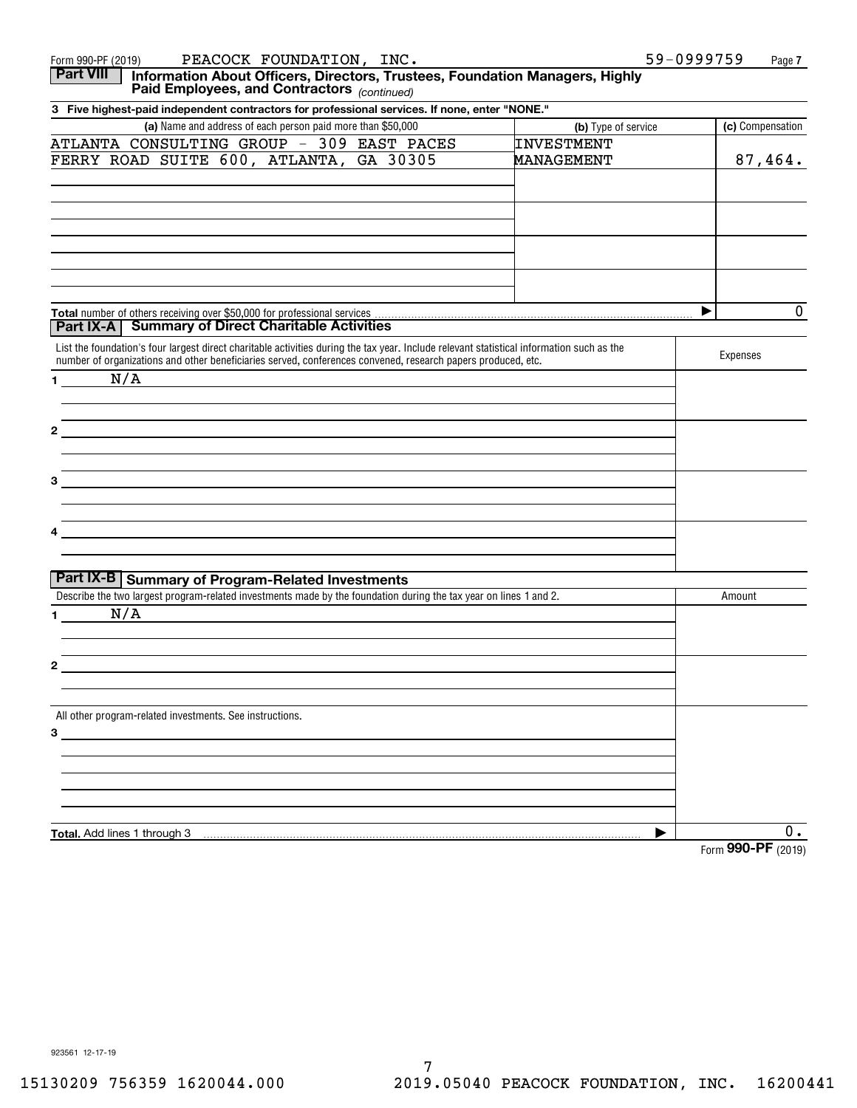| PEACOCK FOUNDATION, INC.<br>Form 990-PF (2019)                                                                                                                                                                                                            | 59-0999759<br>Page 7                    |
|-----------------------------------------------------------------------------------------------------------------------------------------------------------------------------------------------------------------------------------------------------------|-----------------------------------------|
| <b>Part VIII</b><br>Information About Officers, Directors, Trustees, Foundation Managers, Highly<br>Paid Employees, and Contractors (continued)                                                                                                           |                                         |
| 3 Five highest-paid independent contractors for professional services. If none, enter "NONE."                                                                                                                                                             |                                         |
| (a) Name and address of each person paid more than \$50,000                                                                                                                                                                                               | (c) Compensation<br>(b) Type of service |
| ATLANTA CONSULTING GROUP - 309 EAST PACES<br><b>INVESTMENT</b>                                                                                                                                                                                            |                                         |
| FERRY ROAD SUITE 600, ATLANTA, GA 30305<br>MANAGEMENT                                                                                                                                                                                                     | 87,464.                                 |
|                                                                                                                                                                                                                                                           |                                         |
|                                                                                                                                                                                                                                                           |                                         |
|                                                                                                                                                                                                                                                           | $\mathbf 0$<br>▶                        |
| Part IX-A   Summary of Direct Charitable Activities                                                                                                                                                                                                       |                                         |
| List the foundation's four largest direct charitable activities during the tax year. Include relevant statistical information such as the<br>number of organizations and other beneficiaries served, conferences convened, research papers produced, etc. | Expenses                                |
| N/A<br>$1 - 1$                                                                                                                                                                                                                                            |                                         |
|                                                                                                                                                                                                                                                           |                                         |
|                                                                                                                                                                                                                                                           |                                         |
| 3                                                                                                                                                                                                                                                         |                                         |
| the control of the control of the control of the control of the control of the control of the control of the control of                                                                                                                                   |                                         |
| Part IX-B Summary of Program-Related Investments                                                                                                                                                                                                          |                                         |
| Describe the two largest program-related investments made by the foundation during the tax year on lines 1 and 2.                                                                                                                                         | Amount                                  |
| N/A<br>$\mathbf 1$                                                                                                                                                                                                                                        |                                         |
|                                                                                                                                                                                                                                                           |                                         |
| All other program-related investments. See instructions.                                                                                                                                                                                                  |                                         |
| $3 \qquad \qquad$                                                                                                                                                                                                                                         |                                         |
|                                                                                                                                                                                                                                                           |                                         |
|                                                                                                                                                                                                                                                           |                                         |
| Total. Add lines 1 through 3                                                                                                                                                                                                                              | $0$ .<br>▶<br>Form 990-PF (2019)        |
|                                                                                                                                                                                                                                                           |                                         |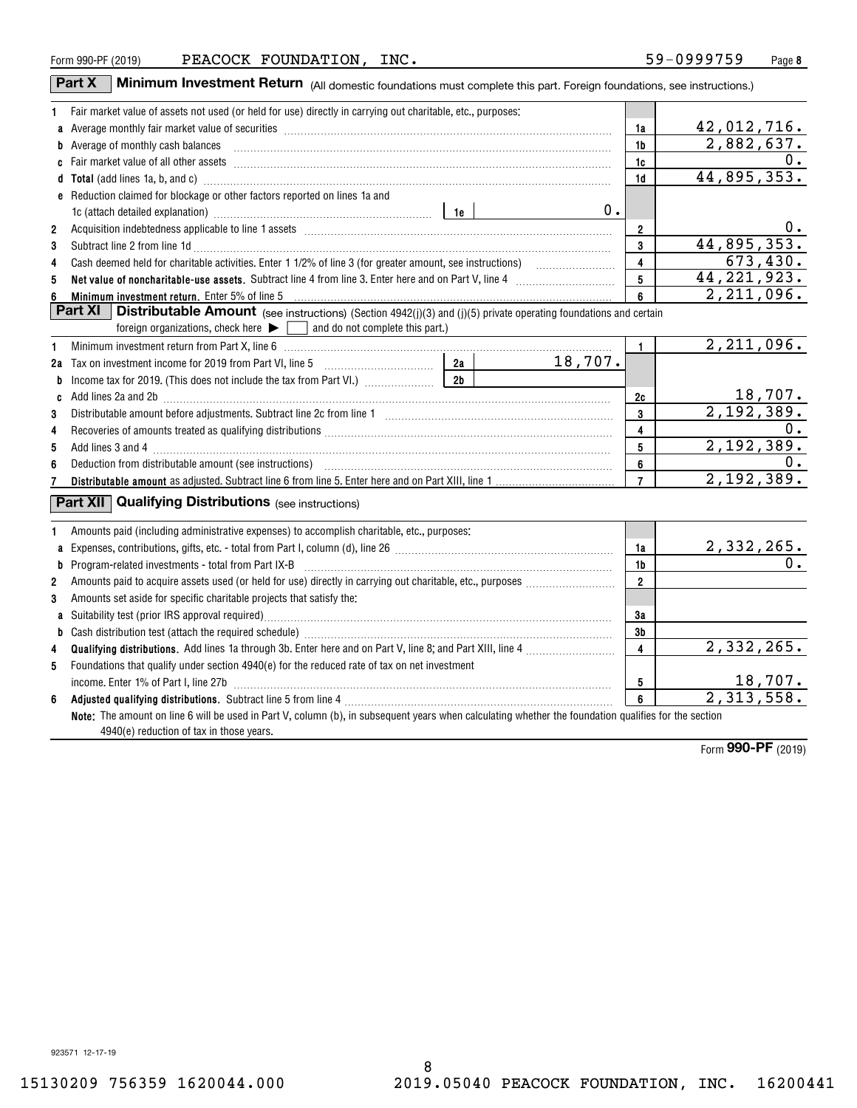| Form 990-PF (2019 |  |
|-------------------|--|
|                   |  |

|                     | <b>Minimum Investment Return</b> (All domestic foundations must complete this part. Foreign foundations, see instructions.)<br>Part X                                                                                               |                         |                         |                              |
|---------------------|-------------------------------------------------------------------------------------------------------------------------------------------------------------------------------------------------------------------------------------|-------------------------|-------------------------|------------------------------|
| 1                   | Fair market value of assets not used (or held for use) directly in carrying out charitable, etc., purposes:                                                                                                                         |                         |                         |                              |
|                     | a Average monthly fair market value of securities [11] matter content to the content of the Average monthly fair market value of securities [11] matter content to the Average monthly fair market value of securities [11] ma      |                         | 1a                      | 42,012,716.                  |
|                     | b Average of monthly cash balances <b>constructed and all anoming construction</b> and all anomalization of Average of monthly cash balances                                                                                        |                         | 1b                      | 2,882,637.                   |
|                     |                                                                                                                                                                                                                                     |                         | 1c                      | $\overline{0}$ .             |
|                     | d Total (add lines 1a, b, and c) manufactured and control of the control of the control of the control of the control of the control of the control of the control of the control of the control of the control of the control      |                         | 1d                      | 44,895,353.                  |
|                     | e Reduction claimed for blockage or other factors reported on lines 1a and                                                                                                                                                          |                         |                         |                              |
|                     | 1c (attach detailed explanation) manufacture and according to the set of the set of the set of the set of the set of the set of the set of the set of the set of the set of the set of the set of the set of the set of the se      | 0.                      |                         |                              |
| $\overline{2}$      |                                                                                                                                                                                                                                     |                         | $\overline{2}$          | 0.                           |
| 3                   | Subtract line 2 from line 1d <b>Machinese and Contract Line 2</b> from line 1d <b>machinese and contract line 2</b> from line 1d                                                                                                    |                         | 3                       | 44,895,353.                  |
| 4                   |                                                                                                                                                                                                                                     | $\overline{\mathbf{4}}$ | 673,430.                |                              |
| 5                   |                                                                                                                                                                                                                                     | 5                       | 44, 221, 923.           |                              |
| 6                   | Minimum investment return. Enter 5% of line 5                                                                                                                                                                                       |                         | 6                       | 2,211,096.                   |
|                     | Part $XI$<br>Distributable Amount (see instructions) (Section 4942(j)(3) and (j)(5) private operating foundations and certain                                                                                                       |                         |                         |                              |
|                     | and do not complete this part.)<br>foreign organizations, check here $\blacktriangleright$                                                                                                                                          |                         |                         |                              |
| 1                   | Minimum investment return from Part X, line 6 [1] [20] Minimum materials and the state of the Minimum metal return from Part X, line 6 [1] [20] Minimum metal metal and the state of the state of the state of the state of th      |                         | $\mathbf{1}$            | 2,211,096.                   |
|                     |                                                                                                                                                                                                                                     | 18,707.                 |                         |                              |
| b                   | 2 <sub>b</sub>                                                                                                                                                                                                                      |                         |                         |                              |
|                     | c Add lines 2a and 2b <b>manual construction</b> and 20 manual construction and all all and an analyzing and an analyzing and an analyzing and an analyzing and $2b$ manual construction and an analyzing and an analyzing and anal |                         | 2c                      | 18,707.                      |
| 3                   |                                                                                                                                                                                                                                     |                         | 3                       | 2,192,389.                   |
| 4                   | Recoveries of amounts treated as qualifying distributions [11] match material material material material material material material material material material material material material material material material material       |                         | $\overline{4}$          | 0.                           |
| 5                   |                                                                                                                                                                                                                                     |                         | 5                       | 2,192,389.                   |
| 6                   |                                                                                                                                                                                                                                     |                         | 6                       | $0$ .                        |
| 7                   |                                                                                                                                                                                                                                     |                         | $\overline{7}$          | 2,192,389.                   |
|                     | <b>Part XII</b> Qualifying Distributions (see instructions)                                                                                                                                                                         |                         |                         |                              |
|                     |                                                                                                                                                                                                                                     |                         |                         |                              |
| 1                   | Amounts paid (including administrative expenses) to accomplish charitable, etc., purposes:                                                                                                                                          |                         |                         |                              |
| a                   |                                                                                                                                                                                                                                     |                         | 1a                      | $\frac{2,332,265.}{0.}$      |
| b                   | Program-related investments - total from Part IX-B [11] [120] [120] [120] [120] [120] [120] [120] [120] [120] [120] [120] [120] [120] [120] [120] [120] [120] [120] [120] [120] [120] [120] [120] [120] [120] [120] [120] [120      |                         | 1b<br>$\overline{2}$    |                              |
| $\overline{2}$<br>3 |                                                                                                                                                                                                                                     |                         |                         |                              |
|                     | Amounts set aside for specific charitable projects that satisfy the:                                                                                                                                                                |                         | 3a                      |                              |
| b                   |                                                                                                                                                                                                                                     |                         | 3b                      |                              |
| 4                   |                                                                                                                                                                                                                                     |                         | $\overline{\mathbf{4}}$ | 2,332,265.                   |
| 5                   | Foundations that qualify under section 4940(e) for the reduced rate of tax on net investment                                                                                                                                        |                         |                         |                              |
|                     | income. Enter 1% of Part I, line 27b                                                                                                                                                                                                |                         | 5                       |                              |
| 6                   |                                                                                                                                                                                                                                     |                         | $\overline{6}$          | $\frac{18,707.}{2,313,558.}$ |
|                     | Note: The amount on line 6 will be used in Part V, column (b), in subsequent years when calculating whether the foundation qualifies for the section                                                                                |                         |                         |                              |
|                     | 4940(e) reduction of tax in those years.                                                                                                                                                                                            |                         |                         |                              |
|                     |                                                                                                                                                                                                                                     |                         |                         |                              |

Form (2019) **990-PF**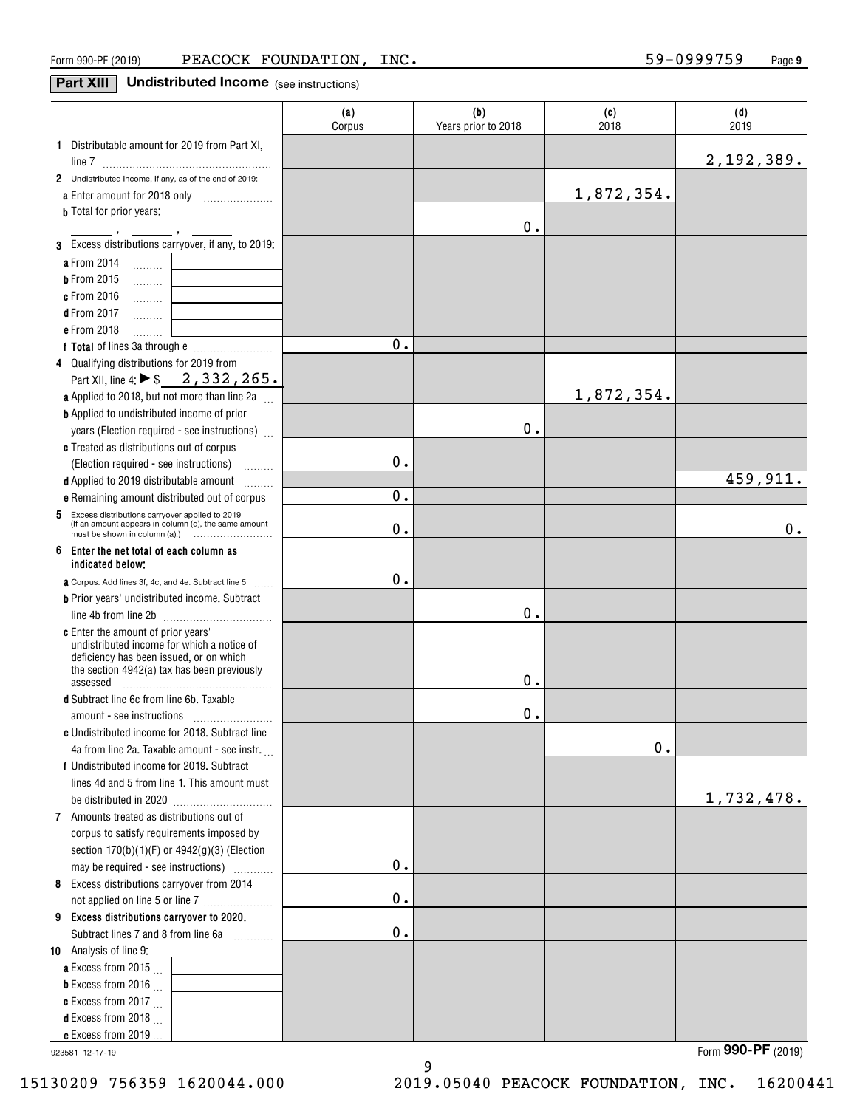#### **Part XIII** Undistributed Income (see instructions)

|                                                                                                                                                                            | (a)<br>Corpus | (b)<br>Years prior to 2018 | (c)<br>2018 | (d)<br>2019        |
|----------------------------------------------------------------------------------------------------------------------------------------------------------------------------|---------------|----------------------------|-------------|--------------------|
| 1 Distributable amount for 2019 from Part XI,                                                                                                                              |               |                            |             |                    |
|                                                                                                                                                                            |               |                            |             | 2,192,389.         |
| 2 Undistributed income, if any, as of the end of 2019:                                                                                                                     |               |                            |             |                    |
|                                                                                                                                                                            |               |                            | 1,872,354.  |                    |
| <b>b</b> Total for prior years:                                                                                                                                            |               |                            |             |                    |
|                                                                                                                                                                            |               | 0.                         |             |                    |
| 3 Excess distributions carryover, if any, to 2019:                                                                                                                         |               |                            |             |                    |
| a From 2014<br>$\ldots \ldots \ldots$ .                                                                                                                                    |               |                            |             |                    |
| <b>b</b> From 2015<br>.                                                                                                                                                    |               |                            |             |                    |
| c From 2016<br>.                                                                                                                                                           |               |                            |             |                    |
| <b>d</b> From 2017<br>.<br>e From 2018                                                                                                                                     |               |                            |             |                    |
| 1.1.1.1.1.1.1                                                                                                                                                              | 0.            |                            |             |                    |
| 4 Qualifying distributions for 2019 from                                                                                                                                   |               |                            |             |                    |
| Part XII, line 4: ▶ \$2, 332, 265.                                                                                                                                         |               |                            |             |                    |
| <b>a</b> Applied to 2018, but not more than line 2a $\ldots$                                                                                                               |               |                            | 1,872,354.  |                    |
| <b>b</b> Applied to undistributed income of prior                                                                                                                          |               |                            |             |                    |
| years (Election required - see instructions)                                                                                                                               |               | 0.                         |             |                    |
| c Treated as distributions out of corpus                                                                                                                                   |               |                            |             |                    |
| (Election required - see instructions)<br><b>Bassander</b>                                                                                                                 | 0.            |                            |             |                    |
| d Applied to 2019 distributable amount                                                                                                                                     |               |                            |             | 459,911.           |
| e Remaining amount distributed out of corpus                                                                                                                               | 0.            |                            |             |                    |
| Excess distributions carryover applied to 2019<br>5                                                                                                                        |               |                            |             |                    |
| (If an amount appears in column (d), the same amount                                                                                                                       | 0.            |                            |             | 0.                 |
| 6<br>Enter the net total of each column as                                                                                                                                 |               |                            |             |                    |
| indicated below:                                                                                                                                                           |               |                            |             |                    |
| <b>a</b> Corpus. Add lines 3f, 4c, and 4e. Subtract line 5                                                                                                                 | 0.            |                            |             |                    |
| <b>b</b> Prior years' undistributed income. Subtract                                                                                                                       |               |                            |             |                    |
|                                                                                                                                                                            |               | Ο.                         |             |                    |
| c Enter the amount of prior years'<br>undistributed income for which a notice of<br>deficiency has been issued, or on which<br>the section 4942(a) tax has been previously |               |                            |             |                    |
| assessed                                                                                                                                                                   |               | 0.                         |             |                    |
| d Subtract line 6c from line 6b. Taxable                                                                                                                                   |               |                            |             |                    |
|                                                                                                                                                                            |               | 0.                         |             |                    |
| e Undistributed income for 2018. Subtract line                                                                                                                             |               |                            |             |                    |
| 4a from line 2a. Taxable amount - see instr.                                                                                                                               |               |                            | $0$ .       |                    |
| f Undistributed income for 2019. Subtract                                                                                                                                  |               |                            |             |                    |
| lines 4d and 5 from line 1. This amount must                                                                                                                               |               |                            |             |                    |
|                                                                                                                                                                            |               |                            |             | 1,732,478.         |
| 7 Amounts treated as distributions out of                                                                                                                                  |               |                            |             |                    |
| corpus to satisfy requirements imposed by                                                                                                                                  |               |                            |             |                    |
| section 170(b)(1)(F) or 4942(g)(3) (Election                                                                                                                               | 0.            |                            |             |                    |
| may be required - see instructions)                                                                                                                                        |               |                            |             |                    |
| 8 Excess distributions carryover from 2014                                                                                                                                 | $0$ .         |                            |             |                    |
| not applied on line 5 or line 7                                                                                                                                            |               |                            |             |                    |
| 9 Excess distributions carryover to 2020.<br>Subtract lines 7 and 8 from line 6a                                                                                           | $\mathbf 0$ . |                            |             |                    |
| 10 Analysis of line 9:                                                                                                                                                     |               |                            |             |                    |
| <b>a</b> Excess from 2015 $\ldots$                                                                                                                                         |               |                            |             |                    |
| <b>b</b> Excess from 2016 $\ldots$                                                                                                                                         |               |                            |             |                    |
| c Excess from 2017 $\ldots$                                                                                                                                                |               |                            |             |                    |
| <b>d</b> Excess from 2018 $\ldots$                                                                                                                                         |               |                            |             |                    |
| e Excess from 2019                                                                                                                                                         |               |                            |             |                    |
| 923581 12-17-19                                                                                                                                                            |               |                            |             | Form 990-PF (2019) |

923581 12-17-19

9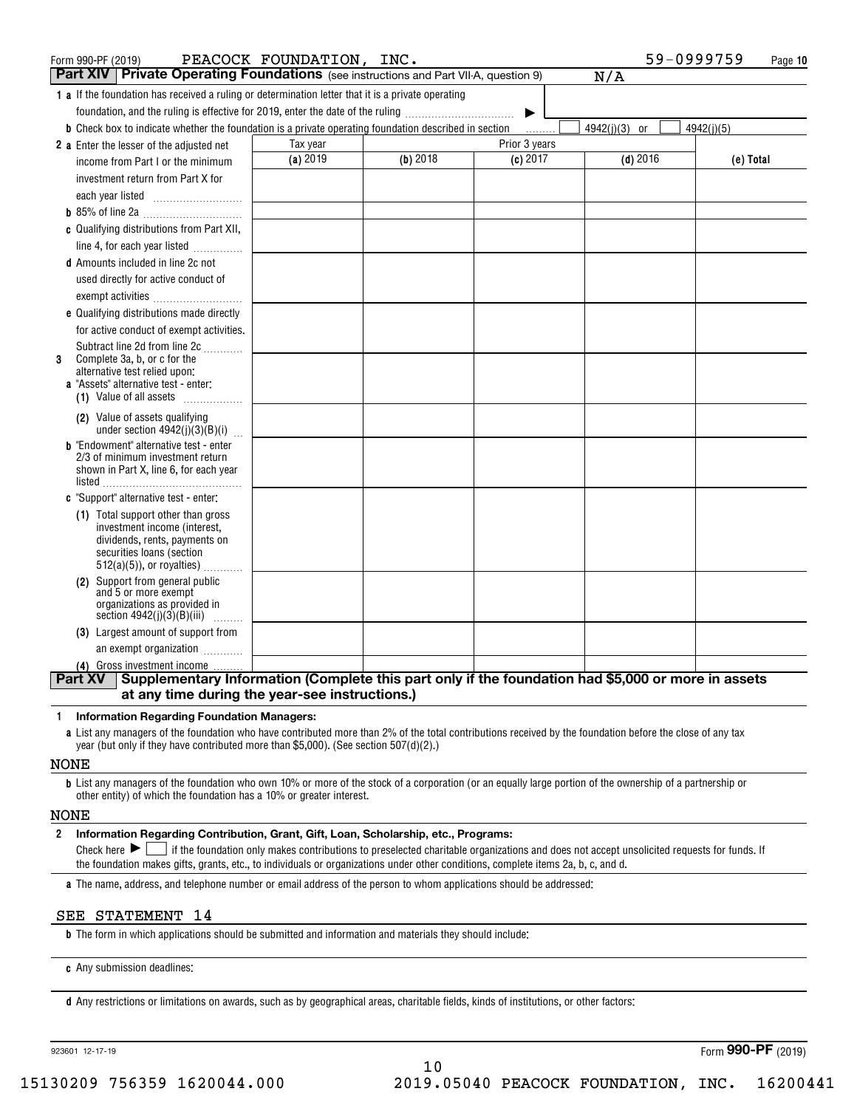| Form 990-PF (2019)                                                                                            | PEACOCK FOUNDATION, INC. |            |               | 59-0999759    | Page 10    |
|---------------------------------------------------------------------------------------------------------------|--------------------------|------------|---------------|---------------|------------|
| Part XIV   Private Operating Foundations (see instructions and Part VII-A, question 9)                        |                          |            |               | N/A           |            |
| <b>1 a</b> If the foundation has received a ruling or determination letter that it is a private operating     |                          |            |               |               |            |
| foundation, and the ruling is effective for 2019, enter the date of the ruling                                |                          |            | ▶             |               |            |
| <b>b</b> Check box to indicate whether the foundation is a private operating foundation described in section  |                          |            |               | 4942(j)(3) or | 4942(j)(5) |
| 2 a Enter the lesser of the adjusted net                                                                      | Tax year                 |            | Prior 3 years |               |            |
| income from Part I or the minimum                                                                             | (a) 2019                 | $(b)$ 2018 | $(c)$ 2017    | $(d)$ 2016    | (e) Total  |
| investment return from Part X for                                                                             |                          |            |               |               |            |
| each year listed                                                                                              |                          |            |               |               |            |
|                                                                                                               |                          |            |               |               |            |
| c Qualifying distributions from Part XII,                                                                     |                          |            |               |               |            |
| line 4, for each year listed                                                                                  |                          |            |               |               |            |
| <b>d</b> Amounts included in line 2c not                                                                      |                          |            |               |               |            |
| used directly for active conduct of                                                                           |                          |            |               |               |            |
| exempt activities                                                                                             |                          |            |               |               |            |
| e Qualifying distributions made directly                                                                      |                          |            |               |               |            |
| for active conduct of exempt activities.                                                                      |                          |            |               |               |            |
| Subtract line 2d from line 2c<br>Complete 3a, b, or c for the<br>3                                            |                          |            |               |               |            |
| alternative test relied upon:                                                                                 |                          |            |               |               |            |
| a "Assets" alternative test - enter:                                                                          |                          |            |               |               |            |
| (1) Value of all assets                                                                                       |                          |            |               |               |            |
| (2) Value of assets qualifying<br>under section $4942(j)(3)(B)(i)$                                            |                          |            |               |               |            |
| <b>b</b> "Endowment" alternative test - enter                                                                 |                          |            |               |               |            |
| 2/3 of minimum investment return<br>shown in Part X, line 6, for each year                                    |                          |            |               |               |            |
|                                                                                                               |                          |            |               |               |            |
| c "Support" alternative test - enter:                                                                         |                          |            |               |               |            |
| (1) Total support other than gross                                                                            |                          |            |               |               |            |
| investment income (interest,                                                                                  |                          |            |               |               |            |
| dividends, rents, payments on<br>securities loans (section                                                    |                          |            |               |               |            |
| $512(a)(5)$ , or royalties)                                                                                   |                          |            |               |               |            |
| (2) Support from general public                                                                               |                          |            |               |               |            |
| and 5 or more exempt<br>organizations as provided in                                                          |                          |            |               |               |            |
| section $4942(j)(3)(B)(iii)$                                                                                  |                          |            |               |               |            |
| (3) Largest amount of support from                                                                            |                          |            |               |               |            |
| an exempt organization                                                                                        |                          |            |               |               |            |
| (4) Gross investment income                                                                                   |                          |            |               |               |            |
| Supplementary Information (Complete this part only if the foundation had \$5,000 or more in assets<br>Part XV |                          |            |               |               |            |
| at any time during the year-see instructions.)                                                                |                          |            |               |               |            |

#### **1Information Regarding Foundation Managers:**

**a**List any managers of the foundation who have contributed more than 2% of the total contributions received by the foundation before the close of any tax year (but only if they have contributed more than \$5,000). (See section 507(d)(2).)

#### NONE

**b**List any managers of the foundation who own 10% or more of the stock of a corporation (or an equally large portion of the ownership of a partnership or other entity) of which the foundation has a 10% or greater interest.

#### NONE

#### **2Information Regarding Contribution, Grant, Gift, Loan, Scholarship, etc., Programs:**

Check here  $\blacktriangleright\Box$  if the foundation only makes contributions to preselected charitable organizations and does not accept unsolicited requests for funds. If the foundation makes gifts, grants, etc., to individuals or organizations under other conditions, complete items 2a, b, c, and d.

**a**The name, address, and telephone number or email address of the person to whom applications should be addressed:

#### SEE STATEMENT 14

**b**The form in which applications should be submitted and information and materials they should include:

**c**Any submission deadlines:

**d** Any restrictions or limitations on awards, such as by geographical areas, charitable fields, kinds of institutions, or other factors:

923601 12-17-19

Form (2019) **990-PF**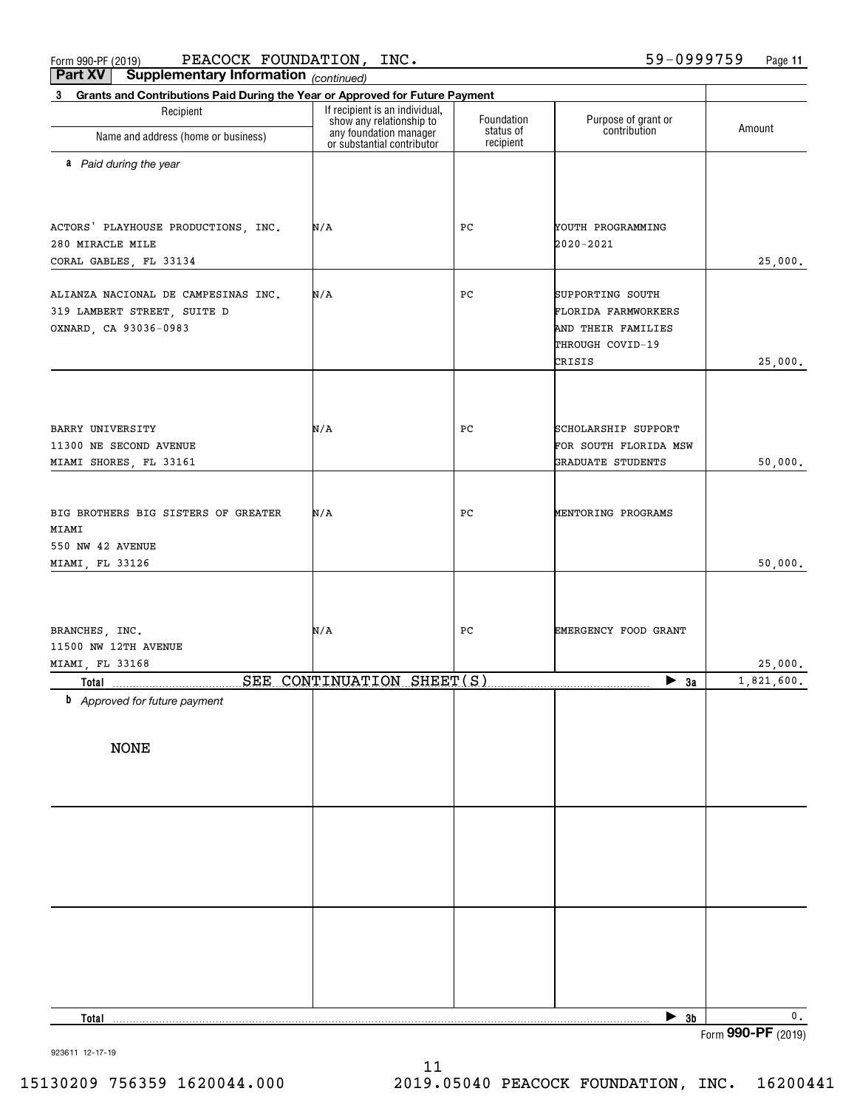$_{\rm Form}$   $_{990}$ -PF (2019) PEACOCK FOUNDATION, INC.  $_{\rm 59-0999759}$  Page **Part XV Supplementary Information** PEACOCK FOUNDATION, INC. 59-0999759

**11**

| <b>Part VA</b><br>supplementary information $_{(continued)}$<br>Grants and Contributions Paid During the Year or Approved for Future Payment<br>$3^{\circ}$ |                                                                                  |                                      |                                                                                             |                          |
|-------------------------------------------------------------------------------------------------------------------------------------------------------------|----------------------------------------------------------------------------------|--------------------------------------|---------------------------------------------------------------------------------------------|--------------------------|
| Recipient                                                                                                                                                   | If recipient is an individual,                                                   |                                      |                                                                                             |                          |
| Name and address (home or business)                                                                                                                         | show any relationship to<br>any foundation manager<br>or substantial contributor | Foundation<br>status of<br>recipient | Purpose of grant or<br>contribution                                                         | Amount                   |
| a Paid during the year                                                                                                                                      |                                                                                  |                                      |                                                                                             |                          |
| ACTORS' PLAYHOUSE PRODUCTIONS, INC.<br>280 MIRACLE MILE<br>CORAL GABLES, FL 33134                                                                           | N/A                                                                              | РC                                   | YOUTH PROGRAMMING<br>2020-2021                                                              | 25,000.                  |
| ALIANZA NACIONAL DE CAMPESINAS INC.<br>319 LAMBERT STREET, SUITE D<br>OXNARD, CA 93036-0983                                                                 | N/A                                                                              | РC                                   | SUPPORTING SOUTH<br>FLORIDA FARMWORKERS<br>AND THEIR FAMILIES<br>THROUGH COVID-19<br>CRISIS | 25,000.                  |
| BARRY UNIVERSITY<br>11300 NE SECOND AVENUE<br>MIAMI SHORES, FL 33161                                                                                        | N/A                                                                              | PC                                   | SCHOLARSHIP SUPPORT<br>FOR SOUTH FLORIDA MSW<br>GRADUATE STUDENTS                           | 50,000.                  |
| BIG BROTHERS BIG SISTERS OF GREATER<br>MIAMI<br>550 NW 42 AVENUE<br>MIAMI, FL 33126                                                                         | N/A                                                                              | PC                                   | MENTORING PROGRAMS                                                                          | 50,000.                  |
| BRANCHES, INC.<br>11500 NW 12TH AVENUE                                                                                                                      | N/A                                                                              | PС                                   | EMERGENCY FOOD GRANT                                                                        |                          |
| MIAMI, FL 33168                                                                                                                                             |                                                                                  |                                      |                                                                                             | 25,000.                  |
| Total<br><b>b</b> Approved for future payment                                                                                                               | SEE CONTINUATION SHEET(S)                                                        |                                      | $\blacktriangleright$ 3a                                                                    | 1,821,600.               |
| <b>NONE</b>                                                                                                                                                 |                                                                                  |                                      |                                                                                             |                          |
|                                                                                                                                                             |                                                                                  |                                      |                                                                                             |                          |
|                                                                                                                                                             |                                                                                  |                                      |                                                                                             |                          |
|                                                                                                                                                             |                                                                                  |                                      |                                                                                             |                          |
|                                                                                                                                                             |                                                                                  |                                      |                                                                                             |                          |
| Total                                                                                                                                                       |                                                                                  |                                      | $\triangleright$ 3b                                                                         | 0.<br>Form 990-PF (2019) |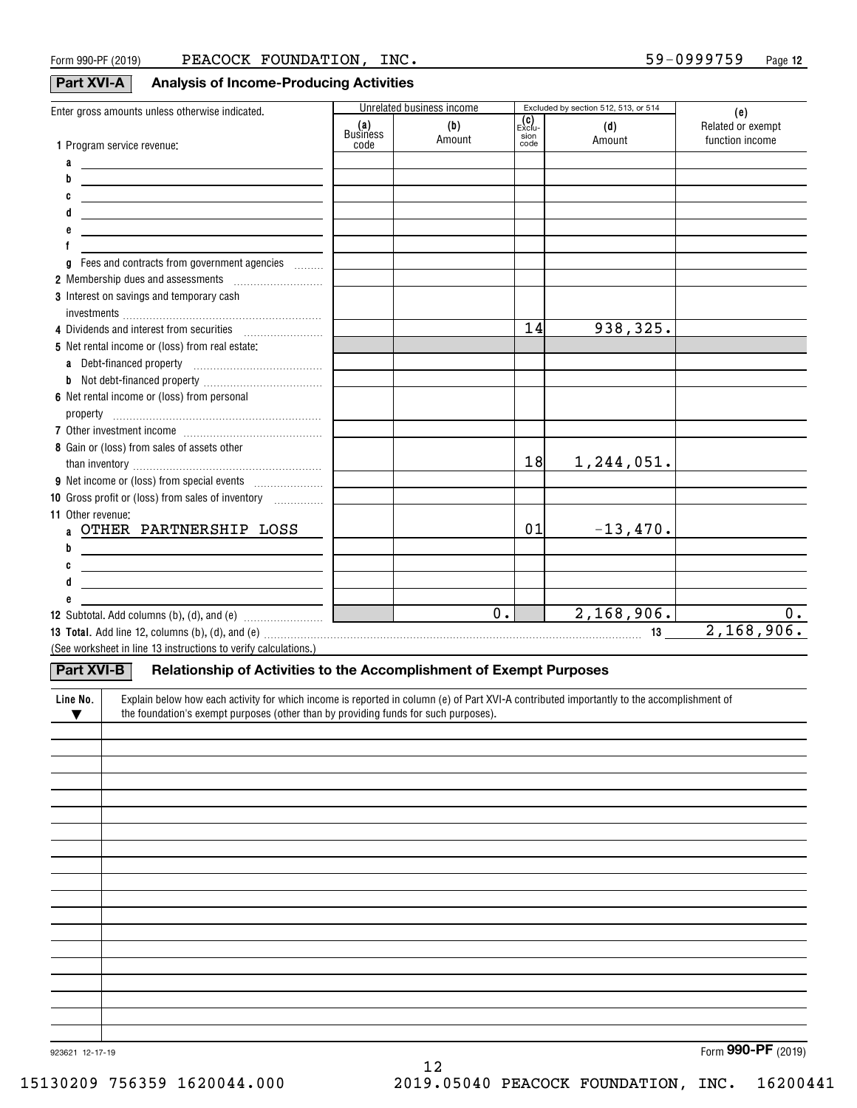#### **Part XVI-A Analysis of Income-Producing Activities**

| Enter gross amounts unless otherwise indicated.                                                                                                                                                                                |                 | Unrelated business income                     |                        | Excluded by section 512, 513, or 514 | (e)               |
|--------------------------------------------------------------------------------------------------------------------------------------------------------------------------------------------------------------------------------|-----------------|-----------------------------------------------|------------------------|--------------------------------------|-------------------|
|                                                                                                                                                                                                                                | (a)<br>Business | (b)                                           | _ <b>(C)</b><br>Exclu- | (d)                                  | Related or exempt |
| 1 Program service revenue:                                                                                                                                                                                                     | code            | Amount                                        | sion<br>code           | Amount                               | function income   |
| a<br><u> 1989 - John Stone, Amerikaansk politiker († 1908)</u>                                                                                                                                                                 |                 |                                               |                        |                                      |                   |
| <u> 1989 - Johann Barbara, martxa alemaniar amerikan a</u>                                                                                                                                                                     |                 |                                               |                        |                                      |                   |
| <u> 1989 - Johann Barbara, martxa alemaniar arg</u>                                                                                                                                                                            |                 |                                               |                        |                                      |                   |
| <u> 1989 - Johann Barn, mars ann an t-Amhain ann an t-Amhain an t-Amhain an t-Amhain an t-Amhain an t-Amhain an t-</u>                                                                                                         |                 |                                               |                        |                                      |                   |
| <u> 1989 - John Stein, mars and de Britain and de Britain and de Britain and de Britain and de Britain and de Br</u>                                                                                                           |                 |                                               |                        |                                      |                   |
|                                                                                                                                                                                                                                |                 |                                               |                        |                                      |                   |
| a                                                                                                                                                                                                                              |                 |                                               |                        |                                      |                   |
| 2 Membership dues and assessments [111] Membership dues and assessments                                                                                                                                                        |                 |                                               |                        |                                      |                   |
| 3 Interest on savings and temporary cash                                                                                                                                                                                       |                 |                                               |                        |                                      |                   |
|                                                                                                                                                                                                                                |                 |                                               | 14                     | 938, 325.                            |                   |
| 5 Net rental income or (loss) from real estate:                                                                                                                                                                                |                 |                                               |                        |                                      |                   |
|                                                                                                                                                                                                                                |                 |                                               |                        |                                      |                   |
|                                                                                                                                                                                                                                |                 |                                               |                        |                                      |                   |
| 6 Net rental income or (loss) from personal                                                                                                                                                                                    |                 |                                               |                        |                                      |                   |
|                                                                                                                                                                                                                                |                 |                                               |                        |                                      |                   |
|                                                                                                                                                                                                                                |                 |                                               |                        |                                      |                   |
| 8 Gain or (loss) from sales of assets other                                                                                                                                                                                    |                 |                                               |                        |                                      |                   |
|                                                                                                                                                                                                                                |                 |                                               | 18                     | 1,244,051.                           |                   |
|                                                                                                                                                                                                                                |                 |                                               |                        |                                      |                   |
| 10 Gross profit or (loss) from sales of inventory <i></i>                                                                                                                                                                      |                 |                                               |                        |                                      |                   |
| 11 Other revenue:                                                                                                                                                                                                              |                 |                                               |                        |                                      |                   |
| a OTHER PARTNERSHIP LOSS                                                                                                                                                                                                       |                 |                                               | 01                     | $-13,470.$                           |                   |
| <u> Alexandria de la contrada de la contrada de la contrada de la contrada de la contrada de la contrada de la c</u>                                                                                                           |                 |                                               |                        |                                      |                   |
| <u> 1990 - John Stone, amerikansk politiker (</u>                                                                                                                                                                              |                 |                                               |                        |                                      |                   |
| <u> 1990 - Johann Barbara, martin amerikan basar da</u>                                                                                                                                                                        |                 |                                               |                        |                                      |                   |
|                                                                                                                                                                                                                                |                 |                                               |                        |                                      |                   |
|                                                                                                                                                                                                                                |                 | $\overline{0.}$<br>$\mathcal{L}(\mathcal{L})$ |                        | 2,168,906.                           | $0$ .             |
| 13 Total. Add line 12, columns (b), (d), and (e) with an expansional control control control control control control control control control control control control control control control control control control control c |                 |                                               |                        |                                      | 2,168,906.        |
| (See worksheet in line 13 instructions to verify calculations.)                                                                                                                                                                |                 |                                               |                        |                                      |                   |
| Part XVI-B<br>Relationship of Activities to the Accomplishment of Exempt Purposes                                                                                                                                              |                 |                                               |                        |                                      |                   |
|                                                                                                                                                                                                                                |                 |                                               |                        |                                      |                   |

| Line No.<br>v | Explain below how each activity for which income is reported in column (e) of Part XVI-A contributed importantly to the accomplishment of<br>the foundation's exempt purposes (other than by providing funds for such purposes). |
|---------------|----------------------------------------------------------------------------------------------------------------------------------------------------------------------------------------------------------------------------------|
|               |                                                                                                                                                                                                                                  |
|               |                                                                                                                                                                                                                                  |
|               |                                                                                                                                                                                                                                  |
|               |                                                                                                                                                                                                                                  |
|               |                                                                                                                                                                                                                                  |
|               |                                                                                                                                                                                                                                  |
|               |                                                                                                                                                                                                                                  |
|               |                                                                                                                                                                                                                                  |
|               |                                                                                                                                                                                                                                  |
|               |                                                                                                                                                                                                                                  |
|               |                                                                                                                                                                                                                                  |
|               |                                                                                                                                                                                                                                  |
|               |                                                                                                                                                                                                                                  |
|               |                                                                                                                                                                                                                                  |
|               |                                                                                                                                                                                                                                  |
|               |                                                                                                                                                                                                                                  |
|               |                                                                                                                                                                                                                                  |
|               |                                                                                                                                                                                                                                  |
|               |                                                                                                                                                                                                                                  |

12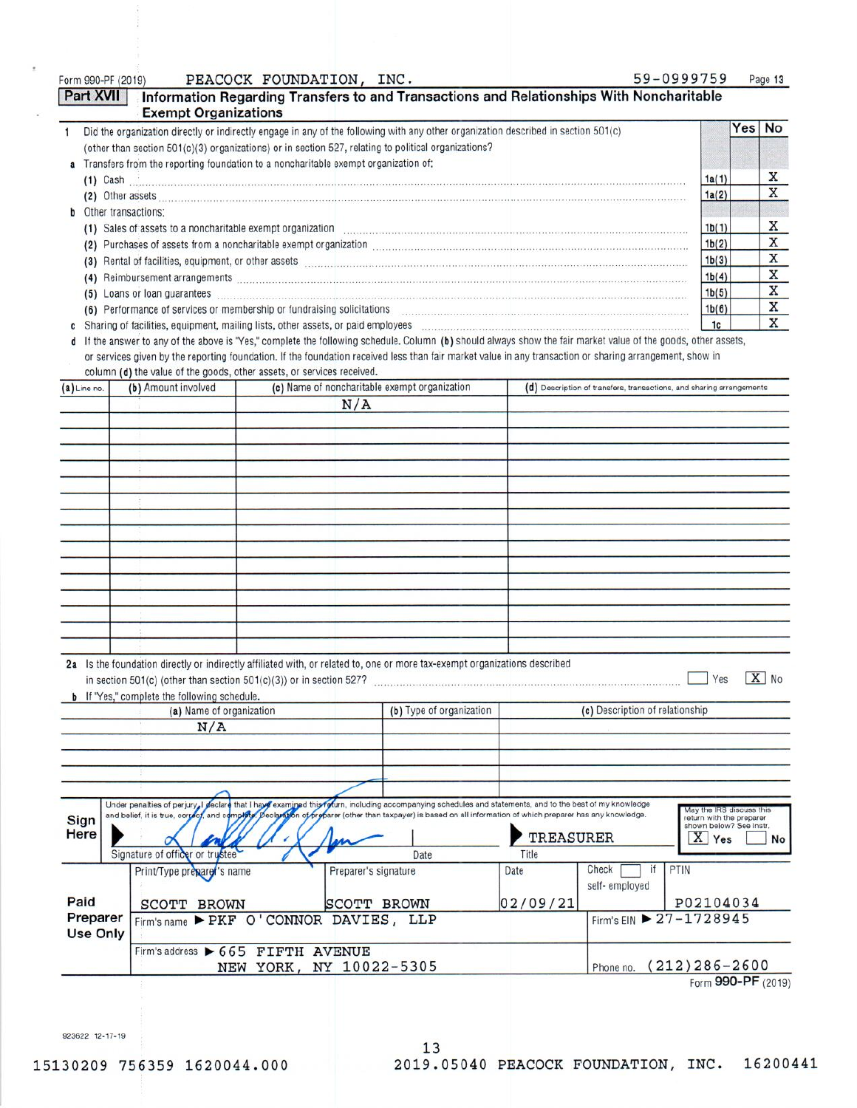#### Form 990-PF (2019)

#### PEACOCK FOUNDATION, INC.

| 59-0999759 | Page 13 |
|------------|---------|
|------------|---------|

|   | Part XVII                                                                                                                                                                   | <b>Exempt Organizations</b> | Information Regarding Transfers to and Transactions and Relationships With Noncharitable                                                                                                                                             |                                                                      |       |     |              |
|---|-----------------------------------------------------------------------------------------------------------------------------------------------------------------------------|-----------------------------|--------------------------------------------------------------------------------------------------------------------------------------------------------------------------------------------------------------------------------------|----------------------------------------------------------------------|-------|-----|--------------|
|   |                                                                                                                                                                             |                             | Did the organization directly or indirectly engage in any of the following with any other organization described in section 501(c)                                                                                                   |                                                                      |       | Yes | No           |
|   |                                                                                                                                                                             |                             | (other than section 501(c)(3) organizations) or in section 527, relating to political organizations?                                                                                                                                 |                                                                      |       |     |              |
|   |                                                                                                                                                                             |                             | a Transfers from the reporting foundation to a noncharitable exempt organization of:                                                                                                                                                 |                                                                      |       |     |              |
|   |                                                                                                                                                                             | $(1)$ Cash $(2)$            |                                                                                                                                                                                                                                      |                                                                      | 1a(1) |     | X            |
|   |                                                                                                                                                                             |                             |                                                                                                                                                                                                                                      |                                                                      | 1a(2) |     | X            |
| b |                                                                                                                                                                             | Other transactions:         |                                                                                                                                                                                                                                      |                                                                      |       |     |              |
|   |                                                                                                                                                                             |                             | (1) Sales of assets to a noncharitable exempt organization material contracts and control of the set of assets to a noncharitable exempt organization                                                                                |                                                                      | 1b(1) |     | X            |
|   | (2)                                                                                                                                                                         |                             | Purchases of assets from a noncharitable exempt organization [11] manufactures and contained account of an annumental contained account of the Purchase of assets from a noncharitable exempt organization.                          |                                                                      | 1b(2) |     | X            |
|   | (3)                                                                                                                                                                         |                             | Rental of facilities, equipment, or other assets <b>contained and accommodal contained and accommodal contained and accommodal contained accommodal contained accommodal contained accommodal contained accommodal contained acc</b> |                                                                      | 1b(3) |     | X            |
|   | (4)                                                                                                                                                                         |                             |                                                                                                                                                                                                                                      |                                                                      | 1b(4) |     | X            |
|   | (5)                                                                                                                                                                         |                             | Loans or loan guarantees                                                                                                                                                                                                             |                                                                      | 1b(5) |     | X            |
|   |                                                                                                                                                                             |                             | (6) Performance of services or membership or fundraising solicitations [11] non-content content of services or membership or fundraising solicitations [11] non-content of the service of the service of the service of the se       |                                                                      | 1b(6) |     | X            |
|   | Sharing of facilities, equipment, mailing lists, other assets, or paid employees [11] [12] Sharing of facilities, equipment, mailing lists, other assets, or paid employees |                             |                                                                                                                                                                                                                                      |                                                                      |       |     | $\mathbf{x}$ |
|   | d If the answer to any of the above is "Yes," complete the following schedule. Column (b) should always show the fair market value of the goods, other assets,              |                             |                                                                                                                                                                                                                                      |                                                                      |       |     |              |
|   |                                                                                                                                                                             |                             | or services given by the reporting foundation. If the foundation received less than fair market value in any transaction or sharing arrangement, show in                                                                             |                                                                      |       |     |              |
|   |                                                                                                                                                                             |                             | column (d) the value of the goods, other assets, or services received.                                                                                                                                                               |                                                                      |       |     |              |
|   | $(a)$ Line no.                                                                                                                                                              | (b) Amount involved         | (c) Name of noncharitable exempt organization                                                                                                                                                                                        | (d) Description of transfers, transactions, and sharing arrangements |       |     |              |
|   |                                                                                                                                                                             |                             | $\mathbf{H}$                                                                                                                                                                                                                         |                                                                      |       |     |              |

| $\mathbf{r}$ | $1 - 1$                                             | $\mathbf{v}$                                                                                                                                                                                              | $\cdots$      |
|--------------|-----------------------------------------------------|-----------------------------------------------------------------------------------------------------------------------------------------------------------------------------------------------------------|---------------|
|              |                                                     | N/A                                                                                                                                                                                                       |               |
|              |                                                     |                                                                                                                                                                                                           |               |
|              |                                                     |                                                                                                                                                                                                           |               |
|              |                                                     |                                                                                                                                                                                                           |               |
|              |                                                     |                                                                                                                                                                                                           |               |
|              |                                                     |                                                                                                                                                                                                           |               |
|              |                                                     |                                                                                                                                                                                                           |               |
|              |                                                     |                                                                                                                                                                                                           |               |
|              |                                                     |                                                                                                                                                                                                           |               |
|              |                                                     |                                                                                                                                                                                                           |               |
|              |                                                     |                                                                                                                                                                                                           |               |
|              |                                                     |                                                                                                                                                                                                           |               |
|              |                                                     |                                                                                                                                                                                                           |               |
|              |                                                     |                                                                                                                                                                                                           |               |
|              |                                                     |                                                                                                                                                                                                           |               |
|              |                                                     |                                                                                                                                                                                                           |               |
|              | <b>b</b> If "Yes," complete the following schedule. | 2a Is the foundation directly or indirectly affiliated with, or related to, one or more tax-exempt organizations described<br>in section $501(c)$ (other than section $501(c)(3)$ ) or in section $527$ ? | $X$ No<br>Yes |

| <b>D</b> IT TOS, COMPTERE THE FORD WILLY SCHEDUIS. |                          |                                 |
|----------------------------------------------------|--------------------------|---------------------------------|
| (a) Name of organization                           | (b) Type of organization | (c) Description of relationship |
| N/A                                                |                          |                                 |
|                                                    |                          |                                 |
|                                                    |                          |                                 |
|                                                    |                          |                                 |

1

| <b>Sign</b><br>Here  | Signature of officer or trustee           | Under penalties of perjury, I declare that I have examined this folum, including accompanying schedules and statements, and to the best of my knowledge<br>and belief, it is true, correct, and complete. Declaration of preparer (other than taxpayer) is based on all information of which preparer has any knowledge.<br>Lar<br>Date | <b>TREASURER</b><br>Title |                             | May the IRS discuss this<br>return with the preparer<br>shown below? See instr.<br>$\overline{\mathbf{X}}$<br>Yes<br>No |
|----------------------|-------------------------------------------|-----------------------------------------------------------------------------------------------------------------------------------------------------------------------------------------------------------------------------------------------------------------------------------------------------------------------------------------|---------------------------|-----------------------------|-------------------------------------------------------------------------------------------------------------------------|
|                      | Print/Type preparer's name                | Preparer's signature                                                                                                                                                                                                                                                                                                                    | Date                      | Check<br>Ħ<br>self-employed | PTIN                                                                                                                    |
| Paid                 | <b>BROWN</b><br><b>SCOTT</b>              | <b>BROWN</b><br><b>SCOTT</b>                                                                                                                                                                                                                                                                                                            | 02/09/21                  |                             | P02104034                                                                                                               |
| Preparer<br>Use Only | Firm's name PEKF O'CONNOR DAVIES, LLP     |                                                                                                                                                                                                                                                                                                                                         |                           |                             | Firm's EIN 27-1728945                                                                                                   |
|                      | Firm's address $\triangleright$ 665 FIFTH | <b>AVENUE</b><br>NEW YORK, NY 10022-5305                                                                                                                                                                                                                                                                                                |                           | Phone no.                   | $(212)286 - 2600$<br>$0.00 \text{ } \text{D} \text{F}$                                                                  |

Form 990-PF (2019)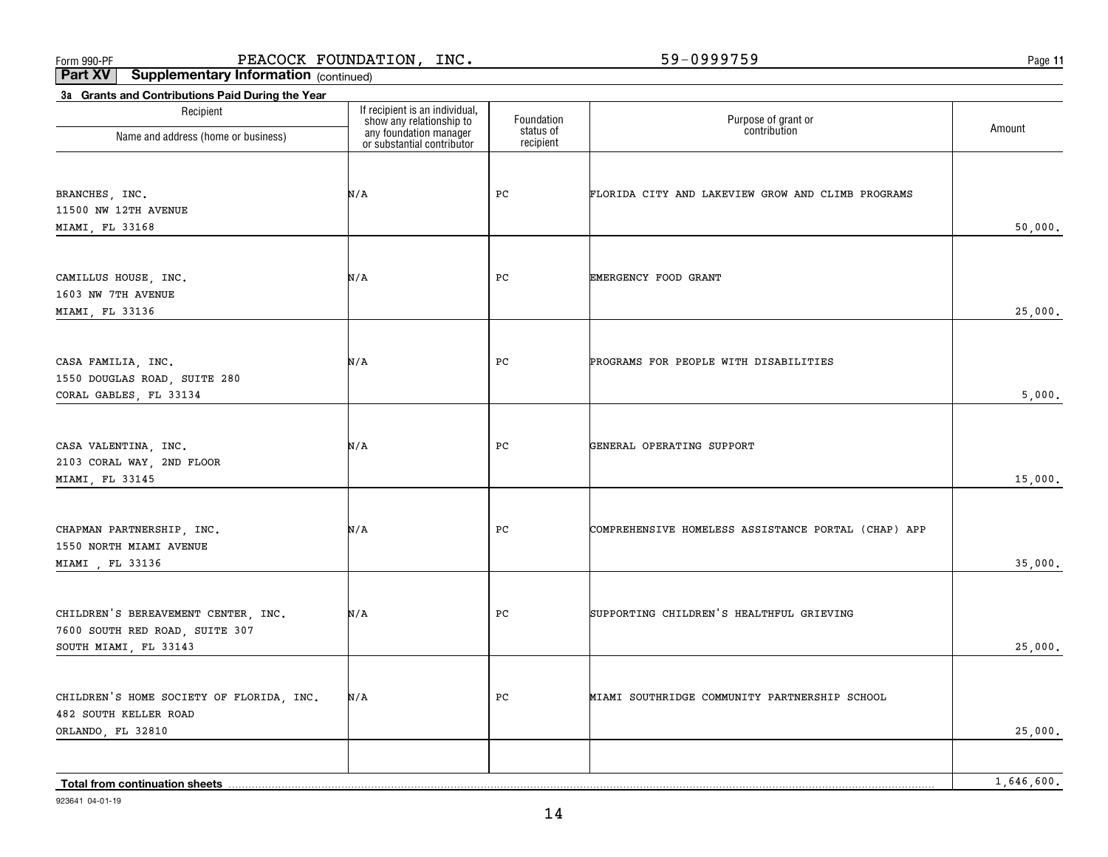**11**

**Part XV Supplementary Information** (continued)

| 3a Grants and Contributions Paid During the Year  |                                                                                                                    |                         |                                                     |            |
|---------------------------------------------------|--------------------------------------------------------------------------------------------------------------------|-------------------------|-----------------------------------------------------|------------|
| Recipient                                         | If recipient is an individual,<br>show any relationship to<br>any foundation manager<br>or substantial contributor | Foundation<br>status of | Purpose of grant or<br>contribution                 | Amount     |
| Name and address (home or business)               |                                                                                                                    | recipient               |                                                     |            |
|                                                   |                                                                                                                    |                         |                                                     |            |
| BRANCHES, INC.                                    | N/A                                                                                                                | PC                      | FLORIDA CITY AND LAKEVIEW GROW AND CLIMB PROGRAMS   |            |
| 11500 NW 12TH AVENUE                              |                                                                                                                    |                         |                                                     |            |
| MIAMI, FL 33168                                   |                                                                                                                    |                         |                                                     | 50,000.    |
|                                                   |                                                                                                                    |                         |                                                     |            |
|                                                   |                                                                                                                    |                         |                                                     |            |
| CAMILLUS HOUSE, INC.                              | N/A                                                                                                                | $_{\rm PC}$             | EMERGENCY FOOD GRANT                                |            |
| 1603 NW 7TH AVENUE                                |                                                                                                                    |                         |                                                     |            |
| MIAMI, FL 33136                                   |                                                                                                                    |                         |                                                     | 25,000.    |
|                                                   |                                                                                                                    |                         |                                                     |            |
| CASA FAMILIA, INC.                                | N/A                                                                                                                | PC                      | PROGRAMS FOR PEOPLE WITH DISABILITIES               |            |
| 1550 DOUGLAS ROAD, SUITE 280                      |                                                                                                                    |                         |                                                     |            |
| CORAL GABLES, FL 33134                            |                                                                                                                    |                         |                                                     | 5,000.     |
|                                                   |                                                                                                                    |                         |                                                     |            |
|                                                   |                                                                                                                    |                         |                                                     |            |
| CASA VALENTINA, INC.                              | N/A                                                                                                                | PC                      | GENERAL OPERATING SUPPORT                           |            |
| 2103 CORAL WAY, 2ND FLOOR<br>MIAMI, FL 33145      |                                                                                                                    |                         |                                                     | 15,000.    |
|                                                   |                                                                                                                    |                         |                                                     |            |
|                                                   |                                                                                                                    |                         |                                                     |            |
| CHAPMAN PARTNERSHIP, INC.                         | N/A                                                                                                                | PC                      | COMPREHENSIVE HOMELESS ASSISTANCE PORTAL (CHAP) APP |            |
| 1550 NORTH MIAMI AVENUE                           |                                                                                                                    |                         |                                                     |            |
| MIAMI , FL 33136                                  |                                                                                                                    |                         |                                                     | 35,000.    |
|                                                   |                                                                                                                    |                         |                                                     |            |
| CHILDREN'S BEREAVEMENT CENTER, INC.               | N/A                                                                                                                | PC                      | SUPPORTING CHILDREN'S HEALTHFUL GRIEVING            |            |
| 7600 SOUTH RED ROAD, SUITE 307                    |                                                                                                                    |                         |                                                     |            |
| SOUTH MIAMI, FL 33143                             |                                                                                                                    |                         |                                                     | 25,000.    |
|                                                   |                                                                                                                    |                         |                                                     |            |
|                                                   |                                                                                                                    |                         |                                                     |            |
| CHILDREN'S HOME SOCIETY OF FLORIDA, INC.          | N/A                                                                                                                | PC                      | MIAMI SOUTHRIDGE COMMUNITY PARTNERSHIP SCHOOL       |            |
| <b>482 SOUTH KELLER ROAD</b><br>ORLANDO, FL 32810 |                                                                                                                    |                         |                                                     | 25,000.    |
|                                                   |                                                                                                                    |                         |                                                     |            |
|                                                   |                                                                                                                    |                         |                                                     |            |
| Total from continuation sheets                    |                                                                                                                    |                         |                                                     | 1,646,600. |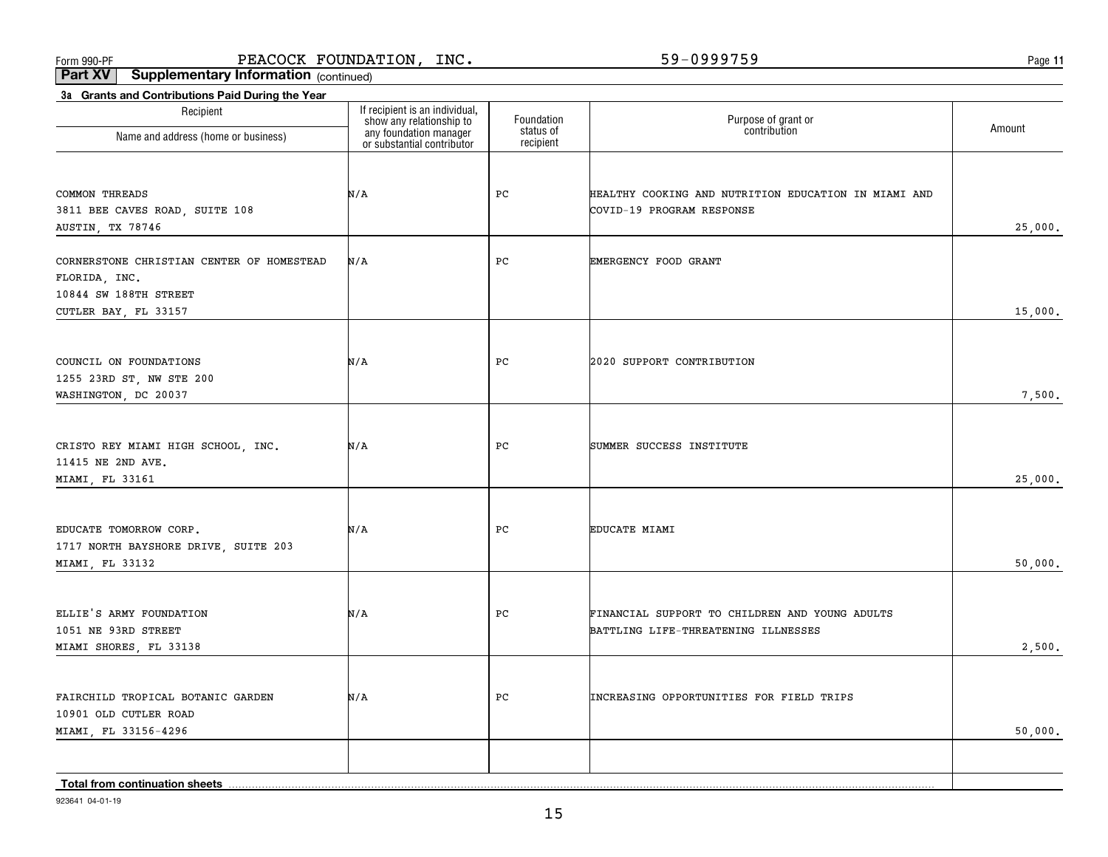**11**

**Part XV Supplementary Information** (continued)

| 3a Grants and Contributions Paid During the Year               |                                                                                                                    |                         |                                                                                       |         |
|----------------------------------------------------------------|--------------------------------------------------------------------------------------------------------------------|-------------------------|---------------------------------------------------------------------------------------|---------|
| Recipient                                                      | If recipient is an individual,<br>show any relationship to<br>any foundation manager<br>or substantial contributor | Foundation<br>status of | Purpose of grant or<br>contribution                                                   | Amount  |
| Name and address (home or business)                            |                                                                                                                    | recipient               |                                                                                       |         |
|                                                                |                                                                                                                    |                         |                                                                                       |         |
| COMMON THREADS                                                 | N/A                                                                                                                | PC                      | HEALTHY COOKING AND NUTRITION EDUCATION IN MIAMI AND                                  |         |
| 3811 BEE CAVES ROAD, SUITE 108                                 |                                                                                                                    |                         | COVID-19 PROGRAM RESPONSE                                                             |         |
| AUSTIN, TX 78746                                               |                                                                                                                    |                         |                                                                                       | 25,000. |
| CORNERSTONE CHRISTIAN CENTER OF HOMESTEAD                      | N/A                                                                                                                | PC                      | EMERGENCY FOOD GRANT                                                                  |         |
| FLORIDA, INC.                                                  |                                                                                                                    |                         |                                                                                       |         |
| 10844 SW 188TH STREET                                          |                                                                                                                    |                         |                                                                                       |         |
| CUTLER BAY, FL 33157                                           |                                                                                                                    |                         |                                                                                       | 15,000. |
|                                                                |                                                                                                                    |                         |                                                                                       |         |
| COUNCIL ON FOUNDATIONS                                         | N/A                                                                                                                | PC                      | 2020 SUPPORT CONTRIBUTION                                                             |         |
| 1255 23RD ST, NW STE 200                                       |                                                                                                                    |                         |                                                                                       |         |
| WASHINGTON, DC 20037                                           |                                                                                                                    |                         |                                                                                       | 7,500.  |
|                                                                |                                                                                                                    |                         |                                                                                       |         |
| CRISTO REY MIAMI HIGH SCHOOL, INC.                             | N/A                                                                                                                | PC                      | SUMMER SUCCESS INSTITUTE                                                              |         |
| 11415 NE 2ND AVE.<br>MIAMI, FL 33161                           |                                                                                                                    |                         |                                                                                       | 25,000. |
|                                                                |                                                                                                                    |                         |                                                                                       |         |
|                                                                |                                                                                                                    |                         |                                                                                       |         |
| EDUCATE TOMORROW CORP.<br>1717 NORTH BAYSHORE DRIVE, SUITE 203 | N/A                                                                                                                | PC                      | EDUCATE MIAMI                                                                         |         |
| MIAMI, FL 33132                                                |                                                                                                                    |                         |                                                                                       | 50,000. |
|                                                                |                                                                                                                    |                         |                                                                                       |         |
| ELLIE'S ARMY FOUNDATION                                        | N/A                                                                                                                | PC                      |                                                                                       |         |
| 1051 NE 93RD STREET                                            |                                                                                                                    |                         | FINANCIAL SUPPORT TO CHILDREN AND YOUNG ADULTS<br>BATTLING LIFE-THREATENING ILLNESSES |         |
| MIAMI SHORES, FL 33138                                         |                                                                                                                    |                         |                                                                                       | 2,500.  |
|                                                                |                                                                                                                    |                         |                                                                                       |         |
| FAIRCHILD TROPICAL BOTANIC GARDEN                              | N/A                                                                                                                | PC                      | INCREASING OPPORTUNITIES FOR FIELD TRIPS                                              |         |
| 10901 OLD CUTLER ROAD                                          |                                                                                                                    |                         |                                                                                       |         |
| MIAMI, FL 33156-4296                                           |                                                                                                                    |                         |                                                                                       | 50,000. |
|                                                                |                                                                                                                    |                         |                                                                                       |         |
| Total from continuation sheets                                 |                                                                                                                    |                         |                                                                                       |         |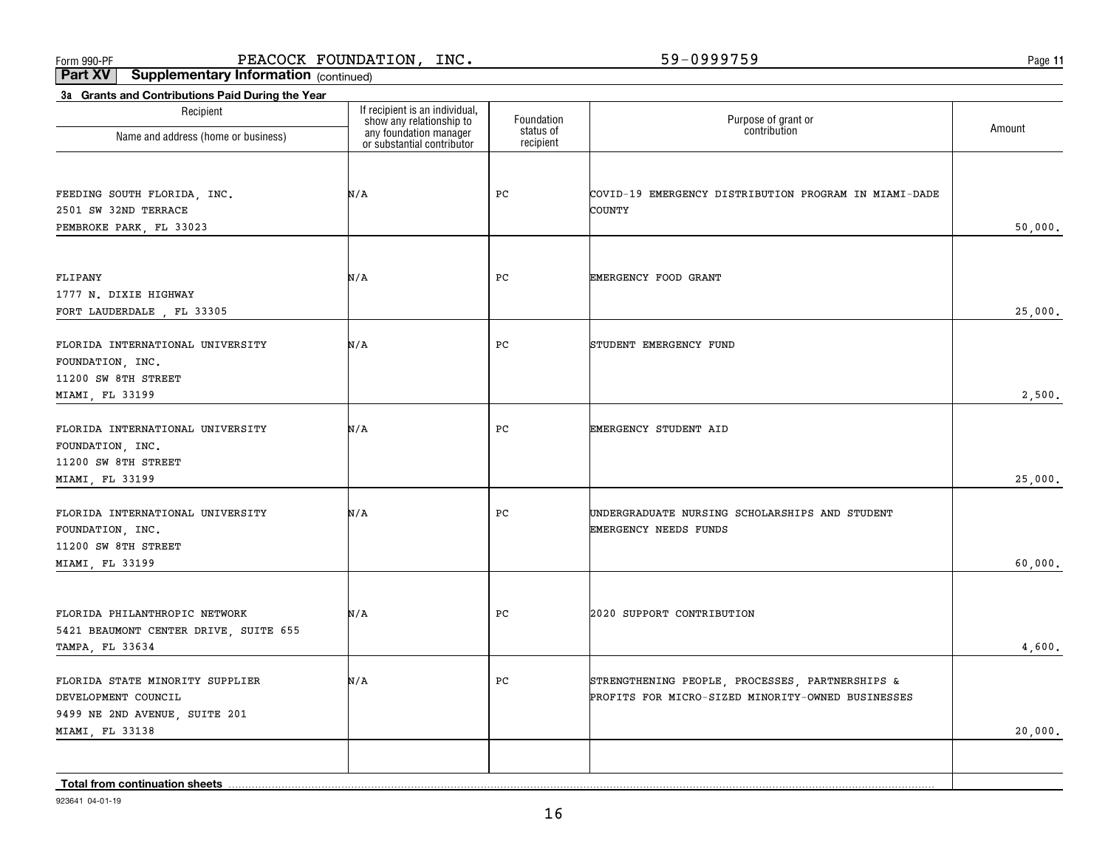**11**

**Part XV Supplementary Information** (continued)

| 3a Grants and Contributions Paid During the Year                                                           |                                                            |                         |                                                                                                      |         |
|------------------------------------------------------------------------------------------------------------|------------------------------------------------------------|-------------------------|------------------------------------------------------------------------------------------------------|---------|
| Recipient                                                                                                  | If recipient is an individual,<br>show any relationship to | Foundation<br>status of | Purpose of grant or<br>contribution                                                                  | Amount  |
| Name and address (home or business)                                                                        | any foundation manager<br>or substantial contributor       | recipient               |                                                                                                      |         |
| FEEDING SOUTH FLORIDA, INC.<br>2501 SW 32ND TERRACE<br>PEMBROKE PARK, FL 33023                             | N/A                                                        | PC                      | COVID-19 EMERGENCY DISTRIBUTION PROGRAM IN MIAMI-DADE<br>COUNTY                                      | 50,000. |
| FLIPANY<br>1777 N. DIXIE HIGHWAY<br>FORT LAUDERDALE, FL 33305                                              | N/A                                                        | PC                      | EMERGENCY FOOD GRANT                                                                                 | 25,000. |
| FLORIDA INTERNATIONAL UNIVERSITY<br>FOUNDATION, INC.<br>11200 SW 8TH STREET<br>MIAMI, FL 33199             | N/A                                                        | PС                      | STUDENT EMERGENCY FUND                                                                               | 2,500.  |
| FLORIDA INTERNATIONAL UNIVERSITY<br>FOUNDATION, INC.<br>11200 SW 8TH STREET<br>MIAMI, FL 33199             | N/A                                                        | PC                      | EMERGENCY STUDENT AID                                                                                | 25,000. |
| FLORIDA INTERNATIONAL UNIVERSITY<br>FOUNDATION, INC.<br>11200 SW 8TH STREET<br>MIAMI, FL 33199             | N/A                                                        | PC                      | UNDERGRADUATE NURSING SCHOLARSHIPS AND STUDENT<br><b>EMERGENCY NEEDS FUNDS</b>                       | 60,000. |
| FLORIDA PHILANTHROPIC NETWORK<br>5421 BEAUMONT CENTER DRIVE, SUITE 655<br>TAMPA, FL 33634                  | N/A                                                        | PC                      | 2020 SUPPORT CONTRIBUTION                                                                            | 4,600.  |
| FLORIDA STATE MINORITY SUPPLIER<br>DEVELOPMENT COUNCIL<br>9499 NE 2ND AVENUE, SUITE 201<br>MIAMI, FL 33138 | N/A                                                        | PC                      | STRENGTHENING PEOPLE, PROCESSES, PARTNERSHIPS &<br>PROFITS FOR MICRO-SIZED MINORITY-OWNED BUSINESSES | 20,000. |
|                                                                                                            |                                                            |                         |                                                                                                      |         |

**Total from continuation sheets**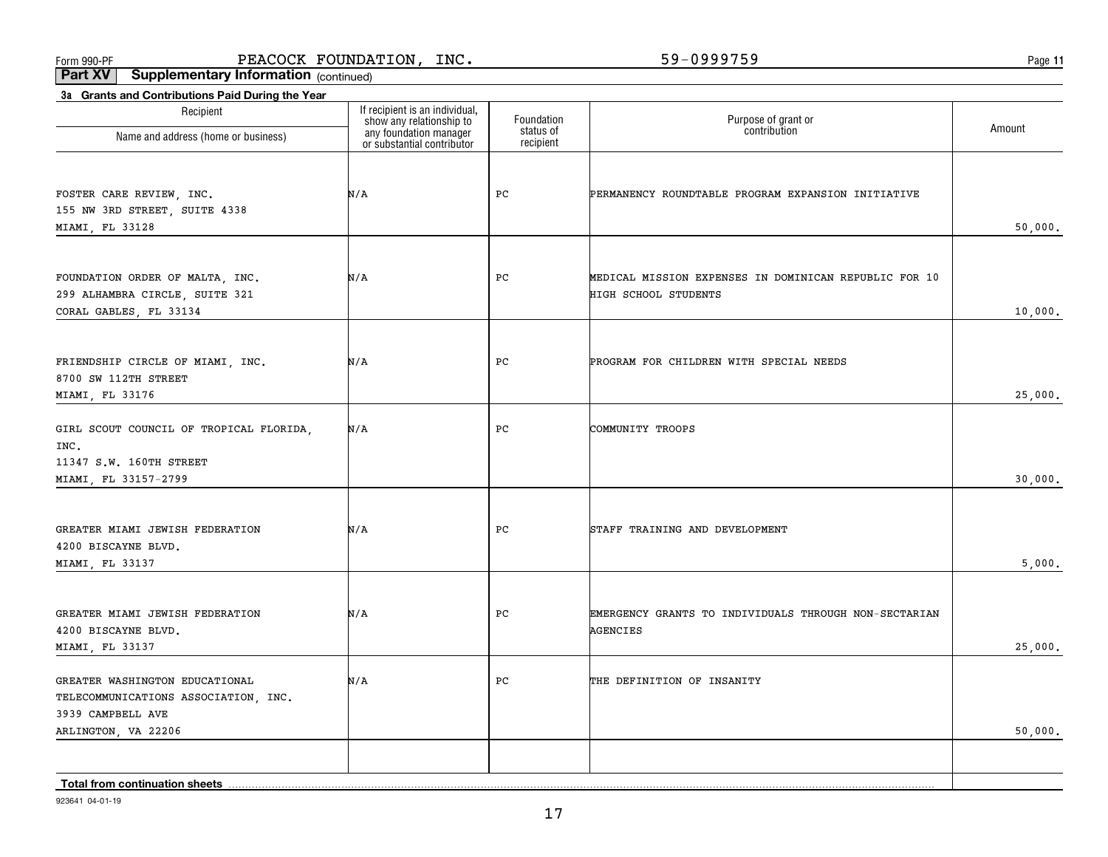**11**

**Part XV Supplementary Information** (continued)

| 3a Grants and Contributions Paid During the Year                                                                   |                                                                                                                    |                         |                                                                               |         |
|--------------------------------------------------------------------------------------------------------------------|--------------------------------------------------------------------------------------------------------------------|-------------------------|-------------------------------------------------------------------------------|---------|
| Recipient<br>Name and address (home or business)                                                                   | If recipient is an individual,<br>show any relationship to<br>any foundation manager<br>or substantial contributor | Foundation<br>status of | Purpose of grant or<br>contribution                                           | Amount  |
|                                                                                                                    |                                                                                                                    | recipient               |                                                                               |         |
| FOSTER CARE REVIEW, INC.<br>155 NW 3RD STREET, SUITE 4338                                                          | N/A                                                                                                                | PC                      | PERMANENCY ROUNDTABLE PROGRAM EXPANSION INITIATIVE                            |         |
| MIAMI, FL 33128                                                                                                    |                                                                                                                    |                         |                                                                               | 50,000. |
| FOUNDATION ORDER OF MALTA, INC.<br>299 ALHAMBRA CIRCLE, SUITE 321                                                  | N/A                                                                                                                | PC                      | MEDICAL MISSION EXPENSES IN DOMINICAN REPUBLIC FOR 10<br>HIGH SCHOOL STUDENTS |         |
| CORAL GABLES, FL 33134                                                                                             |                                                                                                                    |                         |                                                                               | 10,000. |
| FRIENDSHIP CIRCLE OF MIAMI, INC.<br>8700 SW 112TH STREET                                                           | N/A                                                                                                                | PC                      | PROGRAM FOR CHILDREN WITH SPECIAL NEEDS                                       |         |
| MIAMI, FL 33176                                                                                                    |                                                                                                                    |                         |                                                                               | 25,000. |
| GIRL SCOUT COUNCIL OF TROPICAL FLORIDA,<br>INC.<br>11347 S.W. 160TH STREET                                         | N/A                                                                                                                | PC                      | COMMUNITY TROOPS                                                              |         |
| MIAMI, FL 33157-2799                                                                                               |                                                                                                                    |                         |                                                                               | 30,000. |
| GREATER MIAMI JEWISH FEDERATION<br>4200 BISCAYNE BLVD.                                                             | N/A                                                                                                                | PC                      | STAFF TRAINING AND DEVELOPMENT                                                |         |
| MIAMI, FL 33137                                                                                                    |                                                                                                                    |                         |                                                                               | 5,000.  |
| GREATER MIAMI JEWISH FEDERATION<br>4200 BISCAYNE BLVD.<br>MIAMI, FL 33137                                          | N/A                                                                                                                | PC                      | EMERGENCY GRANTS TO INDIVIDUALS THROUGH NON-SECTARIAN<br><b>AGENCIES</b>      | 25,000. |
| GREATER WASHINGTON EDUCATIONAL<br>TELECOMMUNICATIONS ASSOCIATION, INC.<br>3939 CAMPBELL AVE<br>ARLINGTON, VA 22206 | N/A                                                                                                                | PC                      | THE DEFINITION OF INSANITY                                                    | 50,000. |
|                                                                                                                    |                                                                                                                    |                         |                                                                               |         |
| Total from continuation sheets                                                                                     |                                                                                                                    |                         |                                                                               |         |

**Total from continuation sheets**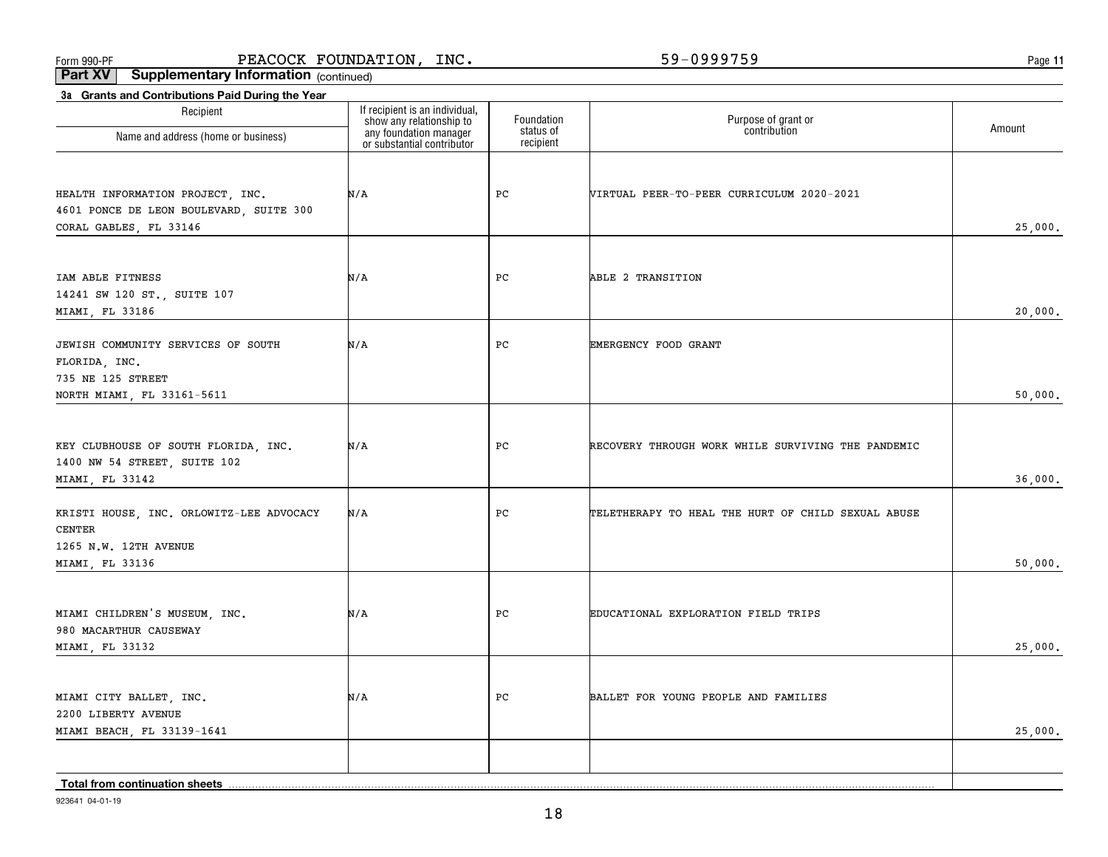**11**

**Part XV Supplementary Information** (continued)

| 3a Grants and Contributions Paid During the Year<br>Recipient                                          | If recipient is an individual,                                                   | Foundation             | Purpose of grant or<br>contribution                | Amount  |
|--------------------------------------------------------------------------------------------------------|----------------------------------------------------------------------------------|------------------------|----------------------------------------------------|---------|
| Name and address (home or business)                                                                    | show any relationship to<br>any foundation manager<br>or substantial contributor | status of<br>recipient |                                                    |         |
| HEALTH INFORMATION PROJECT, INC.<br>4601 PONCE DE LEON BOULEVARD, SUITE 300<br>CORAL GABLES, FL 33146  | N/A                                                                              | PC                     | VIRTUAL PEER-TO-PEER CURRICULUM 2020-2021          | 25,000. |
| IAM ABLE FITNESS<br>14241 SW 120 ST., SUITE 107<br>MIAMI, FL 33186                                     | N/A                                                                              | PC                     | ABLE 2 TRANSITION                                  | 20,000. |
| JEWISH COMMUNITY SERVICES OF SOUTH<br>FLORIDA, INC.<br>735 NE 125 STREET<br>NORTH MIAMI, FL 33161-5611 | N/A                                                                              | PC                     | EMERGENCY FOOD GRANT                               | 50,000. |
| KEY CLUBHOUSE OF SOUTH FLORIDA, INC.<br>1400 NW 54 STREET, SUITE 102<br>MIAMI, FL 33142                | N/A                                                                              | PC                     | RECOVERY THROUGH WORK WHILE SURVIVING THE PANDEMIC | 36,000. |
| KRISTI HOUSE, INC. ORLOWITZ-LEE ADVOCACY<br><b>CENTER</b><br>1265 N.W. 12TH AVENUE<br>MIAMI, FL 33136  | N/A                                                                              | PC                     | TELETHERAPY TO HEAL THE HURT OF CHILD SEXUAL ABUSE | 50,000. |
| MIAMI CHILDREN'S MUSEUM, INC.<br>980 MACARTHUR CAUSEWAY<br>MIAMI, FL 33132                             | N/A                                                                              | PC                     | EDUCATIONAL EXPLORATION FIELD TRIPS                | 25,000. |
| MIAMI CITY BALLET, INC.<br>2200 LIBERTY AVENUE<br>MIAMI BEACH, FL 33139-1641                           | N/A                                                                              | PC                     | BALLET FOR YOUNG PEOPLE AND FAMILIES               | 25,000. |
| Total from continuation sheets                                                                         |                                                                                  |                        |                                                    |         |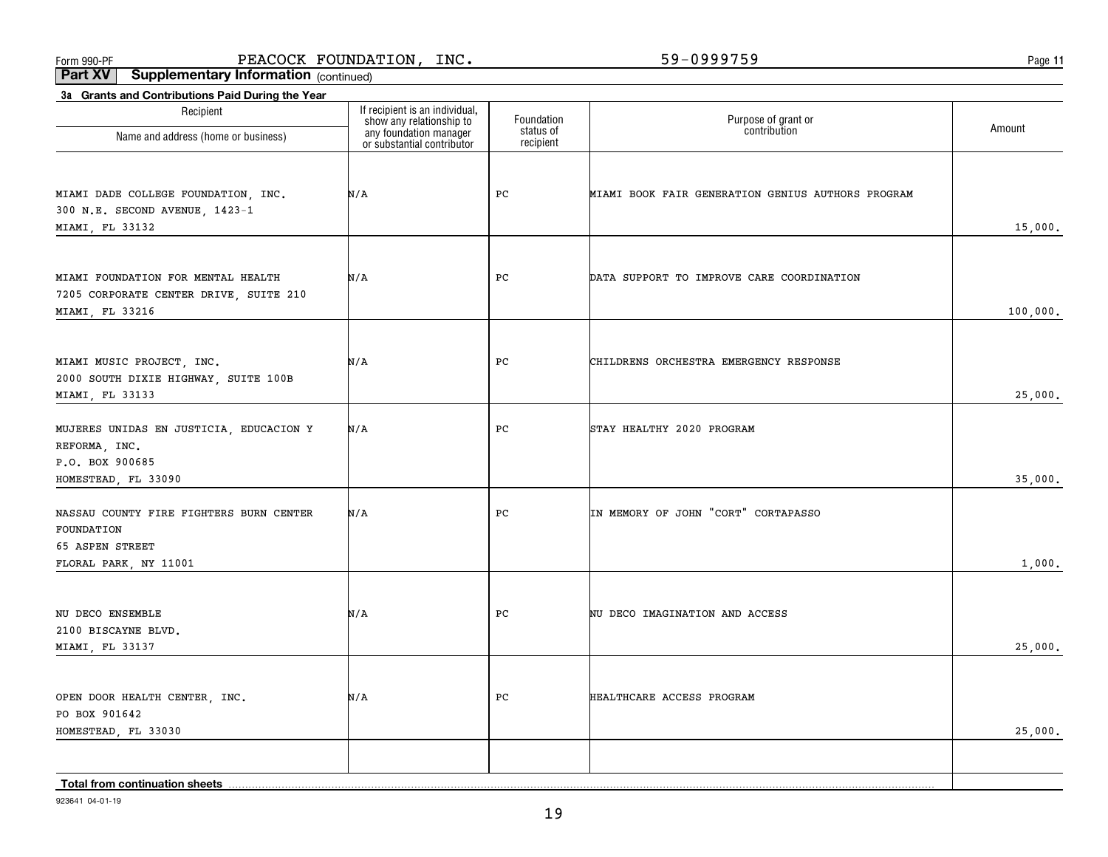**11**

**Part XV Supplementary Information** (continued)

| 3a Grants and Contributions Paid During the Year                                                   |                                                                                                                    |                                      |                                                   |          |
|----------------------------------------------------------------------------------------------------|--------------------------------------------------------------------------------------------------------------------|--------------------------------------|---------------------------------------------------|----------|
| Recipient<br>Name and address (home or business)                                                   | If recipient is an individual,<br>show any relationship to<br>any foundation manager<br>or substantial contributor | Foundation<br>status of<br>recipient | Purpose of grant or<br>contribution               | Amount   |
| MIAMI DADE COLLEGE FOUNDATION, INC.<br>300 N.E. SECOND AVENUE, 1423-1<br>MIAMI, FL 33132           | N/A                                                                                                                | PC                                   | MIAMI BOOK FAIR GENERATION GENIUS AUTHORS PROGRAM | 15,000.  |
| MIAMI FOUNDATION FOR MENTAL HEALTH<br>7205 CORPORATE CENTER DRIVE, SUITE 210<br>MIAMI, FL 33216    | N/A                                                                                                                | PC                                   | DATA SUPPORT TO IMPROVE CARE COORDINATION         | 100,000. |
| MIAMI MUSIC PROJECT, INC.<br>2000 SOUTH DIXIE HIGHWAY, SUITE 100B<br>MIAMI, FL 33133               | N/A                                                                                                                | PC                                   | CHILDRENS ORCHESTRA EMERGENCY RESPONSE            | 25,000.  |
| MUJERES UNIDAS EN JUSTICIA, EDUCACION Y<br>REFORMA, INC.<br>P.O. BOX 900685<br>HOMESTEAD, FL 33090 | N/A                                                                                                                | PC                                   | STAY HEALTHY 2020 PROGRAM                         | 35,000.  |
| NASSAU COUNTY FIRE FIGHTERS BURN CENTER<br>FOUNDATION<br>65 ASPEN STREET<br>FLORAL PARK, NY 11001  | N/A                                                                                                                | PC                                   | IN MEMORY OF JOHN "CORT" CORTAPASSO               | 1,000.   |
| NU DECO ENSEMBLE<br>2100 BISCAYNE BLVD.<br>MIAMI, FL 33137                                         | N/A                                                                                                                | PC                                   | NU DECO IMAGINATION AND ACCESS                    | 25,000.  |
| OPEN DOOR HEALTH CENTER, INC.<br>PO BOX 901642<br>HOMESTEAD, FL 33030                              | N/A                                                                                                                | PC                                   | HEALTHCARE ACCESS PROGRAM                         | 25,000.  |
| Total from continuation sheets                                                                     |                                                                                                                    |                                      |                                                   |          |

923641 04-01-19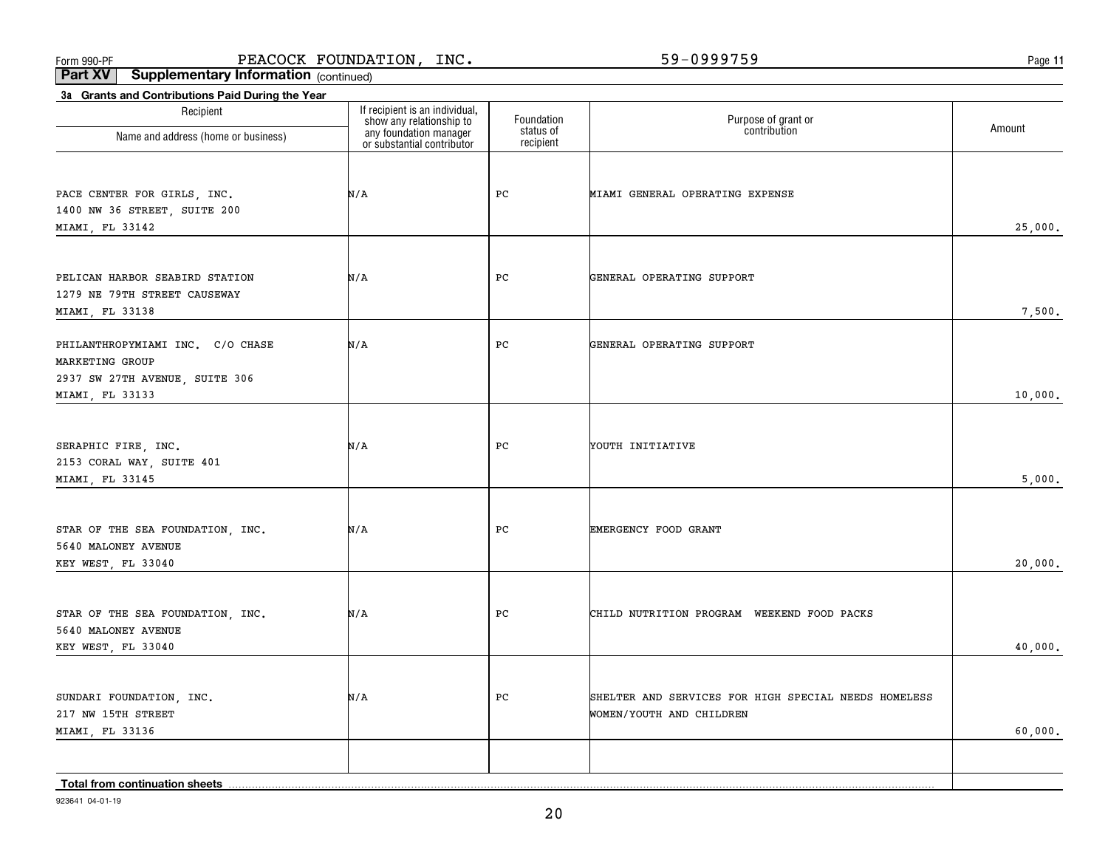**11**

**Part XV Supplementary Information** (continued)

| Recipient                                        | If recipient is an individual,                                                   | Foundation             | Purpose of grant or<br>contribution                  |         |
|--------------------------------------------------|----------------------------------------------------------------------------------|------------------------|------------------------------------------------------|---------|
| Name and address (home or business)              | show any relationship to<br>any foundation manager<br>or substantial contributor | status of<br>recipient |                                                      | Amount  |
|                                                  |                                                                                  |                        |                                                      |         |
| PACE CENTER FOR GIRLS, INC.                      | N/A                                                                              | PC                     | MIAMI GENERAL OPERATING EXPENSE                      |         |
| 1400 NW 36 STREET, SUITE 200                     |                                                                                  |                        |                                                      |         |
| MIAMI, FL 33142                                  |                                                                                  |                        |                                                      | 25,000. |
| PELICAN HARBOR SEABIRD STATION                   | N/A                                                                              | PC                     | GENERAL OPERATING SUPPORT                            |         |
| 1279 NE 79TH STREET CAUSEWAY                     |                                                                                  |                        |                                                      |         |
| MIAMI, FL 33138                                  |                                                                                  |                        |                                                      | 7,500.  |
| PHILANTHROPYMIAMI INC. C/O CHASE                 | N/A                                                                              | PC                     | GENERAL OPERATING SUPPORT                            |         |
| MARKETING GROUP                                  |                                                                                  |                        |                                                      |         |
| 2937 SW 27TH AVENUE, SUITE 306                   |                                                                                  |                        |                                                      |         |
| MIAMI, FL 33133                                  |                                                                                  |                        |                                                      | 10,000. |
|                                                  |                                                                                  |                        |                                                      |         |
| SERAPHIC FIRE, INC.<br>2153 CORAL WAY, SUITE 401 | N/A                                                                              | PC                     | YOUTH INITIATIVE                                     |         |
| MIAMI, FL 33145                                  |                                                                                  |                        |                                                      | 5,000.  |
|                                                  |                                                                                  |                        |                                                      |         |
| STAR OF THE SEA FOUNDATION, INC.                 | N/A                                                                              | PC                     | EMERGENCY FOOD GRANT                                 |         |
| 5640 MALONEY AVENUE                              |                                                                                  |                        |                                                      |         |
| KEY WEST, FL 33040                               |                                                                                  |                        |                                                      | 20,000. |
|                                                  |                                                                                  |                        |                                                      |         |
| STAR OF THE SEA FOUNDATION, INC.                 | N/A                                                                              | PC                     | CHILD NUTRITION PROGRAM WEEKEND FOOD PACKS           |         |
| 5640 MALONEY AVENUE<br>KEY WEST, FL 33040        |                                                                                  |                        |                                                      | 40,000. |
|                                                  |                                                                                  |                        |                                                      |         |
| SUNDARI FOUNDATION, INC.                         | N/A                                                                              | PC                     | SHELTER AND SERVICES FOR HIGH SPECIAL NEEDS HOMELESS |         |
| 217 NW 15TH STREET                               |                                                                                  |                        | WOMEN/YOUTH AND CHILDREN                             |         |
| MIAMI, FL 33136                                  |                                                                                  |                        |                                                      | 60,000. |
|                                                  |                                                                                  |                        |                                                      |         |
| <b>Total from continuation sheets</b>            |                                                                                  |                        |                                                      |         |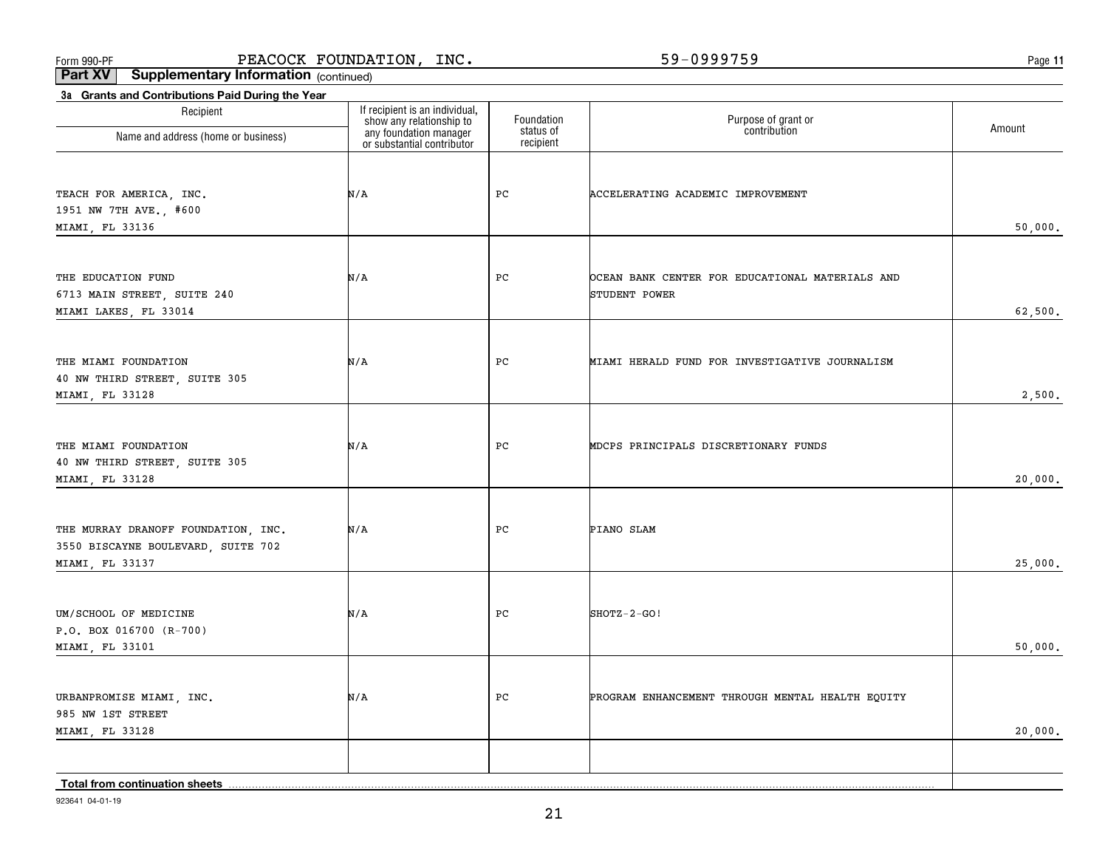**11**

**Part XV Supplementary Information** (continued)

| 3a Grants and Contributions Paid During the Year |                                                                                                                    |                         |                                                  |         |
|--------------------------------------------------|--------------------------------------------------------------------------------------------------------------------|-------------------------|--------------------------------------------------|---------|
| Recipient<br>Name and address (home or business) | If recipient is an individual,<br>show any relationship to<br>any foundation manager<br>or substantial contributor | Foundation<br>status of | Purpose of grant or<br>contribution              | Amount  |
|                                                  |                                                                                                                    | recipient               |                                                  |         |
|                                                  |                                                                                                                    |                         |                                                  |         |
| TEACH FOR AMERICA, INC.                          | N/A                                                                                                                | PC                      | ACCELERATING ACADEMIC IMPROVEMENT                |         |
| 1951 NW 7TH AVE., #600                           |                                                                                                                    |                         |                                                  |         |
| MIAMI, FL 33136                                  |                                                                                                                    |                         |                                                  | 50,000. |
|                                                  |                                                                                                                    |                         |                                                  |         |
| THE EDUCATION FUND                               | N/A                                                                                                                | PC                      | OCEAN BANK CENTER FOR EDUCATIONAL MATERIALS AND  |         |
| 6713 MAIN STREET, SUITE 240                      |                                                                                                                    |                         | STUDENT POWER                                    |         |
| MIAMI LAKES, FL 33014                            |                                                                                                                    |                         |                                                  | 62,500. |
|                                                  |                                                                                                                    |                         |                                                  |         |
|                                                  |                                                                                                                    |                         |                                                  |         |
| THE MIAMI FOUNDATION                             | N/A                                                                                                                | PC                      | MIAMI HERALD FUND FOR INVESTIGATIVE JOURNALISM   |         |
| 40 NW THIRD STREET, SUITE 305<br>MIAMI, FL 33128 |                                                                                                                    |                         |                                                  | 2,500.  |
|                                                  |                                                                                                                    |                         |                                                  |         |
|                                                  |                                                                                                                    |                         |                                                  |         |
| THE MIAMI FOUNDATION                             | N/A                                                                                                                | PC                      | MDCPS PRINCIPALS DISCRETIONARY FUNDS             |         |
| 40 NW THIRD STREET, SUITE 305                    |                                                                                                                    |                         |                                                  |         |
| MIAMI, FL 33128                                  |                                                                                                                    |                         |                                                  | 20,000. |
|                                                  |                                                                                                                    |                         |                                                  |         |
| THE MURRAY DRANOFF FOUNDATION, INC.              | N/A                                                                                                                | PC                      | PIANO SLAM                                       |         |
| 3550 BISCAYNE BOULEVARD, SUITE 702               |                                                                                                                    |                         |                                                  |         |
| MIAMI, FL 33137                                  |                                                                                                                    |                         |                                                  | 25,000. |
|                                                  |                                                                                                                    |                         |                                                  |         |
| UM/SCHOOL OF MEDICINE                            | N/A                                                                                                                | PC                      | SHOTZ-2-GO!                                      |         |
| $P.O. BOX 016700 (R-700)$                        |                                                                                                                    |                         |                                                  |         |
| MIAMI, FL 33101                                  |                                                                                                                    |                         |                                                  | 50,000. |
|                                                  |                                                                                                                    |                         |                                                  |         |
|                                                  |                                                                                                                    |                         |                                                  |         |
| URBANPROMISE MIAMI, INC.<br>985 NW 1ST STREET    | N/A                                                                                                                | PC                      | PROGRAM ENHANCEMENT THROUGH MENTAL HEALTH EQUITY |         |
| MIAMI, FL 33128                                  |                                                                                                                    |                         |                                                  | 20,000. |
|                                                  |                                                                                                                    |                         |                                                  |         |
|                                                  |                                                                                                                    |                         |                                                  |         |
| Total from continuation sheets                   |                                                                                                                    |                         |                                                  |         |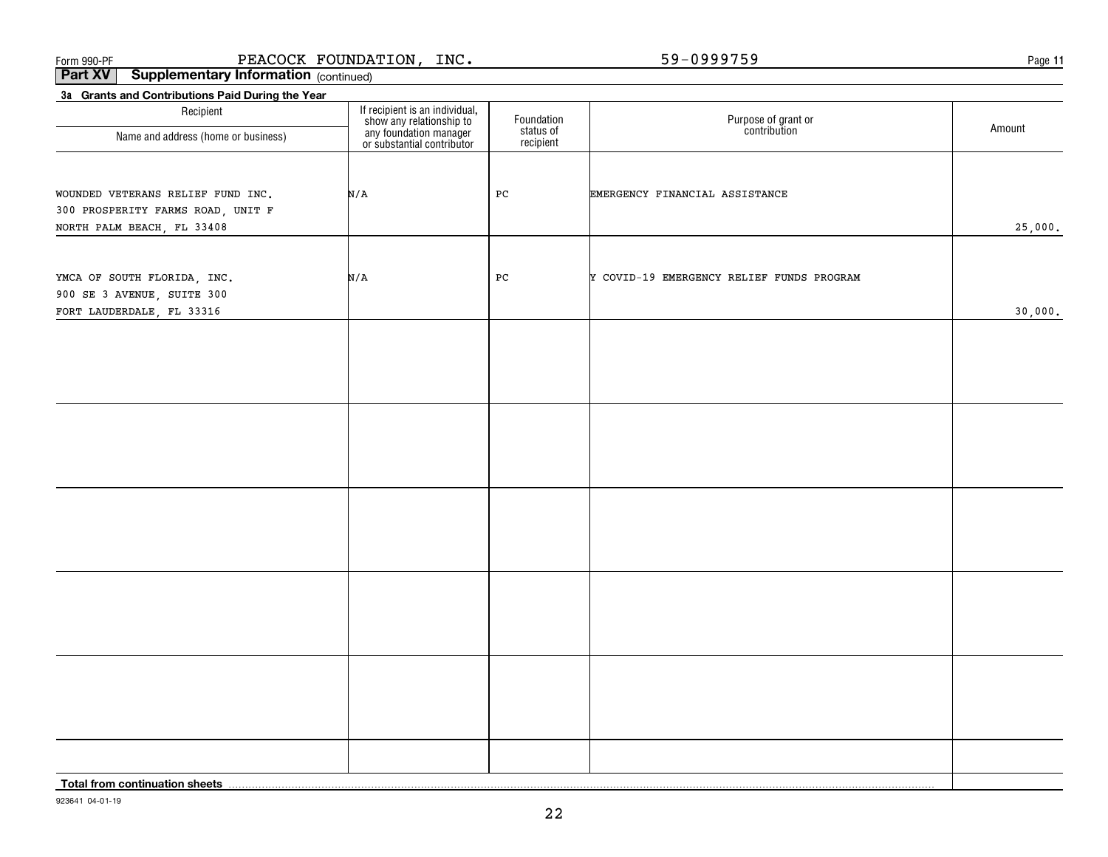#### Form 990-PF  $\blacksquare$  PEACOCK FOUNDATION , INC .  $\blacksquare$  b9-0999759  $\blacksquare$  . The page PEACOCK FOUNDATION, INC. 59-0999759

**11**

**Part XV** Supplementary Information (continued)

| 3a Grants and Contributions Paid During the Year                       |                                                                                                                    |                                      |                                           |         |
|------------------------------------------------------------------------|--------------------------------------------------------------------------------------------------------------------|--------------------------------------|-------------------------------------------|---------|
| Recipient                                                              | If recipient is an individual,<br>show any relationship to<br>any foundation manager<br>or substantial contributor | Foundation<br>status of<br>recipient | Purpose of grant or<br>contribution       | Amount  |
| Name and address (home or business)                                    |                                                                                                                    |                                      |                                           |         |
|                                                                        |                                                                                                                    |                                      |                                           |         |
|                                                                        |                                                                                                                    |                                      |                                           |         |
| WOUNDED VETERANS RELIEF FUND INC.<br>300 PROSPERITY FARMS ROAD, UNIT F | N/A                                                                                                                | PC                                   | EMERGENCY FINANCIAL ASSISTANCE            |         |
| NORTH PALM BEACH, FL 33408                                             |                                                                                                                    |                                      |                                           | 25,000. |
|                                                                        |                                                                                                                    |                                      |                                           |         |
|                                                                        |                                                                                                                    |                                      |                                           |         |
| YMCA OF SOUTH FLORIDA, INC.                                            | N/A                                                                                                                | PC                                   | Y COVID-19 EMERGENCY RELIEF FUNDS PROGRAM |         |
| 900 SE 3 AVENUE, SUITE 300                                             |                                                                                                                    |                                      |                                           |         |
| FORT LAUDERDALE, FL 33316                                              |                                                                                                                    |                                      |                                           | 30,000. |
|                                                                        |                                                                                                                    |                                      |                                           |         |
|                                                                        |                                                                                                                    |                                      |                                           |         |
|                                                                        |                                                                                                                    |                                      |                                           |         |
|                                                                        |                                                                                                                    |                                      |                                           |         |
|                                                                        |                                                                                                                    |                                      |                                           |         |
|                                                                        |                                                                                                                    |                                      |                                           |         |
|                                                                        |                                                                                                                    |                                      |                                           |         |
|                                                                        |                                                                                                                    |                                      |                                           |         |
|                                                                        |                                                                                                                    |                                      |                                           |         |
|                                                                        |                                                                                                                    |                                      |                                           |         |
|                                                                        |                                                                                                                    |                                      |                                           |         |
|                                                                        |                                                                                                                    |                                      |                                           |         |
|                                                                        |                                                                                                                    |                                      |                                           |         |
|                                                                        |                                                                                                                    |                                      |                                           |         |
|                                                                        |                                                                                                                    |                                      |                                           |         |
|                                                                        |                                                                                                                    |                                      |                                           |         |
|                                                                        |                                                                                                                    |                                      |                                           |         |
|                                                                        |                                                                                                                    |                                      |                                           |         |
|                                                                        |                                                                                                                    |                                      |                                           |         |
|                                                                        |                                                                                                                    |                                      |                                           |         |
|                                                                        |                                                                                                                    |                                      |                                           |         |
|                                                                        |                                                                                                                    |                                      |                                           |         |
| Total from continuation sheets                                         |                                                                                                                    |                                      |                                           |         |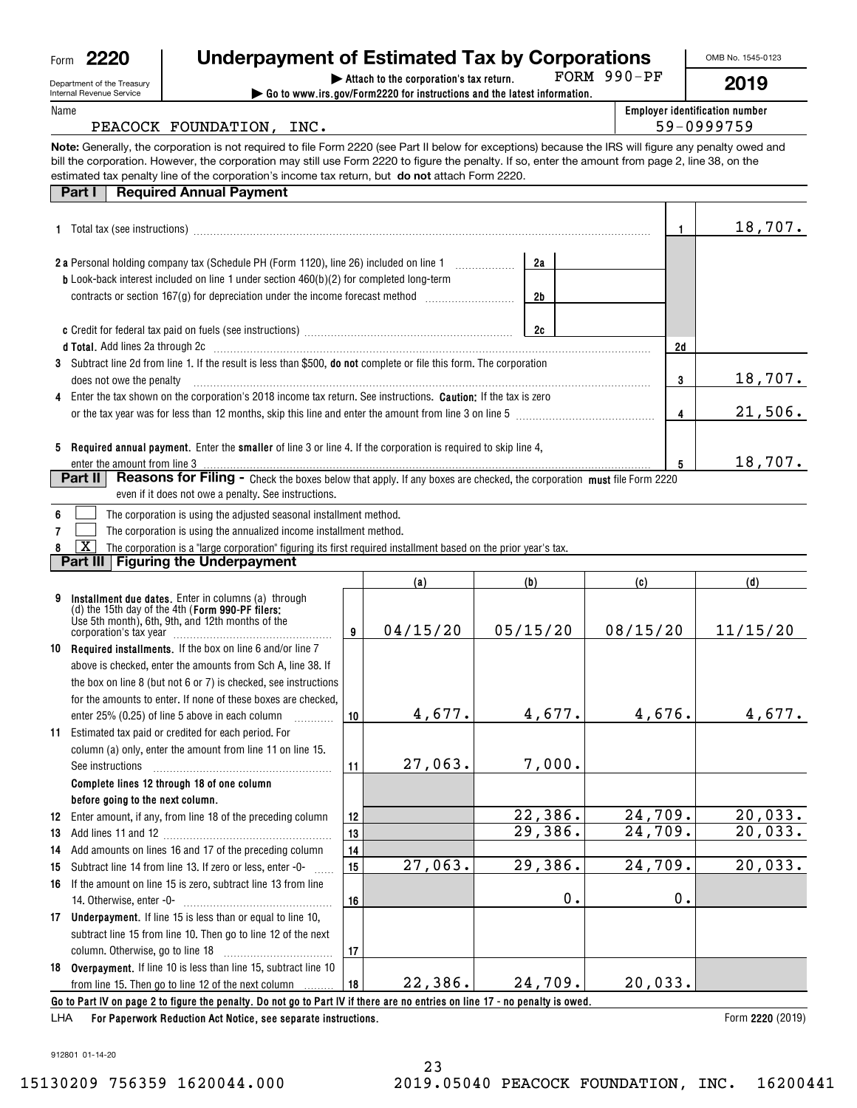| Form | חכי<br>. . |
|------|------------|
|      |            |

## **| Attach to the corporation's tax return. Underpayment of Estimated Tax by Corporations**

FORM 990-PF

**5**

18,707.

OMB No. 1545-0123

**2019**

| Department of the Treasury |  |
|----------------------------|--|
| Internal Revenue Service   |  |
| Name                       |  |

| DED AILIEIR OF LIE TIE ASUIV<br>Internal Revenue Service | $\triangleright$ Go to www.irs.gov/Form2220 for instructions and the latest information.                                                                                                                                                                                                                                                                                                                        | 20 I J                                              |         |
|----------------------------------------------------------|-----------------------------------------------------------------------------------------------------------------------------------------------------------------------------------------------------------------------------------------------------------------------------------------------------------------------------------------------------------------------------------------------------------------|-----------------------------------------------------|---------|
| Name<br>PEACOCK FOUNDATION, INC.                         |                                                                                                                                                                                                                                                                                                                                                                                                                 | <b>Employer identification number</b><br>59-0999759 |         |
|                                                          | Note: Generally, the corporation is not required to file Form 2220 (see Part II below for exceptions) because the IRS will figure any penalty owed and<br>bill the corporation. However, the corporation may still use Form 2220 to figure the penalty. If so, enter the amount from page 2, line 38, on the<br>estimated tax penalty line of the corporation's income tax return, but do not attach Form 2220. |                                                     |         |
| Part I                                                   | <b>Required Annual Payment</b>                                                                                                                                                                                                                                                                                                                                                                                  |                                                     |         |
| <b>1</b> Total tax (see instructions)                    |                                                                                                                                                                                                                                                                                                                                                                                                                 |                                                     | 18,707. |
|                                                          | 2 a Personal holding company tax (Schedule PH (Form 1120), line 26) included on line 1<br>2a                                                                                                                                                                                                                                                                                                                    |                                                     |         |
|                                                          | <b>b</b> Look-back interest included on line 1 under section 460(b)(2) for completed long-term<br>contracts or section $167(q)$ for depreciation under the income forecast method<br>2b                                                                                                                                                                                                                         |                                                     |         |
|                                                          | <b>c</b> Credit for federal tax paid on fuels (see instructions)<br>2c                                                                                                                                                                                                                                                                                                                                          |                                                     |         |
| <b>d Total.</b> Add lines 2a through 2c                  |                                                                                                                                                                                                                                                                                                                                                                                                                 | 2d                                                  |         |

| <b>d Total.</b> Add lines 2a through 2c                                                                                     | 2d |         |
|-----------------------------------------------------------------------------------------------------------------------------|----|---------|
| 3 Subtract line 2d from line 1. If the result is less than \$500, <b>do not</b> complete or file this form. The corporation |    |         |
| does not owe the penalty                                                                                                    |    | 18,707. |
| 4 Enter the tax shown on the corporation's 2018 income tax return. See instructions. <b>Caution:</b> If the tax is zero     |    |         |
| or the tax year was for less than 12 months, skip this line and enter the amount from line 3 on line 5                      |    | 21.506. |
|                                                                                                                             |    |         |
|                                                                                                                             |    |         |

**5 Required annual payment.** Enter the **smaller** of line 3 or line 4. If the corporation is required to skip line 4, enter the amount from line 3

| <b>Part II</b>   Reasons for Filing - Check the boxes below that apply. If any boxes are checked, the corporation must file Form 222 <sup><i>r</i></sup> |  |
|----------------------------------------------------------------------------------------------------------------------------------------------------------|--|
| even if it does not owe a penalty. See instructions.                                                                                                     |  |

| $6 \mid$ | The corporation is using the adjusted seasonal installment method. |
|----------|--------------------------------------------------------------------|

**7**The corporation is using the annualized income installment method.  $\mathcal{L}^{\text{max}}$ 

**8**The corporation is a "large corporation" figuring its first required installment based on the prior year's tax.  $\boxed{\text{X}}$ 

**Part III Figuring the Underpayment**

|    |                                                                                                                                                             |    | (a)      | (b)      | (c)      | (d)                |
|----|-------------------------------------------------------------------------------------------------------------------------------------------------------------|----|----------|----------|----------|--------------------|
|    | Installment due dates. Enter in columns (a) through<br>(d) the 15th day of the 4th (Form 990-PF filers:<br>Use 5th month), 6th, 9th, and 12th months of the | 9  | 04/15/20 | 05/15/20 | 08/15/20 | 11/15/20           |
|    | 10 Required installments. If the box on line 6 and/or line 7                                                                                                |    |          |          |          |                    |
|    | above is checked, enter the amounts from Sch A, line 38. If                                                                                                 |    |          |          |          |                    |
|    | the box on line 8 (but not 6 or 7) is checked, see instructions                                                                                             |    |          |          |          |                    |
|    | for the amounts to enter. If none of these boxes are checked.                                                                                               |    |          |          |          |                    |
|    | enter 25% (0.25) of line 5 above in each column                                                                                                             | 10 | 4,677.   | 4,677.   | 4,676.   | 4,677.             |
| 11 | Estimated tax paid or credited for each period. For                                                                                                         |    |          |          |          |                    |
|    | column (a) only, enter the amount from line 11 on line 15.                                                                                                  |    |          |          |          |                    |
|    | See instructions                                                                                                                                            | 11 | 27,063.  | 7,000.   |          |                    |
|    | Complete lines 12 through 18 of one column                                                                                                                  |    |          |          |          |                    |
|    | before going to the next column.                                                                                                                            |    |          |          |          |                    |
| 12 | Enter amount, if any, from line 18 of the preceding column                                                                                                  | 12 |          | 22,386.  | 24,709.  | 20,033.            |
| 13 |                                                                                                                                                             | 13 |          | 29,386.  | 24,709.  | 20,033.            |
| 14 | Add amounts on lines 16 and 17 of the preceding column                                                                                                      | 14 |          |          |          |                    |
| 15 | Subtract line 14 from line 13. If zero or less, enter -0-                                                                                                   | 15 | 27,063.  | 29,386.  | 24,709.  | 20,033.            |
| 16 | If the amount on line 15 is zero, subtract line 13 from line                                                                                                |    |          |          |          |                    |
|    |                                                                                                                                                             | 16 |          | 0.       | 0.       |                    |
|    | 17 Underpayment. If line 15 is less than or equal to line 10,                                                                                               |    |          |          |          |                    |
|    | subtract line 15 from line 10. Then go to line 12 of the next                                                                                               |    |          |          |          |                    |
|    |                                                                                                                                                             | 17 |          |          |          |                    |
|    | 18 Overpayment. If line 10 is less than line 15, subtract line 10                                                                                           |    |          |          |          |                    |
|    | from line 15. Then go to line 12 of the next column                                                                                                         | 18 | 22, 386. | 24,709.  | 20,033.  |                    |
|    | Go to Part IV on page 2 to figure the penalty. Do not go to Part IV if there are no entries on line 17 - no penalty is owed.                                |    |          |          |          |                    |
|    | LLLA Les Denemiers Deduction Act Notice, ace concrete instructions                                                                                          |    |          |          |          | $Lorm$ 0000 (0010) |

**For Paperwork Reduction Act Notice, see separate instructions. 2220**  LHA

Form 2220 (2019)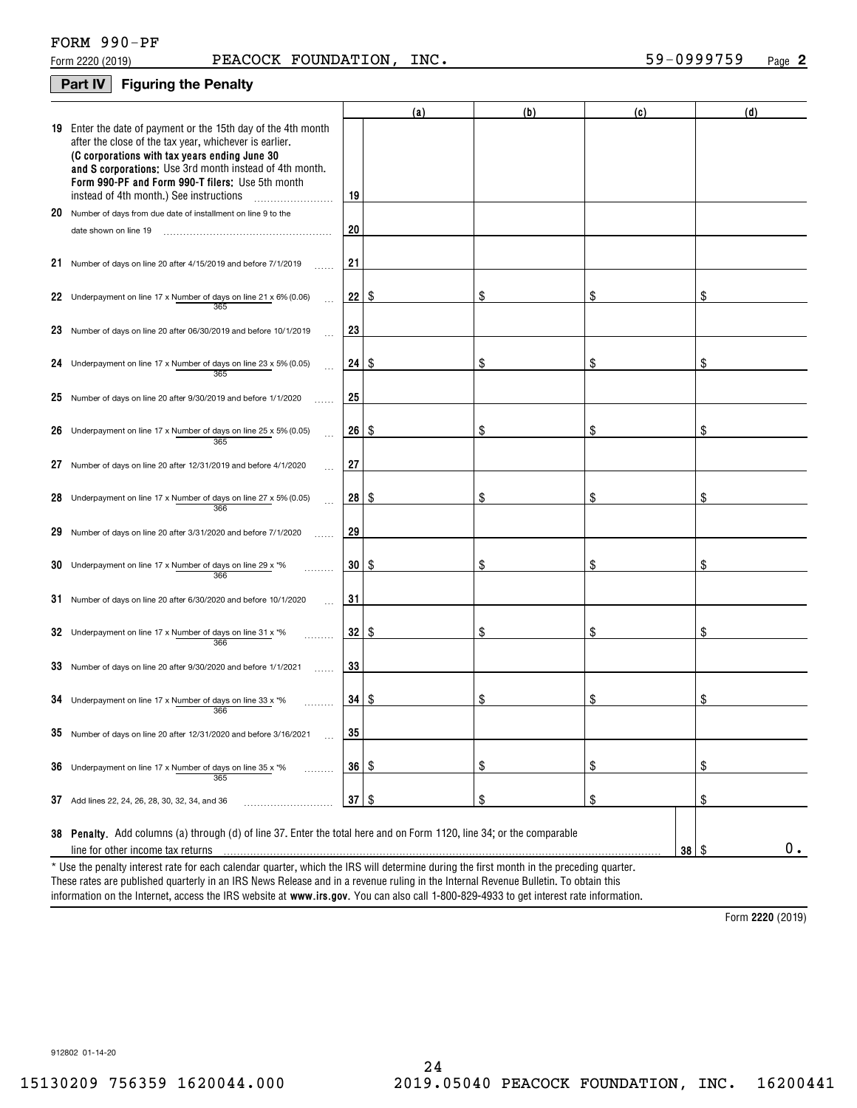| FORM 990-PF |  |
|-------------|--|
|             |  |

#### **Part IV Figuring the Penalty**

|    |                                                                                                                                                                                                                                                                                                                                    |           | (a)  | (b) | (c)               | (d)     |  |  |
|----|------------------------------------------------------------------------------------------------------------------------------------------------------------------------------------------------------------------------------------------------------------------------------------------------------------------------------------|-----------|------|-----|-------------------|---------|--|--|
|    | 19 Enter the date of payment or the 15th day of the 4th month<br>after the close of the tax year, whichever is earlier.<br>(C corporations with tax years ending June 30<br>and S corporations: Use 3rd month instead of 4th month.<br>Form 990-PF and Form 990-T filers; Use 5th month<br>instead of 4th month.) See instructions | 19        |      |     |                   |         |  |  |
| 20 | Number of days from due date of installment on line 9 to the                                                                                                                                                                                                                                                                       |           |      |     |                   |         |  |  |
|    | date shown on line 19                                                                                                                                                                                                                                                                                                              | 20        |      |     |                   |         |  |  |
|    | 21 Number of days on line 20 after 4/15/2019 and before 7/1/2019                                                                                                                                                                                                                                                                   | 21        |      |     |                   |         |  |  |
|    | 22 Underpayment on line 17 x Number of days on line $21 \times 6\%$ (0.06)                                                                                                                                                                                                                                                         | 22        | \$   | S   | \$                |         |  |  |
|    | 23 Number of days on line 20 after 06/30/2019 and before 10/1/2019                                                                                                                                                                                                                                                                 | 23        |      |     |                   |         |  |  |
|    | 24 Underpayment on line 17 x Number of days on line 23 x 5% (0.05)<br>365                                                                                                                                                                                                                                                          | 24        | - \$ | \$  | \$                | S       |  |  |
|    | 25 Number of days on line 20 after 9/30/2019 and before 1/1/2020                                                                                                                                                                                                                                                                   | 25        |      |     |                   |         |  |  |
|    | 26 Underpayment on line 17 x Number of days on line 25 x 5% (0.05)<br>365                                                                                                                                                                                                                                                          | 26        | -S   | \$  | \$                | S       |  |  |
|    | 27 Number of days on line 20 after 12/31/2019 and before 4/1/2020                                                                                                                                                                                                                                                                  | 27        |      |     |                   |         |  |  |
|    | 28 Underpayment on line 17 x Number of days on line $27 \times 5\%$ (0.05)<br>366                                                                                                                                                                                                                                                  | 28        | - \$ | S   | \$                |         |  |  |
| 29 | Number of days on line 20 after 3/31/2020 and before 7/1/2020                                                                                                                                                                                                                                                                      | 29        |      |     |                   |         |  |  |
|    | 30 Underpayment on line 17 x Number of days on line 29 x *%<br>366                                                                                                                                                                                                                                                                 | 30        | \$   | \$  | \$                | \$      |  |  |
|    | 31 Number of days on line 20 after 6/30/2020 and before 10/1/2020                                                                                                                                                                                                                                                                  | 31        |      |     |                   |         |  |  |
|    | 32 Underpayment on line 17 x Number of days on line 31 x *%<br>366                                                                                                                                                                                                                                                                 | 32        | \$   | \$  | \$                | \$      |  |  |
|    | 33 Number of days on line 20 after 9/30/2020 and before 1/1/2021                                                                                                                                                                                                                                                                   | 33        |      |     |                   |         |  |  |
|    | 34 Underpayment on line 17 x Number of days on line 33 x *%<br>366                                                                                                                                                                                                                                                                 | 34        | \$   | S   | \$                | S       |  |  |
|    | 35 Number of days on line 20 after 12/31/2020 and before 3/16/2021                                                                                                                                                                                                                                                                 | 35        |      |     |                   |         |  |  |
| 36 | Underpayment on line 17 x Number of days on line 35 x *%<br>.<br>365                                                                                                                                                                                                                                                               | 36        | \$   | \$  | \$                | \$      |  |  |
|    | 37 Add lines 22, 24, 26, 28, 30, 32, 34, and 36                                                                                                                                                                                                                                                                                    | $37$ \ \$ |      | \$  | \$                | \$      |  |  |
|    | 38 Penalty. Add columns (a) through (d) of line 37. Enter the total here and on Form 1120, line 34; or the comparable                                                                                                                                                                                                              |           |      |     |                   |         |  |  |
|    | line for other income tax returns                                                                                                                                                                                                                                                                                                  |           |      |     | $38$ \ $\sqrt{3}$ | $0_{.}$ |  |  |
|    | * Use the penalty interest rate for each calendar quarter, which the IRS will determine during the first month in the preceding quarter.                                                                                                                                                                                           |           |      |     |                   |         |  |  |

information on the Internet, access the IRS website at **www.irs.gov**. You can also call 1-800-829-4933 to get interest rate information. These rates are published quarterly in an IRS News Release and in a revenue ruling in the Internal Revenue Bulletin. To obtain this

**2220**  Form (2019)

912802 01-14-20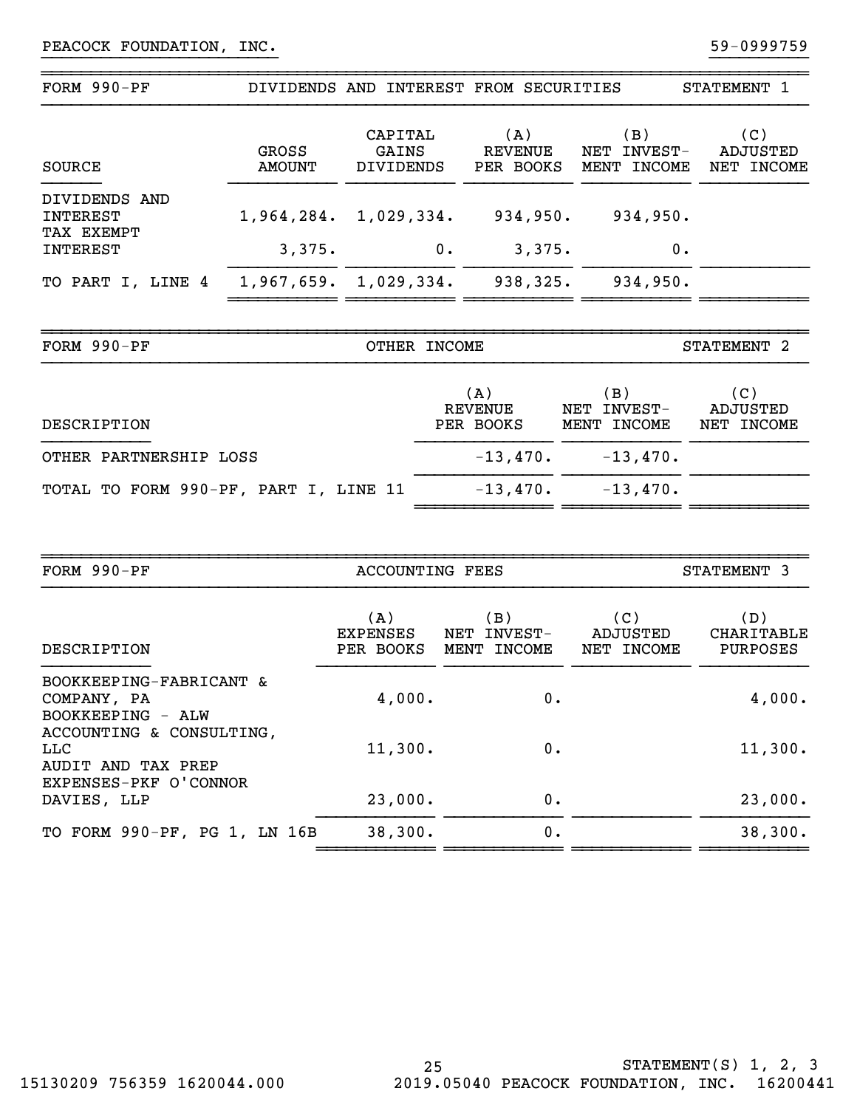| FORM $990-PF$                           |                        | DIVIDENDS AND INTEREST FROM SECURITIES |                             |                                      | STATEMENT 1                   |
|-----------------------------------------|------------------------|----------------------------------------|-----------------------------|--------------------------------------|-------------------------------|
| SOURCE                                  | <b>GROSS</b><br>AMOUNT | CAPITAL<br>GAINS<br>DIVIDENDS          | (A)<br>REVENUE<br>PER BOOKS | (B)<br>INVEST-<br>NET<br>MENT INCOME | (C)<br>ADJUSTED<br>NET INCOME |
| DIVIDENDS AND<br>INTEREST<br>TAX EXEMPT | 1,964,284.             | $1,029,334$ .                          | 934,950.                    | 934,950.                             |                               |
| INTEREST                                | 3,375.                 | 0.                                     | 3,375.                      | 0.                                   |                               |
| TO PART I, LINE 4                       |                        | $1,967,659.$ $1,029,334.$              | 938,325.                    | 934,950.                             |                               |
| FORM 990-PF                             |                        | <b>OTHER</b><br><b>INCOME</b>          |                             |                                      | STATEMENT <sub>2</sub>        |

}}}}}}}}}}}}}}}}}}}}}}}} }}}}}}}}}}

~~~~~~~~~~~~~~~~~~~~~~~~~~~~~~~~~~~~~~~~~~~~~~~~~~~~~~~~~~~~~~~~~~~~~~~~~~~~~~

| DESCRIPTION                           | (A)<br>REVENUE<br>PER BOOKS | (B)<br>NET INVEST-<br>MENT INCOME | (C)<br>ADJUSTED<br>NET INCOME |
|---------------------------------------|-----------------------------|-----------------------------------|-------------------------------|
| OTHER PARTNERSHIP LOSS                | $-13,470$ .                 | $-13,470$ .                       |                               |
| TOTAL TO FORM 990-PF, PART I, LINE 11 | $-13,470$ .                 | $-13.470$ .                       |                               |

| FORM 990-PF                                                 | ACCOUNTING FEES              |                                      | STATEMENT 3                   |                                      |  |
|-------------------------------------------------------------|------------------------------|--------------------------------------|-------------------------------|--------------------------------------|--|
| DESCRIPTION                                                 | (A)<br>EXPENSES<br>PER BOOKS | (B)<br>INVEST-<br>NET<br>MENT INCOME | (C)<br>ADJUSTED<br>NET INCOME | (D)<br>CHARITABLE<br><b>PURPOSES</b> |  |
| BOOKKEEPING-FABRICANT &<br>COMPANY, PA<br>BOOKKEEPING - ALW | 4,000.                       | 0.                                   |                               | 4,000.                               |  |
| ACCOUNTING & CONSULTING,<br>LLC<br>AUDIT AND TAX PREP       | 11,300.                      | 0.                                   |                               | 11,300.                              |  |
| EXPENSES-PKF O'CONNOR<br>DAVIES, LLP                        | 23,000.                      | 0.                                   |                               | 23,000.                              |  |
| TO FORM 990-PF, PG 1, LN 16B                                | 38,300.                      | 0.                                   |                               | 38,300.                              |  |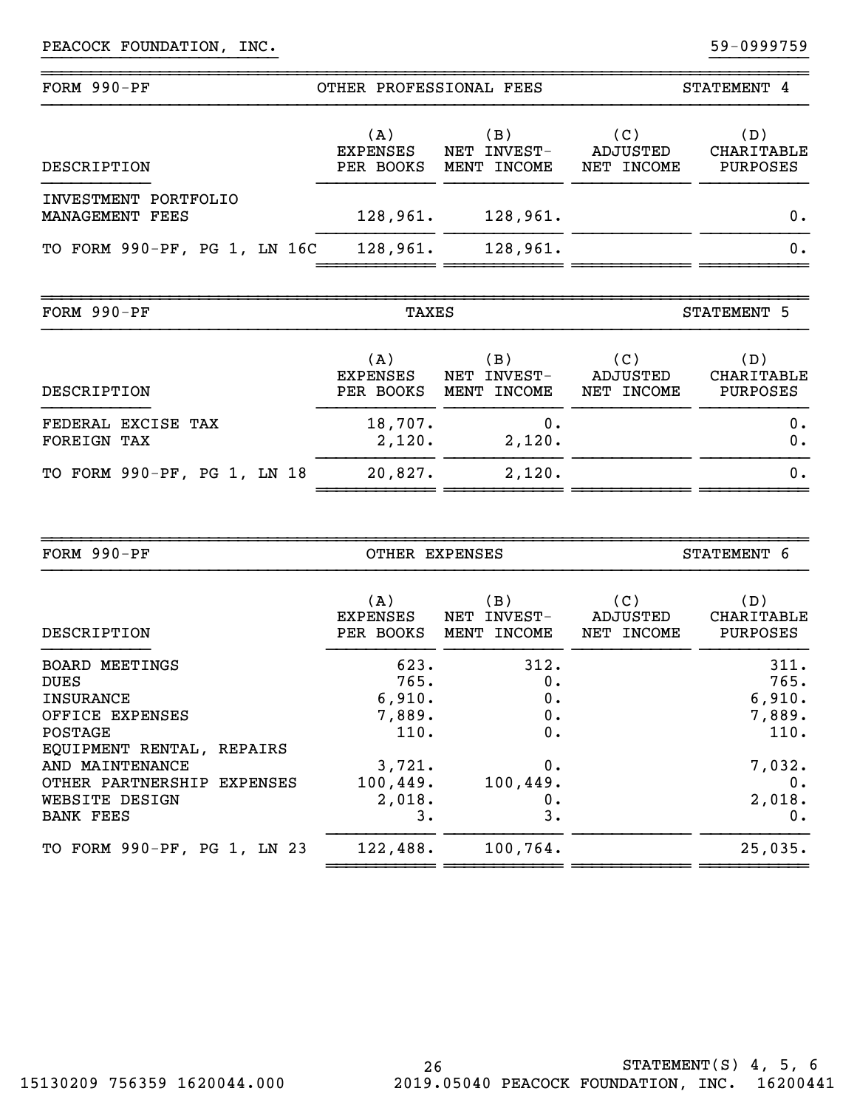| FORM 990-PF                             | OTHER PROFESSIONAL FEES             |                                      | STATEMENT 4                   |                                             |  |
|-----------------------------------------|-------------------------------------|--------------------------------------|-------------------------------|---------------------------------------------|--|
| DESCRIPTION                             | (A)<br><b>EXPENSES</b><br>PER BOOKS | (B)<br>INVEST-<br>NET<br>MENT INCOME | (C)<br>ADJUSTED<br>NET INCOME | (D)<br><b>CHARITABLE</b><br><b>PURPOSES</b> |  |
| INVESTMENT PORTFOLIO<br>MANAGEMENT FEES | 128,961.                            | 128,961.                             |                               | 0.                                          |  |
| TO FORM 990-PF, PG 1, LN 16C            | 128,961.                            | 128,961.                             |                               | 0.                                          |  |

}}}}}}}}}}}}}}}}}}}}}}}} }}}}}}}}}}

~~~~~~~~~~~~~~~~~~~~~~~~~~~~~~~~~~~~~~~~~~~~~~~~~~~~~~~~~~~~~~~~~~~~~~~~~~~~~~

| FORM 990-PF                       | TAXES                               |                                     | STATEMENT 5                   |                                 |  |
|-----------------------------------|-------------------------------------|-------------------------------------|-------------------------------|---------------------------------|--|
| DESCRIPTION                       | (A)<br><b>EXPENSES</b><br>PER BOOKS | B)<br>INVEST-<br>NET<br>MENT INCOME | (C)<br>ADJUSTED<br>NET INCOME | ( D )<br>CHARITABLE<br>PURPOSES |  |
| FEDERAL EXCISE TAX<br>FOREIGN TAX | 18,707.<br>2,120.                   | 0.<br>2,120.                        |                               | 0.<br>0.                        |  |
| TO FORM 990-PF, PG 1, LN 18       | 20,827.                             | 2,120.                              |                               | 0.                              |  |

| FORM $990-PF$                                                                                                    | OTHER EXPENSES                           |                                         | STATEMENT 6                   |                                          |  |  |
|------------------------------------------------------------------------------------------------------------------|------------------------------------------|-----------------------------------------|-------------------------------|------------------------------------------|--|--|
| DESCRIPTION                                                                                                      | (A)<br><b>EXPENSES</b><br>PER BOOKS      | (B)<br>NET<br>INVEST-<br>INCOME<br>MENT | (C)<br>ADJUSTED<br>NET INCOME | (D)<br>CHARITABLE<br>PURPOSES            |  |  |
| <b>BOARD MEETINGS</b><br><b>DUES</b><br>INSURANCE<br>OFFICE EXPENSES<br>POSTAGE                                  | 623.<br>765.<br>6,910.<br>7,889.<br>110. | 312.<br>0.<br>0.<br>0.<br>0.            |                               | 311.<br>765.<br>6,910.<br>7,889.<br>110. |  |  |
| EQUIPMENT RENTAL, REPAIRS<br>AND MAINTENANCE<br>OTHER PARTNERSHIP EXPENSES<br>WEBSITE DESIGN<br><b>BANK FEES</b> | 3,721.<br>100,449.<br>2,018.<br>3.       | 0.<br>100,449.<br>0.<br>3.              |                               | 7,032.<br>0.<br>2,018.<br>0.             |  |  |
| TO FORM 990-PF, PG 1, LN 23                                                                                      | 122,488.                                 | 100,764.                                |                               | 25,035.                                  |  |  |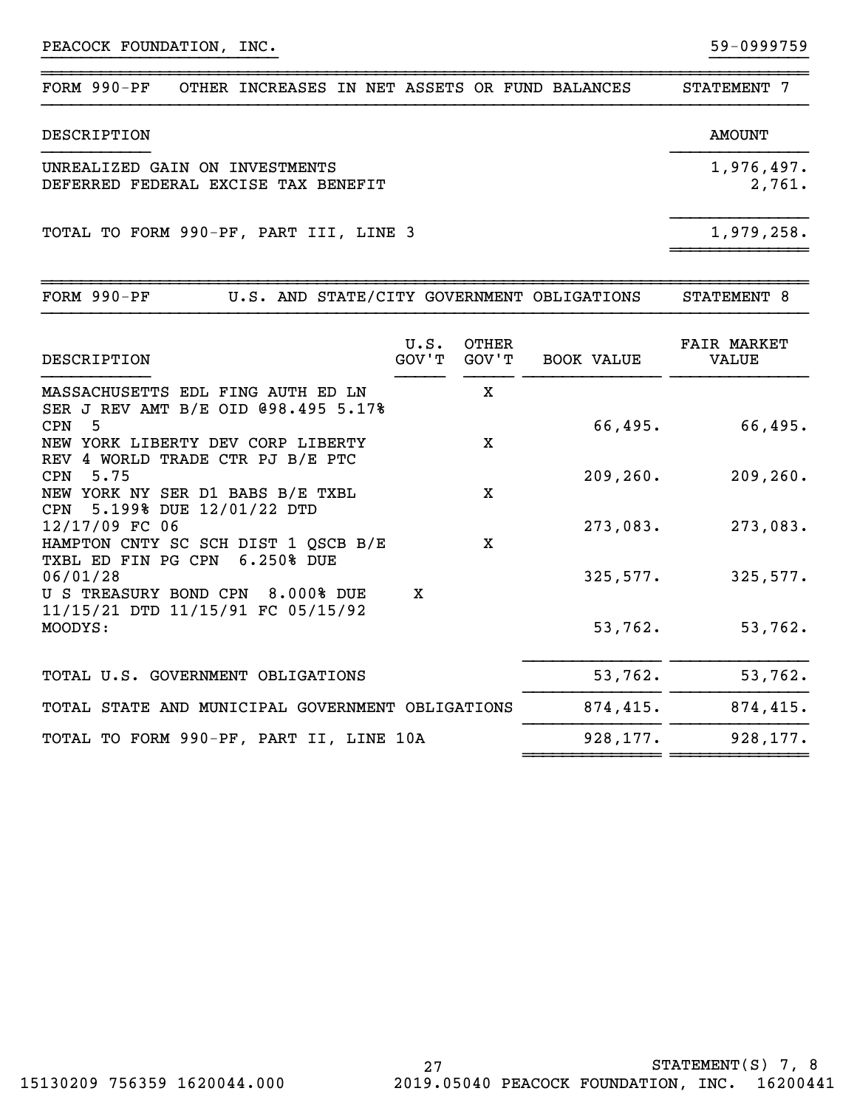| FORM $990-PF$<br>OTHER INCREASES IN NET ASSETS OR FUND BALANCES       |  | STATEMENT 7          |
|-----------------------------------------------------------------------|--|----------------------|
| DESCRIPTION                                                           |  | AMOUNT               |
| UNREALIZED GAIN ON INVESTMENTS<br>DEFERRED FEDERAL EXCISE TAX BENEFIT |  | 1,976,497.<br>2,761. |
| TOTAL TO FORM 990-PF, PART III, LINE 3                                |  | 1,979,258.           |

~~~~~~~~~~~~~~~~~~~~~~~~~~~~~~~~~~~~~~~~~~~~~~~~~~~~~~~~~~~~~~~~~~~~~~~~~~~~~~

}}}}}}}}}}}}}}}}}}}}}}}} }}}}}}}}}}

| $FORM 990-PF$<br>U.S. AND STATE/CITY GOVERNMENT OBLIGATIONS                              |               |                |                   | STATEMENT 8                 |
|------------------------------------------------------------------------------------------|---------------|----------------|-------------------|-----------------------------|
| DESCRIPTION                                                                              | U.S.<br>GOV'T | OTHER<br>GOV'T | <b>BOOK VALUE</b> | <b>FAIR MARKET</b><br>VALUE |
| MASSACHUSETTS EDL FING AUTH ED LN<br>SER J REV AMT B/E OID @98.495 5.17%                 |               | X              |                   |                             |
| 5<br><b>CPN</b><br>NEW YORK LIBERTY DEV CORP LIBERTY<br>REV 4 WORLD TRADE CTR PJ B/E PTC |               | $\mathbf x$    | 66,495.           | 66,495.                     |
| 5.75<br>CPN<br>NEW YORK NY SER D1 BABS B/E TXBL                                          |               | X              | 209, 260.         | 209, 260.                   |
| CPN 5.199% DUE 12/01/22 DTD<br>12/17/09 FC 06<br>HAMPTON CNTY SC SCH DIST 1 QSCB B/E     |               | $\mathbf x$    | 273,083.          | 273,083.                    |
| 6.250% DUE<br>TXBL ED FIN PG CPN<br>06/01/28<br>U S TREASURY BOND CPN<br>8.000% DUE      | X             |                | 325,577.          | 325,577.                    |
| 11/15/21 DTD 11/15/91 FC 05/15/92<br>MOODYS:                                             |               |                | 53,762.           | 53,762.                     |
| TOTAL U.S. GOVERNMENT OBLIGATIONS                                                        |               |                | 53,762.           | 53,762.                     |
| TOTAL STATE AND MUNICIPAL GOVERNMENT OBLIGATIONS                                         |               |                | 874,415.          | 874,415.                    |
| TOTAL TO FORM 990-PF, PART II, LINE 10A                                                  |               |                | 928,177.          | 928,177.                    |

~~~~~~~~~~~~~~ ~~~~~~~~~~~~~~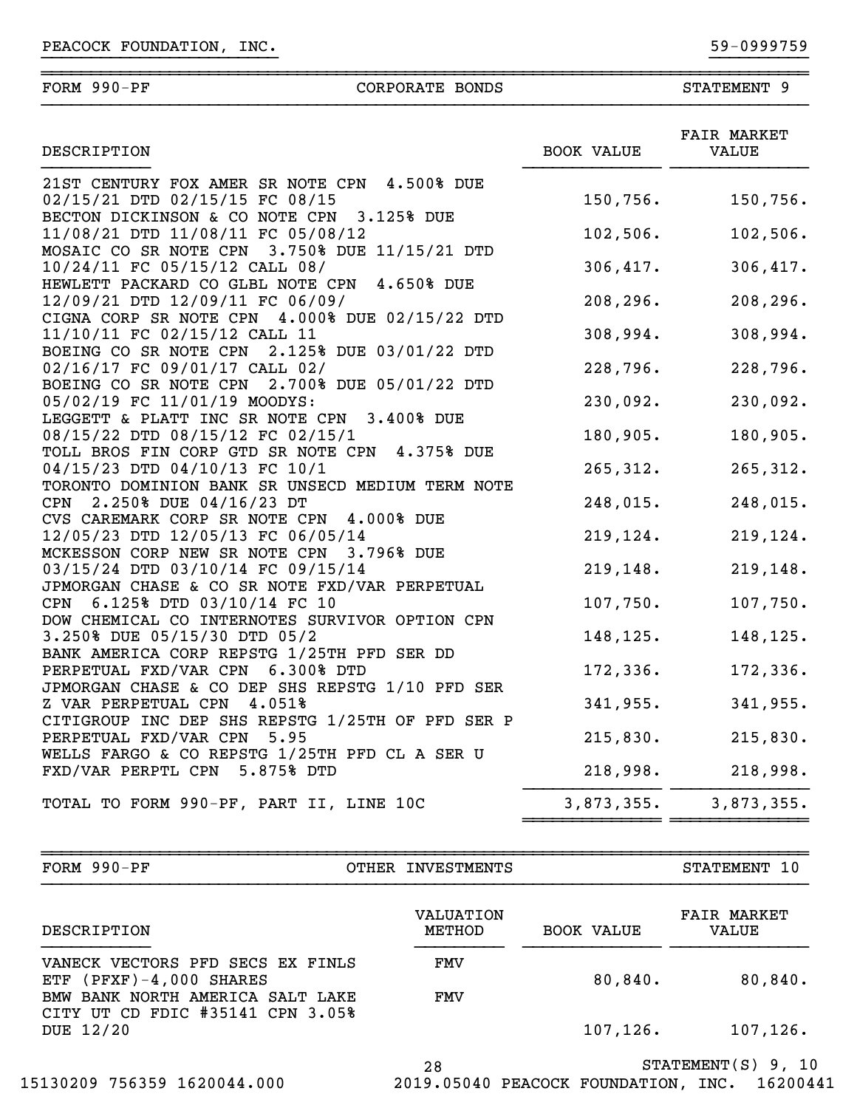| FORM | 990-PF | CORPORATE | <b>BONDS</b> | <b>STATEMENT</b> |  |
|------|--------|-----------|--------------|------------------|--|
|      |        |           |              |                  |  |

}}}}}}}}}}}}}}}}}}}}}}}} }}}}}}}}}}

| DESCRIPTION                                                                                                                   | <b>BOOK VALUE</b>     | FAIR MARKET<br><b>VALUE</b> |  |
|-------------------------------------------------------------------------------------------------------------------------------|-----------------------|-----------------------------|--|
| 21ST CENTURY FOX AMER SR NOTE CPN 4.500% DUE<br>02/15/21 DTD 02/15/15 FC 08/15                                                | 150,756.              | 150,756.                    |  |
| BECTON DICKINSON & CO NOTE CPN<br>3.125% DUE<br>11/08/21 DTD 11/08/11 FC 05/08/12                                             | 102,506.              | 102,506.                    |  |
| MOSAIC CO SR NOTE CPN 3.750% DUE 11/15/21 DTD<br>10/24/11 FC 05/15/12 CALL 08/<br>HEWLETT PACKARD CO GLBL NOTE CPN 4.650% DUE | 306,417.              | 306,417.                    |  |
| 12/09/21 DTD 12/09/11 FC 06/09/<br>CIGNA CORP SR NOTE CPN 4.000% DUE 02/15/22 DTD                                             | 208, 296.             | 208,296.                    |  |
| 11/10/11 FC 02/15/12 CALL 11<br>BOEING CO SR NOTE CPN 2.125% DUE 03/01/22 DTD                                                 | 308,994.              | 308,994.                    |  |
| 02/16/17 FC 09/01/17 CALL 02/<br>BOEING CO SR NOTE CPN 2.700% DUE 05/01/22 DTD                                                | 228,796.              | 228,796.                    |  |
| 05/02/19 FC 11/01/19 MOODYS:<br>LEGGETT & PLATT INC SR NOTE CPN<br>3.400% DUE<br>08/15/22 DTD 08/15/12 FC 02/15/1             | 230,092.<br>180,905.  | 230,092.<br>180,905.        |  |
| TOLL BROS FIN CORP GTD SR NOTE CPN 4.375% DUE<br>04/15/23 DTD 04/10/13 FC 10/1                                                | 265, 312.             | 265,312.                    |  |
| TORONTO DOMINION BANK SR UNSECD MEDIUM TERM NOTE<br>2.250% DUE 04/16/23 DT<br><b>CPN</b>                                      | 248,015.              | 248,015.                    |  |
| CVS CAREMARK CORP SR NOTE CPN 4.000% DUE<br>12/05/23 DTD 12/05/13 FC 06/05/14<br>MCKESSON CORP NEW SR NOTE CPN 3.796% DUE     | 219, 124.             | 219,124.                    |  |
| 03/15/24 DTD 03/10/14 FC 09/15/14<br>JPMORGAN CHASE & CO SR NOTE FXD/VAR PERPETUAL                                            | 219, 148.             | 219,148.                    |  |
| 6.125% DTD 03/10/14 FC 10<br><b>CPN</b><br>DOW CHEMICAL CO INTERNOTES SURVIVOR OPTION CPN                                     | 107,750.              | 107,750.                    |  |
| 3.250% DUE 05/15/30 DTD 05/2<br>BANK AMERICA CORP REPSTG 1/25TH PFD SER DD                                                    | 148,125.              | 148,125.                    |  |
| PERPETUAL FXD/VAR CPN 6.300% DTD<br>JPMORGAN CHASE & CO DEP SHS REPSTG 1/10 PFD SER<br>Z VAR PERPETUAL CPN 4.051%             | 172, 336.<br>341,955. | 172,336.<br>341,955.        |  |
| CITIGROUP INC DEP SHS REPSTG 1/25TH OF PFD SER P<br>PERPETUAL FXD/VAR CPN 5.95                                                | 215,830.              | 215,830.                    |  |
| WELLS FARGO & CO REPSTG 1/25TH PFD CL A SER U<br>FXD/VAR PERPTL CPN 5.875% DTD                                                | 218,998.              | 218,998.                    |  |
| TOTAL TO FORM 990-PF, PART II, LINE 10C                                                                                       | 3,873,355.            | 3,873,355.                  |  |

OTHER INVESTMENTS STATEMENT 10

~~~~~~~~~~~~~~~~~~~~~~~~~~~~~~~~~~~~~~~~~~~~~~~~~~~~~~~~~~~~~~~~~~~~~~~~~~~~~~

| DESCRIPTION                                                                                         | VALUATION<br>METHOD | <b>BOOK VALUE</b> | <b>FAIR MARKET</b><br><b>VALUE</b> |
|-----------------------------------------------------------------------------------------------------|---------------------|-------------------|------------------------------------|
| VANECK VECTORS PFD SECS EX FINLS<br>ETF $(PFXF) - 4,000 SHARES$<br>BMW BANK NORTH AMERICA SALT LAKE | FMV<br><b>FMV</b>   | 80,840.           | 80,840.                            |
| CITY UT CD FDIC #35141 CPN 3.05%<br>DUE 12/20                                                       |                     | 107, 126.         | 107, 126.                          |

28 STATEMENT(S) 9, 10

15130209 756359 1620044.000 2019.05040 PEACOCK FOUNDATION, INC. 16200441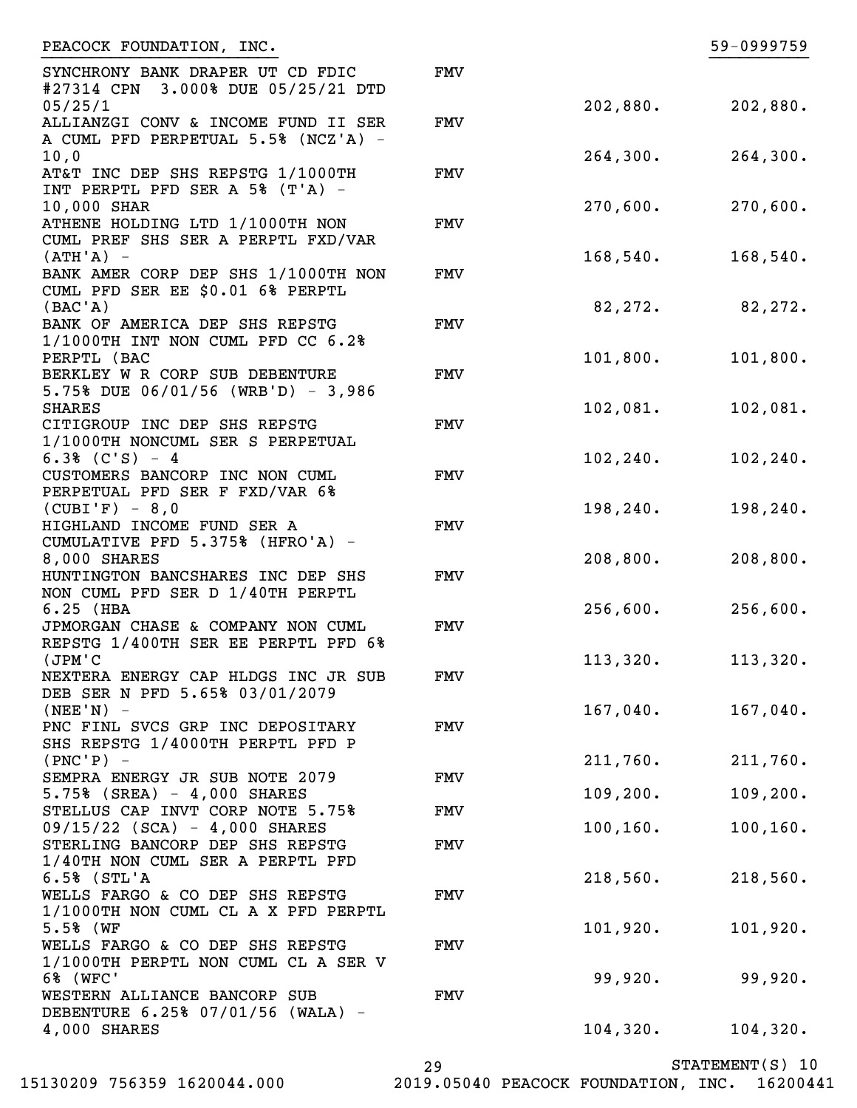| PEACOCK FOUNDATION, INC.                                                                         |            |                        | 59-0999759             |
|--------------------------------------------------------------------------------------------------|------------|------------------------|------------------------|
| SYNCHRONY BANK DRAPER UT CD FDIC<br>#27314 CPN 3.000% DUE 05/25/21 DTD                           | <b>FMV</b> |                        |                        |
| 05/25/1<br>ALLIANZGI CONV & INCOME FUND II SER<br>A CUML PFD PERPETUAL 5.5% (NCZ'A) -            | <b>FMV</b> | 202,880.               | 202,880.               |
| 10,0<br>AT&T INC DEP SHS REPSTG 1/1000TH                                                         | <b>FMV</b> | 264,300.               | 264,300.               |
| INT PERPTL PFD SER A 5% (T'A) -<br>10,000 SHAR<br>ATHENE HOLDING LTD 1/1000TH NON                | <b>FMV</b> | 270,600.               | 270,600.               |
| CUML PREF SHS SER A PERPTL FXD/VAR<br>$(ATH'A) -$                                                |            | 168,540.               | 168,540.               |
| BANK AMER CORP DEP SHS 1/1000TH NON<br>CUML PFD SER EE \$0.01 6% PERPTL<br>(BAC'A)               | <b>FMV</b> | 82,272.                | 82,272.                |
| BANK OF AMERICA DEP SHS REPSTG<br>1/1000TH INT NON CUML PFD CC 6.2%                              | <b>FMV</b> |                        |                        |
| PERPTL (BAC<br>BERKLEY W R CORP SUB DEBENTURE<br>5.75% DUE $06/01/56$ (WRB'D) - 3,986            | <b>FMV</b> | 101,800.               | 101,800.               |
| <b>SHARES</b><br>CITIGROUP INC DEP SHS REPSTG                                                    | <b>FMV</b> | 102,081.               | 102,081.               |
| 1/1000TH NONCUML SER S PERPETUAL<br>$6.3%$ (C'S) - 4<br>CUSTOMERS BANCORP INC NON CUML           | <b>FMV</b> | 102, 240.              | 102, 240.              |
| PERPETUAL PFD SER F FXD/VAR 6%<br>$(CUBI'F) - 8,0$<br>HIGHLAND INCOME FUND SER A                 | <b>FMV</b> | 198, 240.              | 198,240.               |
| CUMULATIVE PFD 5.375% (HFRO'A) -<br>8,000 SHARES                                                 |            | 208,800.               | 208,800.               |
| HUNTINGTON BANCSHARES INC DEP SHS<br>NON CUML PFD SER D 1/40TH PERPTL<br>$6.25$ (HBA             | <b>FMV</b> | 256,600.               | 256,600.               |
| JPMORGAN CHASE & COMPANY NON CUML<br>REPSTG 1/400TH SER EE PERPTL PFD 6%                         | <b>FMV</b> |                        |                        |
| (JPM'C<br>NEXTERA ENERGY CAP HLDGS INC JR SUB<br>DEB SER N PFD 5.65% 03/01/2079                  | FMV        | 113,320.               | 113,320.               |
| $(NEE'N) -$<br>PNC FINL SVCS GRP INC DEPOSITARY<br>SHS REPSTG 1/4000TH PERPTL PFD P              | <b>FMV</b> | $167,040$ .            | 167,040.               |
| $(PNC'P)$ -<br>SEMPRA ENERGY JR SUB NOTE 2079                                                    | <b>FMV</b> | 211,760.               | 211,760.               |
| 5.75% (SREA) - 4,000 SHARES<br>STELLUS CAP INVT CORP NOTE 5.75%<br>09/15/22 (SCA) - 4,000 SHARES | <b>FMV</b> | 109, 200.<br>100, 160. | 109, 200.<br>100, 160. |
| STERLING BANCORP DEP SHS REPSTG<br>1/40TH NON CUML SER A PERPTL PFD                              | <b>FMV</b> |                        |                        |
| $6.5%$ (STL'A<br>WELLS FARGO & CO DEP SHS REPSTG<br>1/1000TH NON CUML CL A X PFD PERPTL          | <b>FMV</b> | 218,560.               | 218,560.               |
| 5.5% (WF<br>WELLS FARGO & CO DEP SHS REPSTG                                                      | <b>FMV</b> | 101,920.               | 101,920.               |
| 1/1000TH PERPTL NON CUML CL A SER V<br>6% (WFC'<br>WESTERN ALLIANCE BANCORP SUB                  | <b>FMV</b> | 99,920.                | 99,920.                |
| DEBENTURE 6.25% 07/01/56 (WALA) -<br>4,000 SHARES                                                |            | 104,320.               | 104, 320.              |

29

STATEMENT(S) 10

15130209 756359 1620044.000 2019.05040 PEACOCK FOUNDATION, INC. 16200441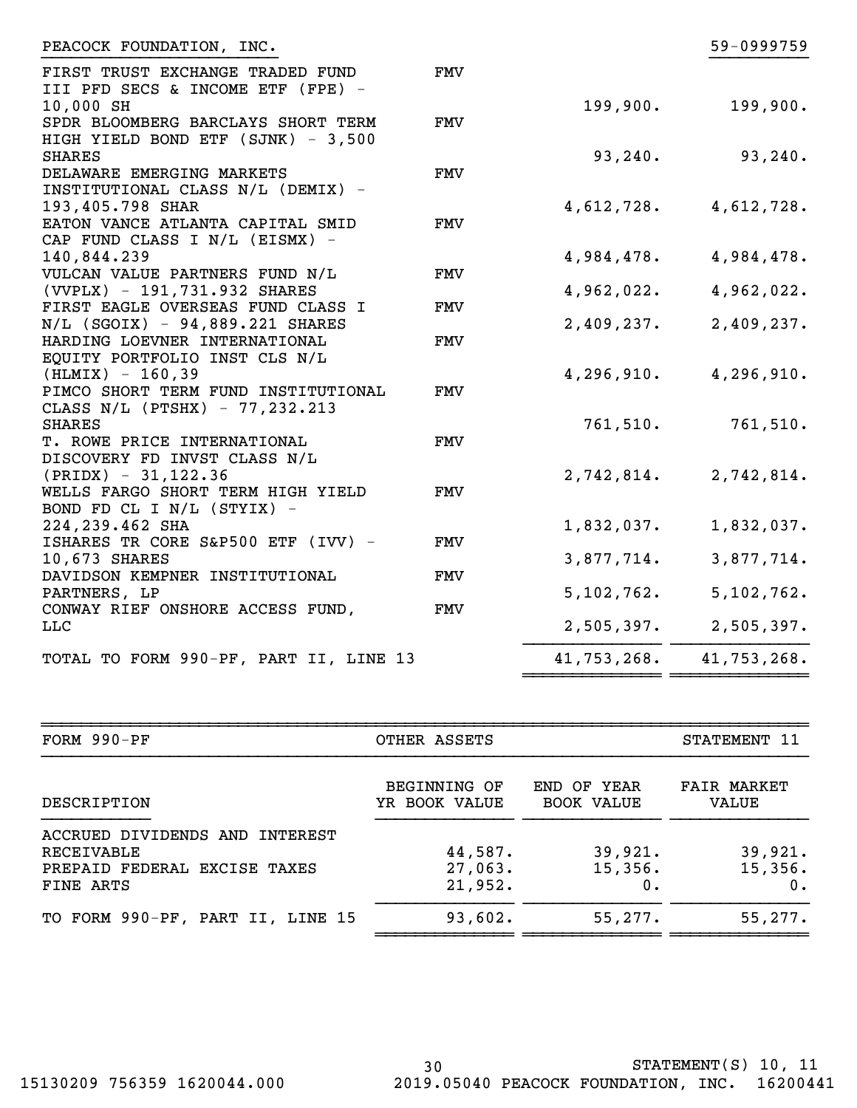| PEACOCK FOUNDATION, INC.                                              |            |             | 59-0999759  |
|-----------------------------------------------------------------------|------------|-------------|-------------|
| FIRST TRUST EXCHANGE TRADED FUND<br>III PFD SECS & INCOME ETF (FPE) - | <b>FMV</b> |             |             |
| 10,000 SH                                                             |            | 199,900.    | 199,900.    |
| SPDR BLOOMBERG BARCLAYS SHORT TERM                                    | <b>FMV</b> |             |             |
| HIGH YIELD BOND ETF (SJNK) - 3,500                                    |            |             |             |
| <b>SHARES</b>                                                         |            | 93, 240.    | 93, 240.    |
| DELAWARE EMERGING MARKETS                                             | FMV        |             |             |
| INSTITUTIONAL CLASS N/L (DEMIX) -                                     |            |             |             |
| 193,405.798 SHAR                                                      |            | 4,612,728.  | 4,612,728.  |
| EATON VANCE ATLANTA CAPITAL SMID                                      | <b>FMV</b> |             |             |
| CAP FUND CLASS I N/L (EISMX) -                                        |            |             |             |
| 140,844.239                                                           |            | 4,984,478.  | 4,984,478.  |
| VULCAN VALUE PARTNERS FUND N/L<br>(VVPLX) - 191,731.932 SHARES        | <b>FMV</b> | 4,962,022.  | 4,962,022.  |
| FIRST EAGLE OVERSEAS FUND CLASS I                                     | <b>FMV</b> |             |             |
| N/L (SGOIX) - 94,889.221 SHARES                                       |            | 2,409,237.  | 2,409,237.  |
| HARDING LOEVNER INTERNATIONAL                                         | <b>FMV</b> |             |             |
| EQUITY PORTFOLIO INST CLS N/L                                         |            |             |             |
| $(HLMIX) - 160,39$                                                    |            | 4,296,910.  | 4,296,910.  |
| PIMCO SHORT TERM FUND INSTITUTIONAL                                   | <b>FMV</b> |             |             |
| CLASS N/L (PTSHX) - 77,232.213                                        |            |             |             |
| <b>SHARES</b>                                                         |            | 761,510.    | 761,510.    |
| T. ROWE PRICE INTERNATIONAL                                           | FMV        |             |             |
| DISCOVERY FD INVST CLASS N/L                                          |            |             |             |
| $(PRIDX) - 31,122.36$                                                 |            | 2,742,814.  | 2,742,814.  |
| WELLS FARGO SHORT TERM HIGH YIELD                                     | FMV        |             |             |
| BOND FD CL I N/L (STYIX) -                                            |            |             |             |
| 224,239.462 SHA                                                       |            | 1,832,037.  | 1,832,037.  |
| ISHARES TR CORE S&P500 ETF (IVV) -                                    | FMV        |             |             |
| 10,673 SHARES                                                         |            | 3,877,714.  | 3,877,714.  |
| DAVIDSON KEMPNER INSTITUTIONAL                                        | <b>FMV</b> |             |             |
| PARTNERS, LP                                                          |            | 5,102,762.  | 5,102,762.  |
| CONWAY RIEF ONSHORE ACCESS FUND,                                      | FMV        |             |             |
| <b>LLC</b>                                                            |            | 2,505,397.  | 2,505,397.  |
|                                                                       |            |             |             |
| TOTAL TO FORM 990-PF, PART II, LINE 13                                |            | 41,753,268. | 41,753,268. |

| FORM 990-PF                                                                               | OTHER ASSETS                         |                                  |                             |
|-------------------------------------------------------------------------------------------|--------------------------------------|----------------------------------|-----------------------------|
| DESCRIPTION                                                                               | <b>BEGINNING OF</b><br>YR BOOK VALUE | END OF YEAR<br><b>BOOK VALUE</b> | <b>FAIR MARKET</b><br>VALUE |
| ACCRUED DIVIDENDS AND INTEREST<br>RECEIVABLE<br>PREPAID FEDERAL EXCISE TAXES<br>FINE ARTS | 44,587.<br>27,063.<br>21,952.        | 39,921.<br>15,356.<br>0.         | 39,921.<br>15,356.<br>0.    |
| TO FORM 990-PF, PART II, LINE 15                                                          | 93,602.                              | 55,277.                          | 55, 277.                    |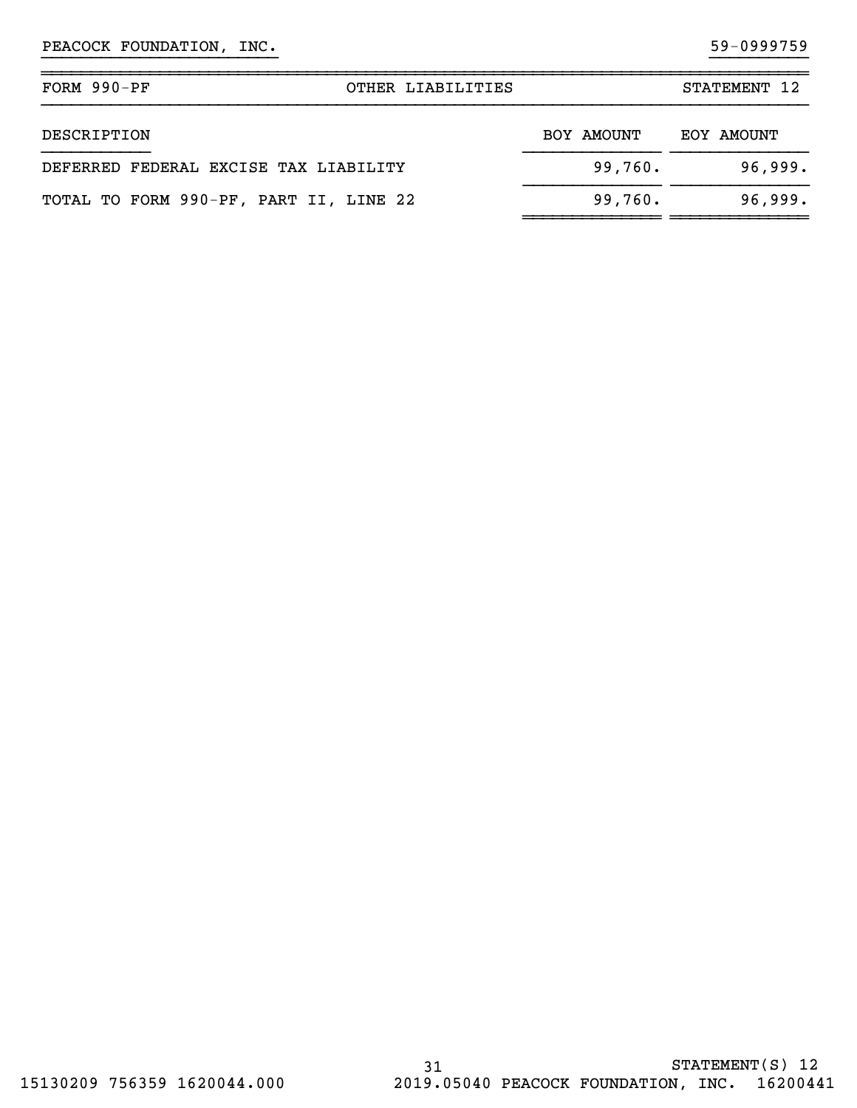| $FORM 990-PF$<br>OTHER LIABILITIES     |            | STATEMENT 12 |
|----------------------------------------|------------|--------------|
| DESCRIPTION                            | BOY AMOUNT | EOY AMOUNT   |
| DEFERRED FEDERAL EXCISE TAX LIABILITY  | 99,760.    | 96,999.      |
| TOTAL TO FORM 990-PF, PART II, LINE 22 | 99,760.    | 96,999.      |

}}}}}}}}}}}}}}}}}}}}}}}} }}}}}}}}}}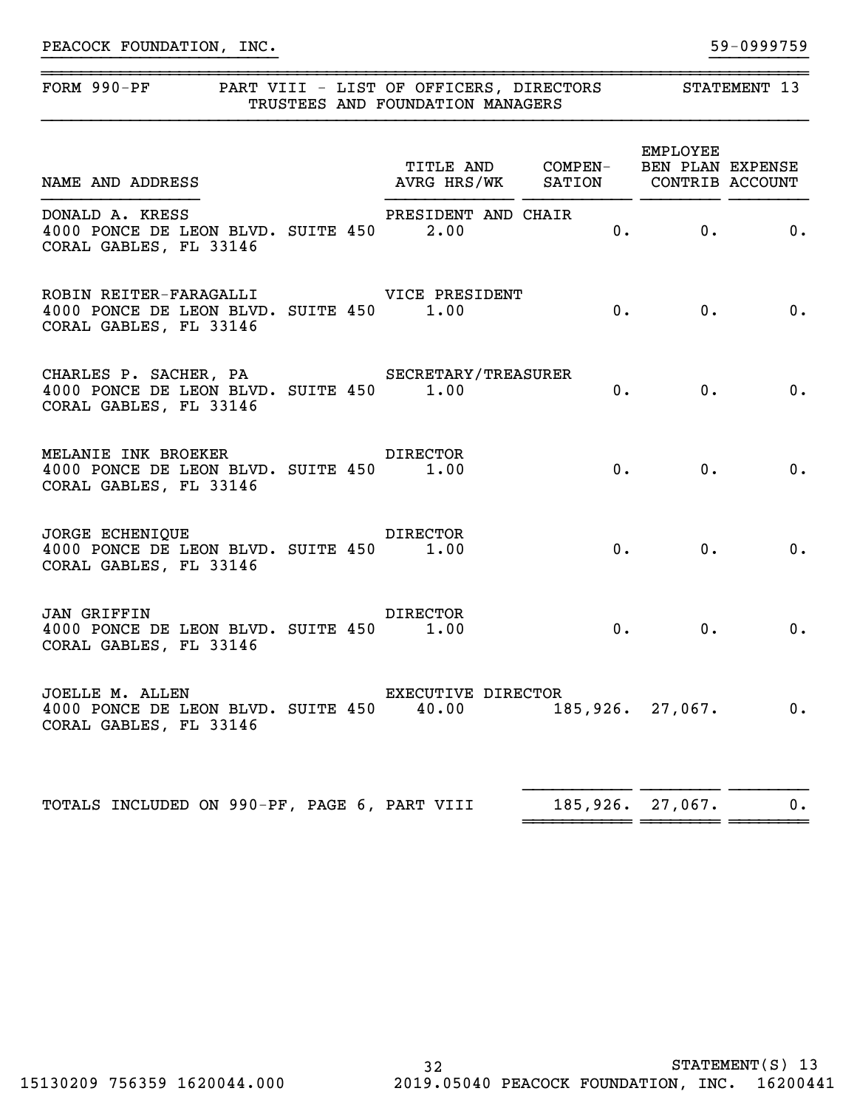| FORM 990-PF PART VIII - LIST OF OFFICERS, DIRECTORS STATEMENT 13                                                                    | TRUSTEES AND FOUNDATION MANAGERS   |          |                                             |       |
|-------------------------------------------------------------------------------------------------------------------------------------|------------------------------------|----------|---------------------------------------------|-------|
| TITLE AND COMPEN- BEN PLAN EAFENDE<br>AVRG HRS/WK SATION CONTRIB ACCOUNT                                                            | TITLE AND COMPEN- BEN PLAN EXPENSE |          | EMPLOYEE                                    |       |
| DONALD A. KRESS<br>4000 PONCE DE LEON BLVD. SUITE 450 2.00<br>CORAL GABLES, FL 33146                                                | PRESIDENT AND CHAIR                |          | $\mathbf{0}$ . $\qquad \qquad \mathbf{0}$ . | $0$ . |
| ROBIN REITER-FARAGALLI VICE PRESIDENT<br>4000 PONCE DE LEON BLVD. SUITE 450 1.00<br>CORAL GABLES, FL 33146                          |                                    |          | 0.<br>0.                                    | 0.    |
| CHARLES P. SACHER, PA SECRETARY/TREASURER<br>4000 PONCE DE LEON BLVD. SUITE 450 1.00<br>CORAL GABLES, FL 33146                      |                                    |          | 0. 0.                                       | $0$ . |
| MELANIE INK BROEKER DIRECTOR<br>4000 PONCE DE LEON BLVD. SUITE 450 1.00<br>CORAL GABLES, FL 33146                                   |                                    |          | 0.<br>0.                                    | $0$ . |
| <b>DIRECTOR</b><br>JORGE ECHENIQUE<br>4000 PONCE DE LEON BLVD. SUITE 450 1.00<br>CORAL GABLES, FL 33146                             |                                    |          | 0.<br>0.                                    | 0.    |
| <b>Example 19 Service STATE DIRECTOR</b><br><b>JAN GRIFFIN</b><br>4000 PONCE DE LEON BLVD. SUITE 450 1.00<br>CORAL GABLES, FL 33146 |                                    |          | 0.<br>0.                                    | 0.    |
| JOELLE M. ALLEN<br>4000 PONCE DE LEON BLVD. SUITE 450<br>CORAL GABLES, FL 33146                                                     | EXECUTIVE DIRECTOR<br>40.00        | 185,926. | 27,067.                                     | $0$ . |
| TOTALS INCLUDED ON 990-PF, PAGE 6, PART VIII                                                                                        |                                    | 185,926. | 27,067.                                     | $0$ . |

~~~~~~~~~~~ ~~~~~~~~ ~~~~~~~~

}}}}}}}}}}}}}}}}}}}}}}}} }}}}}}}}}}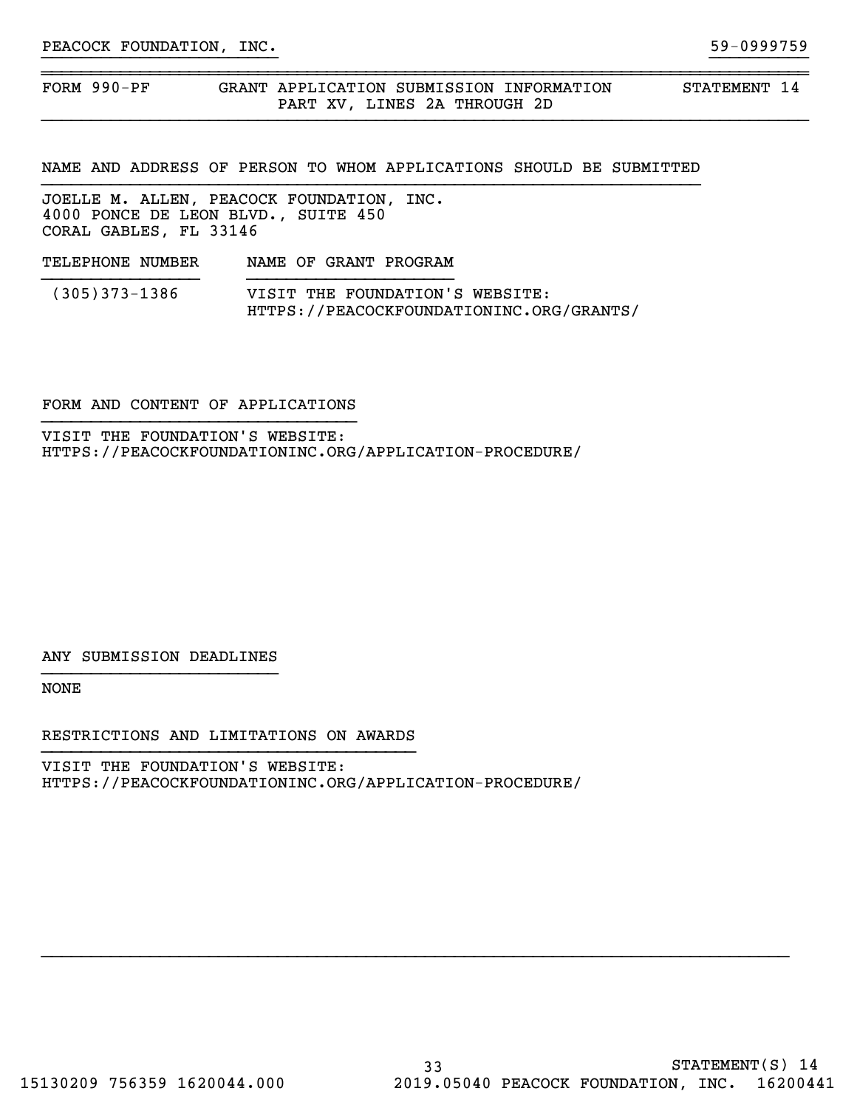FORM 990-PF GRANT APPLICATION SUBMISSION INFORMATION STATEMENT 14 PART XV, LINES 2A THROUGH 2D

NAME AND ADDRESS OF PERSON TO WHOM APPLICATIONS SHOULD BE SUBMITTED

}}}}}}}}}}}}}}}}}}}}}}}} }}}}}}}}}}

~~~~~~~~~~~~~~~~~~~~~~~~~~~~~~~~~~~~~~~~~~~~~~~~~~~~~~~~~~~~~~~~~~~~~~~~~~~~~~

JOELLE M. ALLEN, PEACOCK FOUNDATION, INC. 4000 PONCE DE LEON BLVD., SUITE 450 CORAL GABLES, FL 33146

TELEPHONE NUMBER NAME OF GRANT PROGRAM }}}}}}}}}}}}}}}}}}}}} (305)373-1386 VISIT THE FOUNDATION'S WEBSITE: HTTPS://PEACOCKFOUNDATIONINC.ORG/GRANTS/

#### FORM AND CONTENT OF APPLICATIONS }}}}}}}}}}}}}}}}}}}}}}}}}}}}}}}}

VISIT THE FOUNDATION'S WEBSITE: HTTPS://PEACOCKFOUNDATIONINC.ORG/APPLICATION-PROCEDURE/

ANY SUBMISSION DEADLINES }}}}}}}}}}}}}}}}}}}}}}}}

NONE

RESTRICTIONS AND LIMITATIONS ON AWARDS

VISIT THE FOUNDATION'S WEBSITE: HTTPS://PEACOCKFOUNDATIONINC.ORG/APPLICATION-PROCEDURE/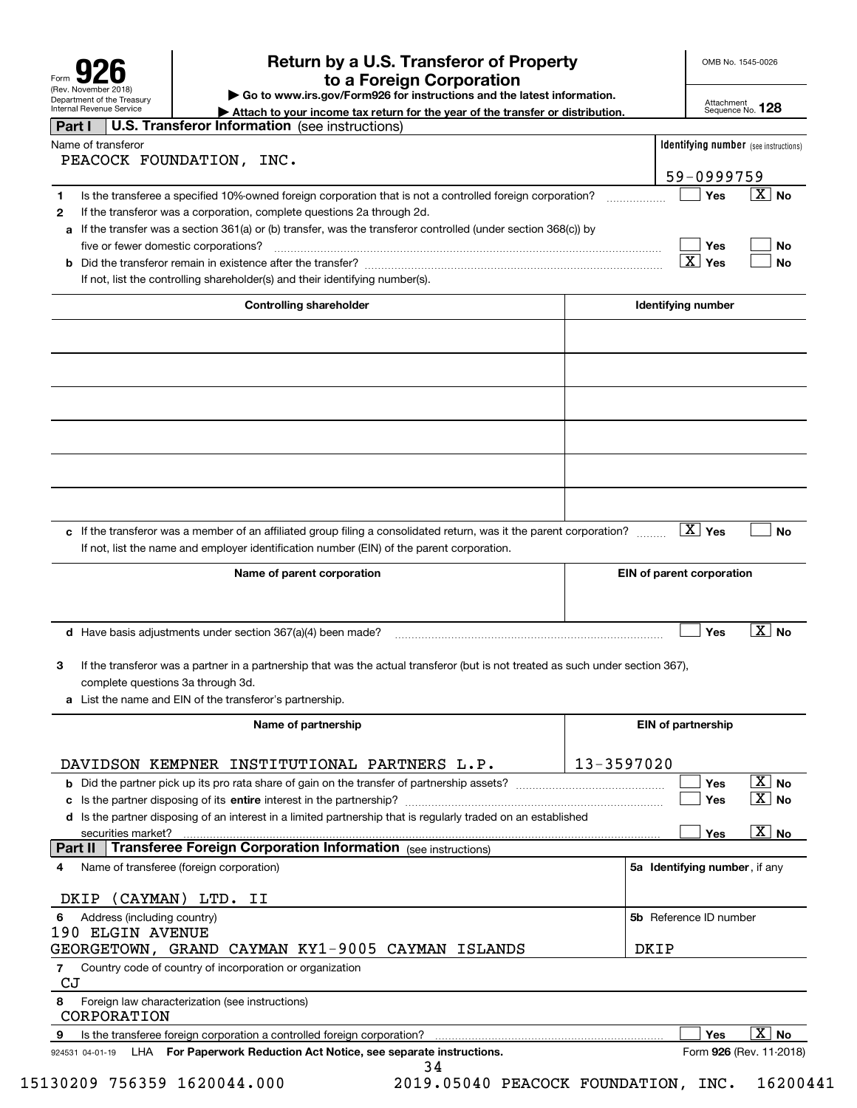| Form                                                          |
|---------------------------------------------------------------|
| (Rev. November 2018)                                          |
| Department of the Treasury<br><b>Internal Revenue Service</b> |

## **Return by a U.S. Transferor of Property 926 to a Foreign Corporation**

OMB No. 1545-0026

**| Go to www.irs.gov/Form926 for instructions and the latest information.**

Attachment Sequence No. **128**

| Internal Revenue Service<br>Attach to your income tax return for the year of the transfer or distribution.                                                                                                        |                               |                        | Sequence No. 120                             |  |
|-------------------------------------------------------------------------------------------------------------------------------------------------------------------------------------------------------------------|-------------------------------|------------------------|----------------------------------------------|--|
| <b>U.S. Transferor Information</b> (see instructions)<br>Part I                                                                                                                                                   |                               |                        |                                              |  |
| Name of transferor                                                                                                                                                                                                |                               |                        | <b>Identifying number</b> (see instructions) |  |
| PEACOCK FOUNDATION, INC.                                                                                                                                                                                          |                               |                        |                                              |  |
|                                                                                                                                                                                                                   |                               | 59-0999759             |                                              |  |
| Is the transferee a specified 10%-owned foreign corporation that is not a controlled foreign corporation?<br>1                                                                                                    |                               | Yes                    | $\overline{X}$ No                            |  |
| If the transferor was a corporation, complete questions 2a through 2d.<br>$\mathbf{2}$                                                                                                                            |                               |                        |                                              |  |
| If the transfer was a section 361(a) or (b) transfer, was the transferor controlled (under section 368(c)) by<br>а                                                                                                |                               |                        |                                              |  |
| five or fewer domestic corporations?                                                                                                                                                                              |                               | Yes                    | No                                           |  |
|                                                                                                                                                                                                                   |                               | $\boxed{\text{X}}$ Yes | No                                           |  |
| If not, list the controlling shareholder(s) and their identifying number(s).                                                                                                                                      |                               |                        |                                              |  |
| <b>Controlling shareholder</b>                                                                                                                                                                                    | Identifying number            |                        |                                              |  |
|                                                                                                                                                                                                                   |                               |                        |                                              |  |
|                                                                                                                                                                                                                   |                               |                        |                                              |  |
|                                                                                                                                                                                                                   |                               |                        |                                              |  |
|                                                                                                                                                                                                                   |                               |                        |                                              |  |
|                                                                                                                                                                                                                   |                               |                        |                                              |  |
|                                                                                                                                                                                                                   |                               |                        |                                              |  |
|                                                                                                                                                                                                                   |                               |                        |                                              |  |
| c If the transferor was a member of an affiliated group filing a consolidated return, was it the parent corporation?<br>If not, list the name and employer identification number (EIN) of the parent corporation. |                               | $\boxed{\text{X}}$ Yes | <b>No</b>                                    |  |
| Name of parent corporation                                                                                                                                                                                        | EIN of parent corporation     |                        |                                              |  |
|                                                                                                                                                                                                                   |                               |                        |                                              |  |
| $d$ Have basis adjustments under section 367(a)(4) been made?                                                                                                                                                     |                               | Yes                    | $\overline{X}$ No                            |  |
| If the transferor was a partner in a partnership that was the actual transferor (but is not treated as such under section 367),<br>3                                                                              |                               |                        |                                              |  |
| complete questions 3a through 3d.                                                                                                                                                                                 |                               |                        |                                              |  |
| a List the name and EIN of the transferor's partnership.                                                                                                                                                          |                               |                        |                                              |  |
| Name of partnership                                                                                                                                                                                               | <b>EIN of partnership</b>     |                        |                                              |  |
|                                                                                                                                                                                                                   |                               |                        |                                              |  |
| 13-3597020<br>DAVIDSON KEMPNER INSTITUTIONAL PARTNERS L.P.                                                                                                                                                        |                               |                        |                                              |  |
| <b>b</b> Did the partner pick up its pro rata share of gain on the transfer of partnership assets?                                                                                                                |                               | Yes                    | $\boxed{\text{X}}$ No                        |  |
| Is the partner disposing of its entire interest in the partnership?<br>с                                                                                                                                          |                               | Yes                    | $\mathbf{X}$ No                              |  |
| d Is the partner disposing of an interest in a limited partnership that is regularly traded on an established                                                                                                     |                               |                        |                                              |  |
| securities market?                                                                                                                                                                                                |                               | Yes                    | $\overline{X}$ No                            |  |
| <b>Transferee Foreign Corporation Information</b> (see instructions)<br>Part II                                                                                                                                   |                               |                        |                                              |  |
| Name of transferee (foreign corporation)<br>4                                                                                                                                                                     | 5a Identifying number, if any |                        |                                              |  |
| (CAYMAN) LTD. II<br>DKIP                                                                                                                                                                                          |                               |                        |                                              |  |
| Address (including country)<br>6<br>190 ELGIN AVENUE                                                                                                                                                              | 5b Reference ID number        |                        |                                              |  |
| GEORGETOWN, GRAND CAYMAN KY1-9005 CAYMAN ISLANDS                                                                                                                                                                  | DKIP                          |                        |                                              |  |
| Country code of country of incorporation or organization<br>7                                                                                                                                                     |                               |                        |                                              |  |
| CJ<br>8<br>Foreign law characterization (see instructions)                                                                                                                                                        |                               |                        |                                              |  |
| CORPORATION                                                                                                                                                                                                       |                               |                        |                                              |  |
| Is the transferee foreign corporation a controlled foreign corporation?<br>9<br>LHA For Paperwork Reduction Act Notice, see separate instructions.<br>924531 04-01-19                                             |                               | Yes                    | $\overline{X}$ No<br>Form 926 (Rev. 11-2018) |  |

34

15130209 756359 1620044.000 2019.05040 PEACOCK FOUNDATION, INC. 16200441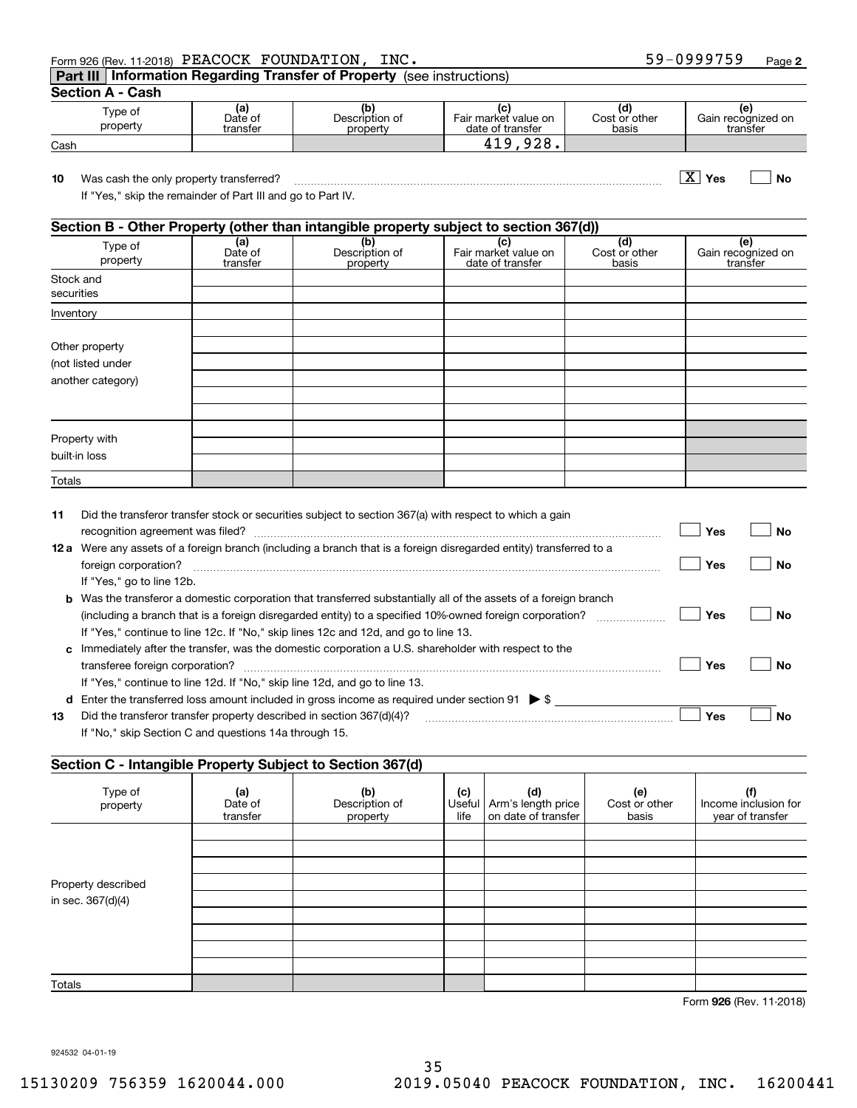| 59-0999759<br>Form 926 (Rev. 11-2018) PEACOCK FOUNDATION,<br>INC. | Page |
|-------------------------------------------------------------------|------|
|-------------------------------------------------------------------|------|

**Part III Information Regarding Transfer of Property**  (see instructions)

**Section A - Cash**

| ---------<br>-------- |                            |                            |                                          |                              |                                      |  |
|-----------------------|----------------------------|----------------------------|------------------------------------------|------------------------------|--------------------------------------|--|
| ⊺vpe of<br>property   | (al<br>Date of<br>transfer | Description of<br>property | Fair market value on<br>date of transfer | ιa<br>Cost or other<br>basis | ιe<br>Gain recognized on<br>transfer |  |
| Cash                  |                            |                            | 0.20<br>ി വ<br>، ن ۲<br>- 1              |                              |                                      |  |

**10Yes No** Was cash the only property transferred? ~~~~~~~~~~~~~~~~~~~~~~~~~~~~~~~~~~~~~ X

If "Yes," skip the remainder of Part III and go to Part IV.

#### **Section B - Other Property (other than intangible property subject to section 367(d))**

| Type of<br>property     | (a)<br>Date of<br>transfer | (b)<br>Description of<br>property | Fair market value on<br>date of transfer | (d)<br>Cost or other<br>basis | (e)<br>Gain recognized on<br>transfer |
|-------------------------|----------------------------|-----------------------------------|------------------------------------------|-------------------------------|---------------------------------------|
| Stock and<br>securities |                            |                                   |                                          |                               |                                       |
| Inventory               |                            |                                   |                                          |                               |                                       |
|                         |                            |                                   |                                          |                               |                                       |
| Other property          |                            |                                   |                                          |                               |                                       |
| (not listed under       |                            |                                   |                                          |                               |                                       |
| another category)       |                            |                                   |                                          |                               |                                       |
|                         |                            |                                   |                                          |                               |                                       |
|                         |                            |                                   |                                          |                               |                                       |
|                         |                            |                                   |                                          |                               |                                       |
| Property with           |                            |                                   |                                          |                               |                                       |
| built-in loss           |                            |                                   |                                          |                               |                                       |
| Totals                  |                            |                                   |                                          |                               |                                       |

| 11   | Did the transferor transfer stock or securities subject to section 367(a) with respect to which a gain                  |     |     |
|------|-------------------------------------------------------------------------------------------------------------------------|-----|-----|
|      |                                                                                                                         | Yes | Nο  |
| 12 a | Were any assets of a foreign branch (including a branch that is a foreign disregarded entity) transferred to a          |     |     |
|      | foreign corporation?                                                                                                    | Yes | No. |
|      | If "Yes," go to line 12b.                                                                                               |     |     |
|      | <b>b</b> Was the transferor a domestic corporation that transferred substantially all of the assets of a foreign branch |     |     |
|      | (including a branch that is a foreign disregarded entity) to a specified 10%-owned foreign corporation?                 | Yes | Nο  |
|      | If "Yes," continue to line 12c. If "No," skip lines 12c and 12d, and go to line 13.                                     |     |     |
|      | c Immediately after the transfer, was the domestic corporation a U.S. shareholder with respect to the                   |     |     |
|      |                                                                                                                         | Yes | N٥  |
|      | If "Yes," continue to line 12d. If "No," skip line 12d, and go to line 13.                                              |     |     |
| d    | Enter the transferred loss amount included in gross income as required under section 91 $\triangleright$ \$             |     |     |
| 13   | Did the transferor transfer property described in section 367(d)(4)?                                                    | Yes | Nο  |
|      | If "No," skip Section C and questions 14a through 15.                                                                   |     |     |

#### **Section C - Intangible Property Subject to Section 367(d)**

| -------<br>Type of<br>property | (a)<br>Date of<br>transfer | (b)<br>Description of<br>property | (c)<br>life | (d)<br>Useful   Arm's length price<br>on date of transfer | (e)<br>Cost or other<br>basis | (f)<br>Income inclusion for<br>year of transfer |
|--------------------------------|----------------------------|-----------------------------------|-------------|-----------------------------------------------------------|-------------------------------|-------------------------------------------------|
|                                |                            |                                   |             |                                                           |                               |                                                 |
| Property described             |                            |                                   |             |                                                           |                               |                                                 |
| in sec. 367(d)(4)              |                            |                                   |             |                                                           |                               |                                                 |
|                                |                            |                                   |             |                                                           |                               |                                                 |
|                                |                            |                                   |             |                                                           |                               |                                                 |
|                                |                            |                                   |             |                                                           |                               |                                                 |
| Totals                         |                            |                                   |             |                                                           |                               |                                                 |

**926**Form (Rev. 11-2018)

924532 04-01-19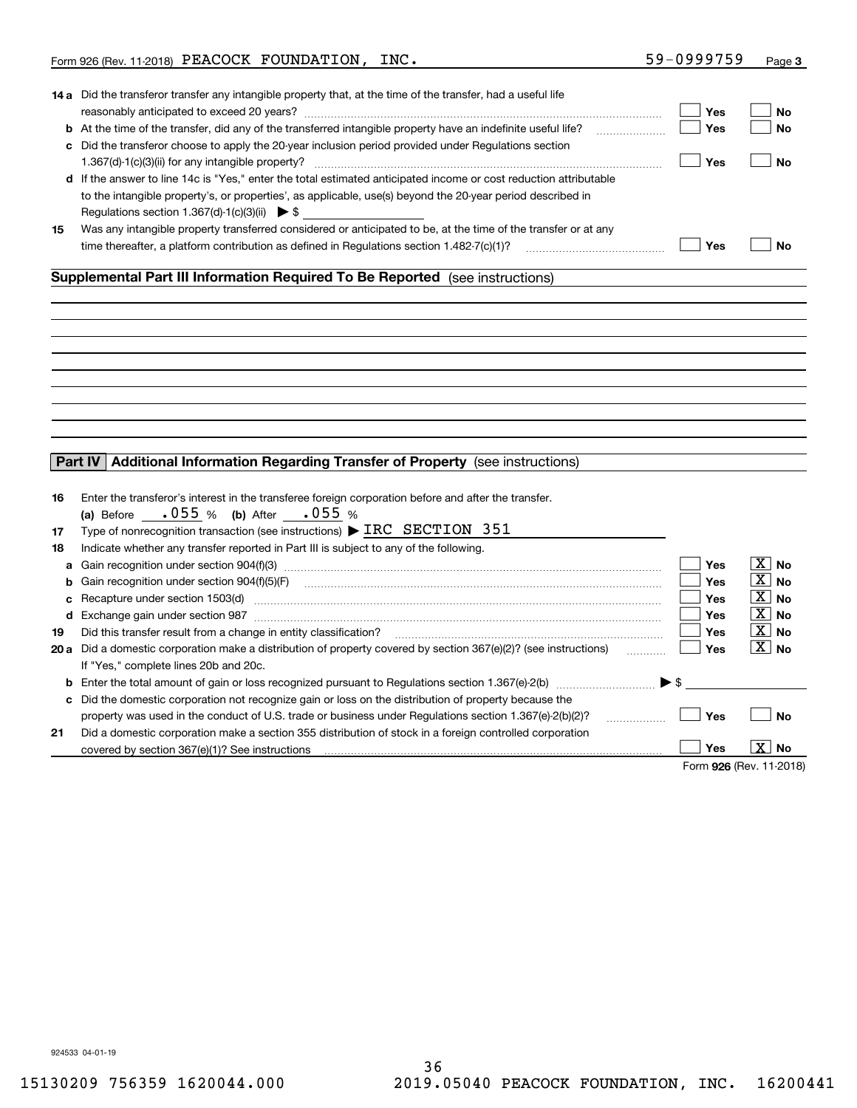|                          | Form 926 (Rev. 11-2018) PEACOCK FOUNDATION, INC.                                                                                                                                                                                                                                                                                                                                                                                                                                                                                                                                                                                                                                                                                                                                                                                      | 59-0999759                                                  | Page 3                                                       |
|--------------------------|---------------------------------------------------------------------------------------------------------------------------------------------------------------------------------------------------------------------------------------------------------------------------------------------------------------------------------------------------------------------------------------------------------------------------------------------------------------------------------------------------------------------------------------------------------------------------------------------------------------------------------------------------------------------------------------------------------------------------------------------------------------------------------------------------------------------------------------|-------------------------------------------------------------|--------------------------------------------------------------|
|                          | 14 a Did the transferor transfer any intangible property that, at the time of the transfer, had a useful life<br><b>b</b> At the time of the transfer, did any of the transferred intangible property have an indefinite useful life?<br>c Did the transferor choose to apply the 20-year inclusion period provided under Regulations section<br>d If the answer to line 14c is "Yes," enter the total estimated anticipated income or cost reduction attributable<br>to the intangible property's, or properties', as applicable, use(s) beyond the 20-year period described in<br>Regulations section 1.367(d)-1(c)(3)(ii) $\triangleright$ \$                                                                                                                                                                                      | Yes<br>Yes<br>Yes                                           | No<br><b>No</b><br><b>No</b>                                 |
| 15                       | Was any intangible property transferred considered or anticipated to be, at the time of the transfer or at any                                                                                                                                                                                                                                                                                                                                                                                                                                                                                                                                                                                                                                                                                                                        | Yes                                                         | <b>No</b>                                                    |
|                          |                                                                                                                                                                                                                                                                                                                                                                                                                                                                                                                                                                                                                                                                                                                                                                                                                                       |                                                             |                                                              |
|                          |                                                                                                                                                                                                                                                                                                                                                                                                                                                                                                                                                                                                                                                                                                                                                                                                                                       |                                                             |                                                              |
| Part IV<br>16            | Additional Information Regarding Transfer of Property (see instructions)<br>Enter the transferor's interest in the transferee foreign corporation before and after the transfer.                                                                                                                                                                                                                                                                                                                                                                                                                                                                                                                                                                                                                                                      |                                                             |                                                              |
| 17<br>18<br>b<br>c<br>19 | • 055 % (b) After • 055 %<br>(a) Before<br>Type of nonrecognition transaction (see instructions) $\blacktriangleright$ IRC SECTION 351<br>Indicate whether any transfer reported in Part III is subject to any of the following.<br>Recapture under section 1503(d) machinesis and content to the content of the content of the content of the content of the content of the content of the content of the content of the content of the content of the content of<br>d Exchange gain under section 987 [11] manufacture is a section 987 [11] manufacture is a section of the section 987<br>Did this transfer result from a change in entity classification?<br><b>20 a</b> Did a domestic corporation make a distribution of property covered by section $367(e)(2)$ ? (see instructions)<br>If "Yes," complete lines 20b and 20c. | Yes<br>Yes<br>Yes<br>Yes<br>Yes<br>Yes<br>1.1.1.1.1.1.1.1.1 | $ X $ No<br>∣X∣No<br>$ X $ No<br>∣X∣No<br>$ X $ No<br>∣X∣ No |
| c<br>21                  | <b>b</b> Enter the total amount of gain or loss recognized pursuant to Regulations section 1.367(e)-2(b) $\ldots$ $\ldots$ $\blacktriangleright$ \$<br>Did the domestic corporation not recognize gain or loss on the distribution of property because the<br>property was used in the conduct of U.S. trade or business under Regulations section 1.367(e)-2(b)(2)?<br>Did a domestic corporation make a section 355 distribution of stock in a foreign controlled corporation                                                                                                                                                                                                                                                                                                                                                       | Yes<br>.                                                    | <b>No</b>                                                    |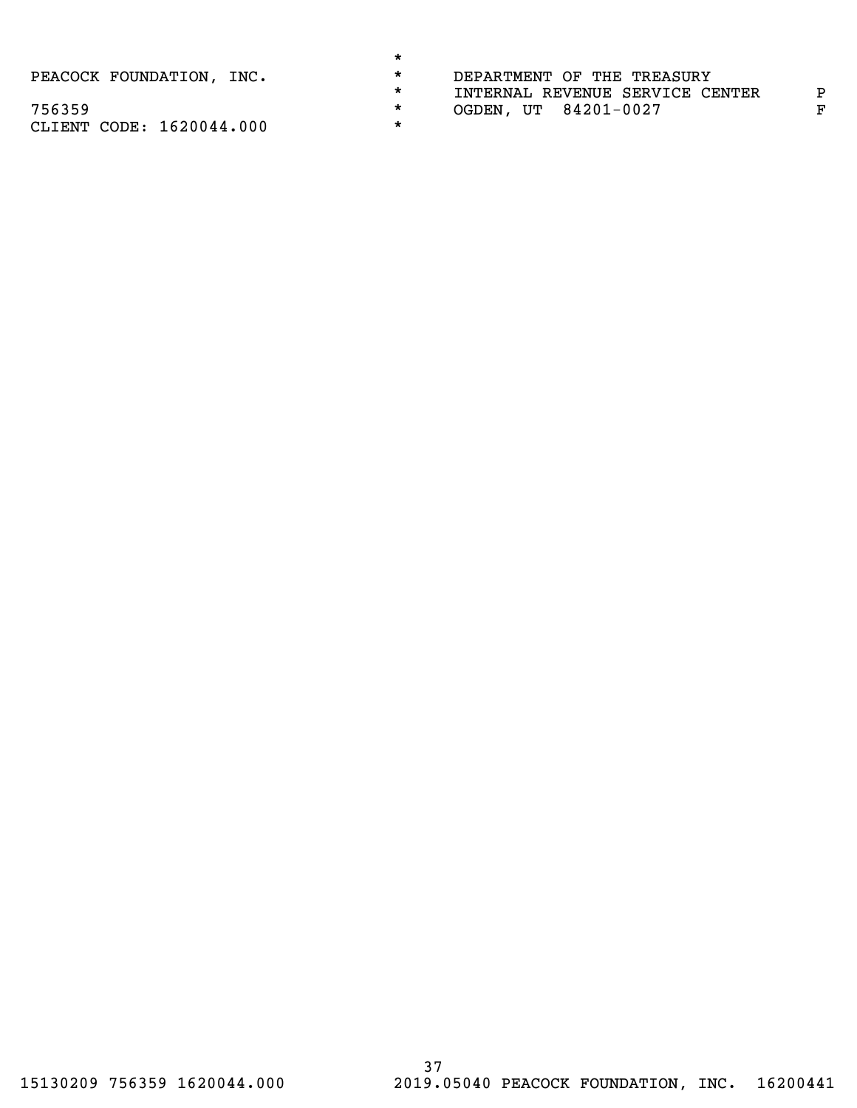PEACOCK FOUNDATION, INC.

| *       |                                 |
|---------|---------------------------------|
| $\star$ | DEPARTMENT OF THE TREASURY      |
| $\star$ | INTERNAL REVENUE SERVICE CENTER |
| $\star$ | OGDEN, UT 84201-0027            |
|         |                                 |

P  $\mathbf F$ 

756359 CLIENT CODE: 1620044.000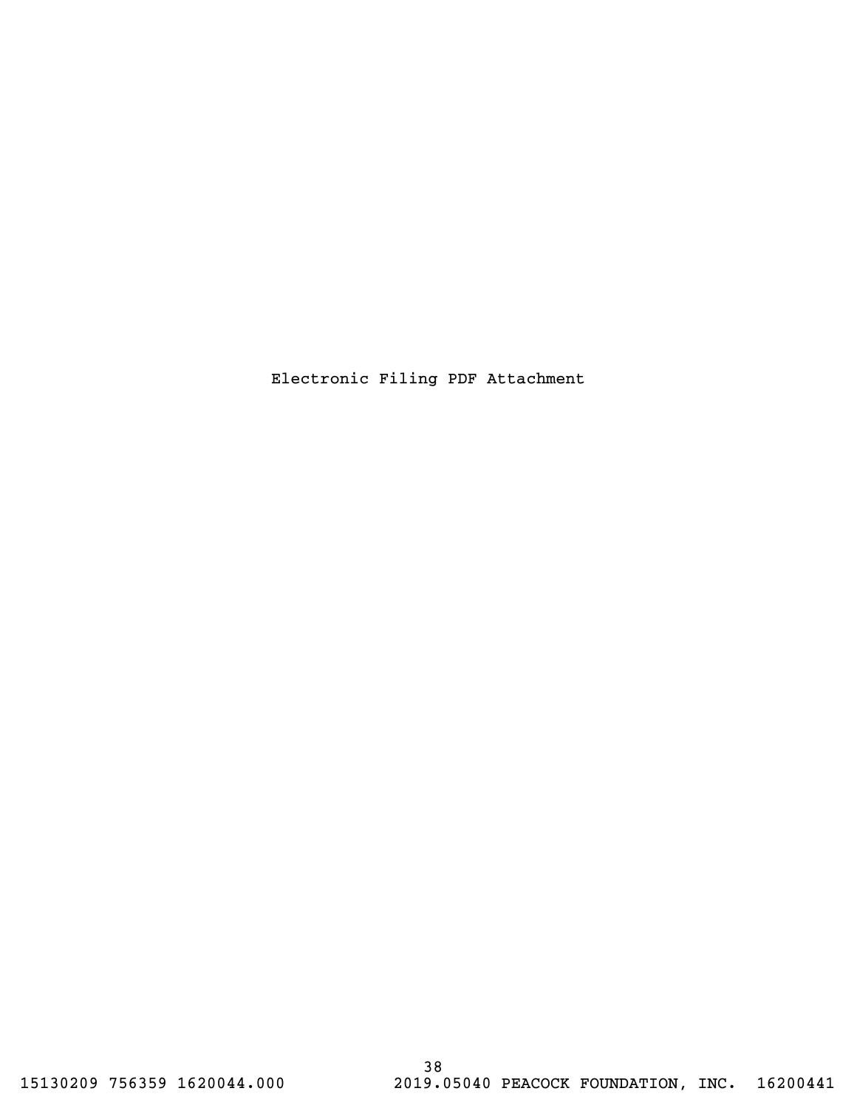Electronic Filing PDF Attachment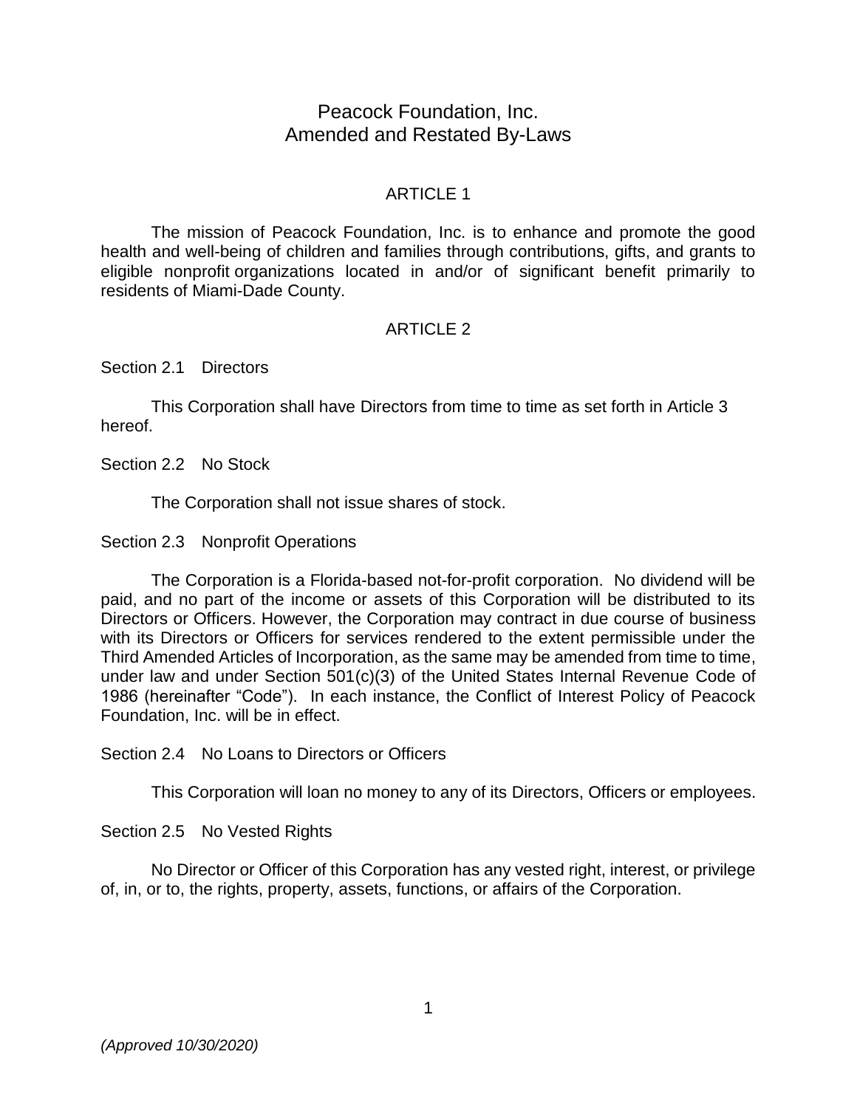# Peacock Foundation, Inc. Amended and Restated By-Laws

## ARTICLE 1

The mission of Peacock Foundation, Inc. is to enhance and promote the good health and well-being of children and families through contributions, gifts, and grants to eligible nonprofit organizations located in and/or of significant benefit primarily to residents of Miami-Dade County.

## ARTICLE 2

Section 2.1 Directors

This Corporation shall have Directors from time to time as set forth in Article 3 hereof.

Section 2.2 No Stock

The Corporation shall not issue shares of stock.

Section 2.3 Nonprofit Operations

The Corporation is a Florida-based not-for-profit corporation. No dividend will be paid, and no part of the income or assets of this Corporation will be distributed to its Directors or Officers. However, the Corporation may contract in due course of business with its Directors or Officers for services rendered to the extent permissible under the Third Amended Articles of Incorporation, as the same may be amended from time to time, under law and under Section 501(c)(3) of the United States Internal Revenue Code of 1986 (hereinafter "Code"). In each instance, the Conflict of Interest Policy of Peacock Foundation, Inc. will be in effect.

Section 2.4 No Loans to Directors or Officers

This Corporation will loan no money to any of its Directors, Officers or employees.

Section 2.5 No Vested Rights

No Director or Officer of this Corporation has any vested right, interest, or privilege of, in, or to, the rights, property, assets, functions, or affairs of the Corporation.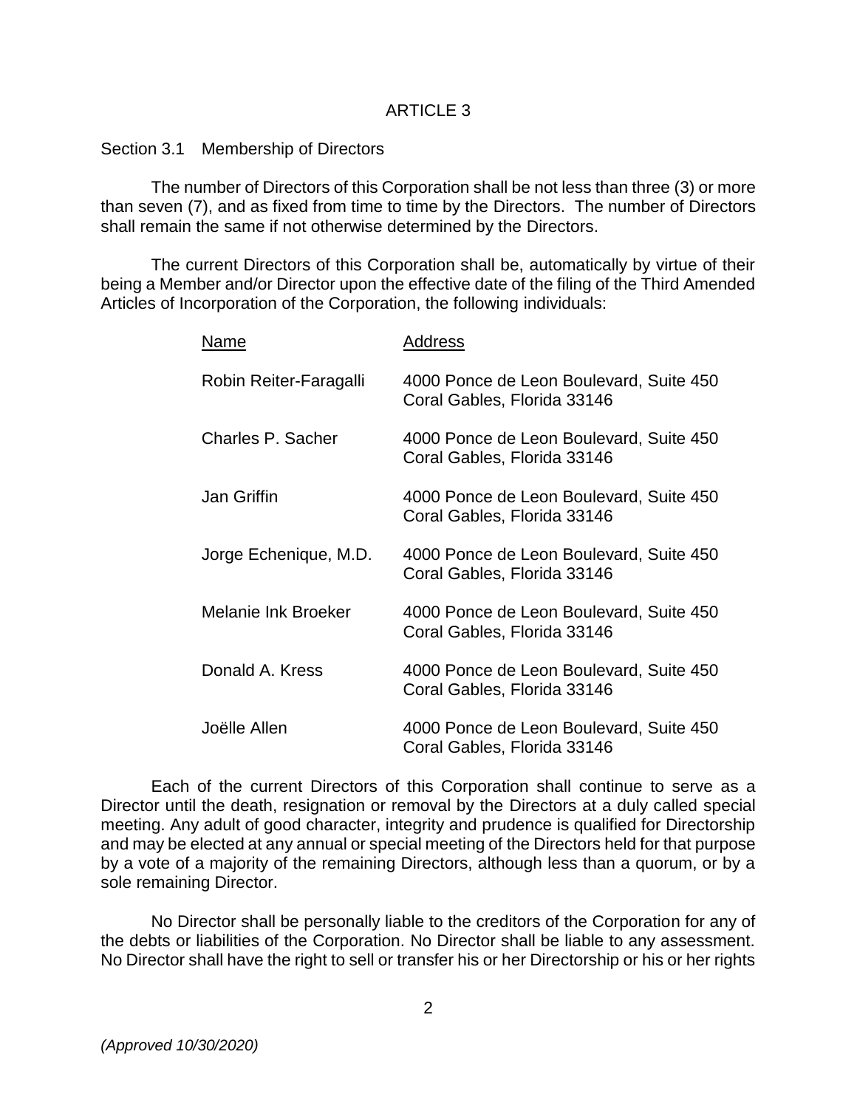### ARTICLE 3

#### Section 3.1 Membership of Directors

The number of Directors of this Corporation shall be not less than three (3) or more than seven (7), and as fixed from time to time by the Directors. The number of Directors shall remain the same if not otherwise determined by the Directors.

The current Directors of this Corporation shall be, automatically by virtue of their being a Member and/or Director upon the effective date of the filing of the Third Amended Articles of Incorporation of the Corporation, the following individuals:

| Name                   | Address                                                                |
|------------------------|------------------------------------------------------------------------|
| Robin Reiter-Faragalli | 4000 Ponce de Leon Boulevard, Suite 450<br>Coral Gables, Florida 33146 |
| Charles P. Sacher      | 4000 Ponce de Leon Boulevard, Suite 450<br>Coral Gables, Florida 33146 |
| Jan Griffin            | 4000 Ponce de Leon Boulevard, Suite 450<br>Coral Gables, Florida 33146 |
| Jorge Echenique, M.D.  | 4000 Ponce de Leon Boulevard, Suite 450<br>Coral Gables, Florida 33146 |
| Melanie Ink Broeker    | 4000 Ponce de Leon Boulevard, Suite 450<br>Coral Gables, Florida 33146 |
| Donald A. Kress        | 4000 Ponce de Leon Boulevard, Suite 450<br>Coral Gables, Florida 33146 |
| Joëlle Allen           | 4000 Ponce de Leon Boulevard, Suite 450<br>Coral Gables, Florida 33146 |

Each of the current Directors of this Corporation shall continue to serve as a Director until the death, resignation or removal by the Directors at a duly called special meeting. Any adult of good character, integrity and prudence is qualified for Directorship and may be elected at any annual or special meeting of the Directors held for that purpose by a vote of a majority of the remaining Directors, although less than a quorum, or by a sole remaining Director.

No Director shall be personally liable to the creditors of the Corporation for any of the debts or liabilities of the Corporation. No Director shall be liable to any assessment. No Director shall have the right to sell or transfer his or her Directorship or his or her rights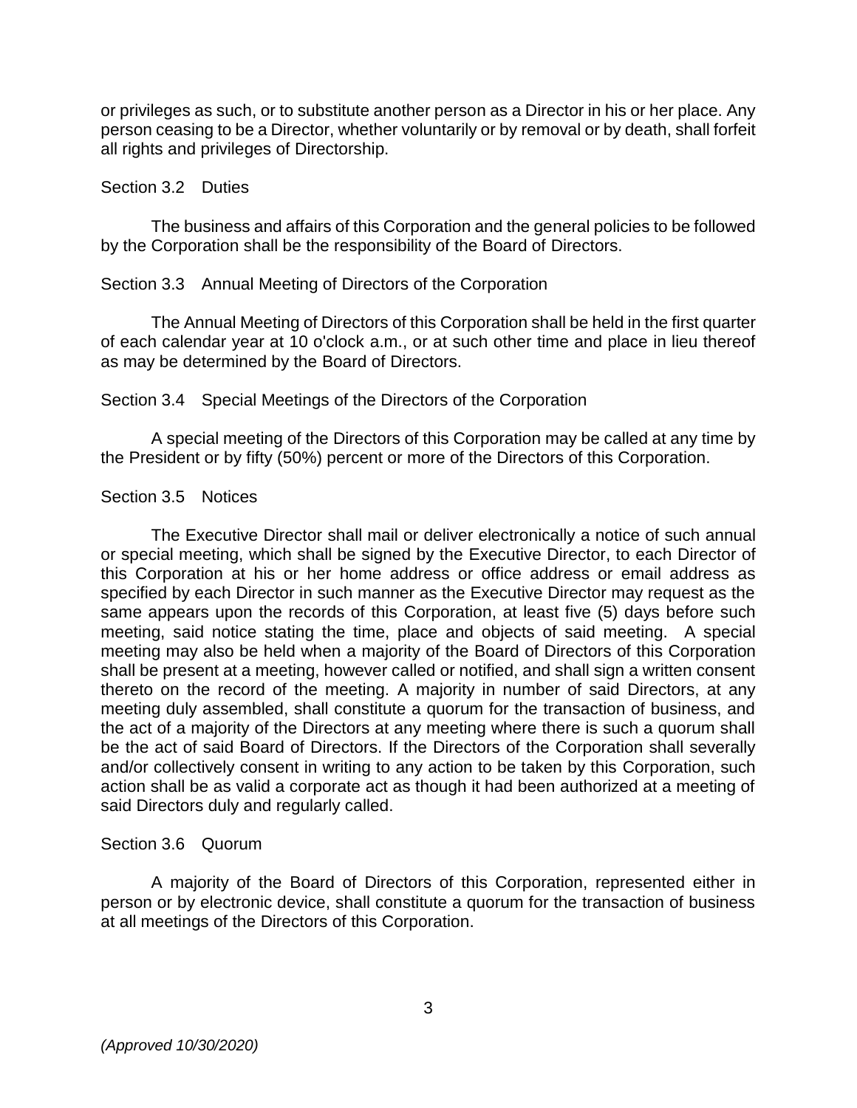or privileges as such, or to substitute another person as a Director in his or her place. Any person ceasing to be a Director, whether voluntarily or by removal or by death, shall forfeit all rights and privileges of Directorship.

#### Section 3.2 Duties

The business and affairs of this Corporation and the general policies to be followed by the Corporation shall be the responsibility of the Board of Directors.

### Section 3.3 Annual Meeting of Directors of the Corporation

The Annual Meeting of Directors of this Corporation shall be held in the first quarter of each calendar year at 10 o'clock a.m., or at such other time and place in lieu thereof as may be determined by the Board of Directors.

### Section 3.4 Special Meetings of the Directors of the Corporation

A special meeting of the Directors of this Corporation may be called at any time by the President or by fifty (50%) percent or more of the Directors of this Corporation.

### Section 3.5 Notices

The Executive Director shall mail or deliver electronically a notice of such annual or special meeting, which shall be signed by the Executive Director, to each Director of this Corporation at his or her home address or office address or email address as specified by each Director in such manner as the Executive Director may request as the same appears upon the records of this Corporation, at least five (5) days before such meeting, said notice stating the time, place and objects of said meeting. A special meeting may also be held when a majority of the Board of Directors of this Corporation shall be present at a meeting, however called or notified, and shall sign a written consent thereto on the record of the meeting. A majority in number of said Directors, at any meeting duly assembled, shall constitute a quorum for the transaction of business, and the act of a majority of the Directors at any meeting where there is such a quorum shall be the act of said Board of Directors. If the Directors of the Corporation shall severally and/or collectively consent in writing to any action to be taken by this Corporation, such action shall be as valid a corporate act as though it had been authorized at a meeting of said Directors duly and regularly called.

#### Section 3.6 Quorum

A majority of the Board of Directors of this Corporation, represented either in person or by electronic device, shall constitute a quorum for the transaction of business at all meetings of the Directors of this Corporation.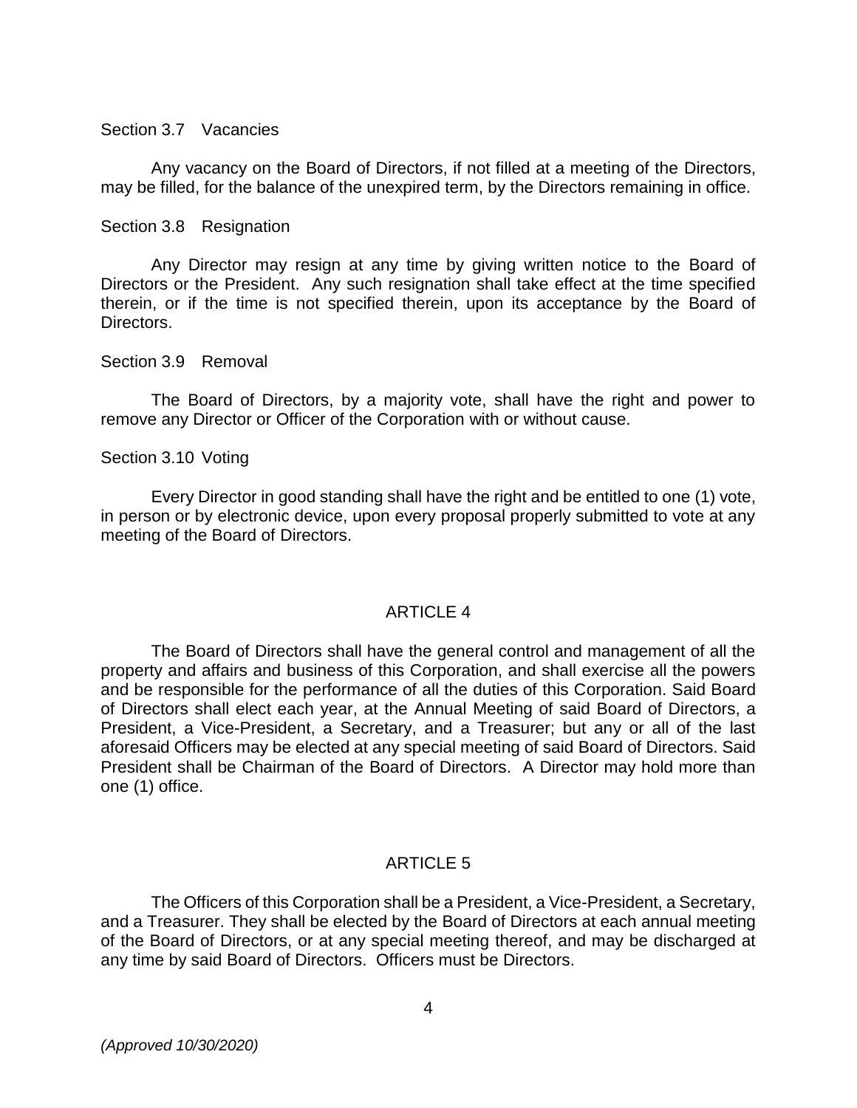#### Section 3.7 Vacancies

Any vacancy on the Board of Directors, if not filled at a meeting of the Directors, may be filled, for the balance of the unexpired term, by the Directors remaining in office.

#### Section 3.8 Resignation

Any Director may resign at any time by giving written notice to the Board of Directors or the President. Any such resignation shall take effect at the time specified therein, or if the time is not specified therein, upon its acceptance by the Board of Directors.

#### Section 3.9 Removal

The Board of Directors, by a majority vote, shall have the right and power to remove any Director or Officer of the Corporation with or without cause.

#### Section 3.10 Voting

Every Director in good standing shall have the right and be entitled to one (1) vote, in person or by electronic device, upon every proposal properly submitted to vote at any meeting of the Board of Directors.

#### ARTICLE 4

The Board of Directors shall have the general control and management of all the property and affairs and business of this Corporation, and shall exercise all the powers and be responsible for the performance of all the duties of this Corporation. Said Board of Directors shall elect each year, at the Annual Meeting of said Board of Directors, a President, a Vice-President, a Secretary, and a Treasurer; but any or all of the last aforesaid Officers may be elected at any special meeting of said Board of Directors. Said President shall be Chairman of the Board of Directors. A Director may hold more than one (1) office.

## ARTICLE 5

The Officers of this Corporation shall be a President, a Vice-President, a Secretary, and a Treasurer. They shall be elected by the Board of Directors at each annual meeting of the Board of Directors, or at any special meeting thereof, and may be discharged at any time by said Board of Directors. Officers must be Directors.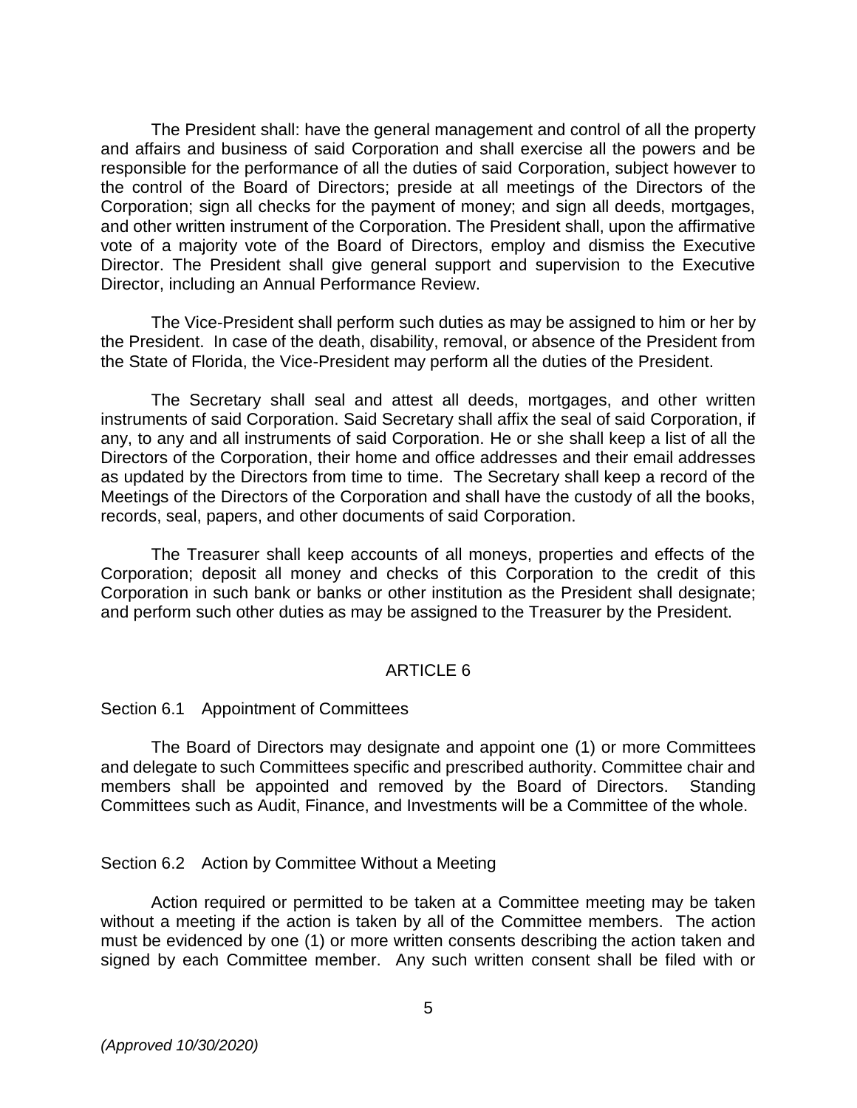The President shall: have the general management and control of all the property and affairs and business of said Corporation and shall exercise all the powers and be responsible for the performance of all the duties of said Corporation, subject however to the control of the Board of Directors; preside at all meetings of the Directors of the Corporation; sign all checks for the payment of money; and sign all deeds, mortgages, and other written instrument of the Corporation. The President shall, upon the affirmative vote of a majority vote of the Board of Directors, employ and dismiss the Executive Director. The President shall give general support and supervision to the Executive Director, including an Annual Performance Review.

 The Vice-President shall perform such duties as may be assigned to him or her by the President. In case of the death, disability, removal, or absence of the President from the State of Florida, the Vice-President may perform all the duties of the President.

 The Secretary shall seal and attest all deeds, mortgages, and other written instruments of said Corporation. Said Secretary shall affix the seal of said Corporation, if any, to any and all instruments of said Corporation. He or she shall keep a list of all the Directors of the Corporation, their home and office addresses and their email addresses as updated by the Directors from time to time. The Secretary shall keep a record of the Meetings of the Directors of the Corporation and shall have the custody of all the books, records, seal, papers, and other documents of said Corporation.

 The Treasurer shall keep accounts of all moneys, properties and effects of the Corporation; deposit all money and checks of this Corporation to the credit of this Corporation in such bank or banks or other institution as the President shall designate; and perform such other duties as may be assigned to the Treasurer by the President.

## ARTICLE 6

#### Section 6.1 Appointment of Committees

The Board of Directors may designate and appoint one (1) or more Committees and delegate to such Committees specific and prescribed authority. Committee chair and members shall be appointed and removed by the Board of Directors. Standing Committees such as Audit, Finance, and Investments will be a Committee of the whole.

#### Section 6.2 Action by Committee Without a Meeting

Action required or permitted to be taken at a Committee meeting may be taken without a meeting if the action is taken by all of the Committee members. The action must be evidenced by one (1) or more written consents describing the action taken and signed by each Committee member. Any such written consent shall be filed with or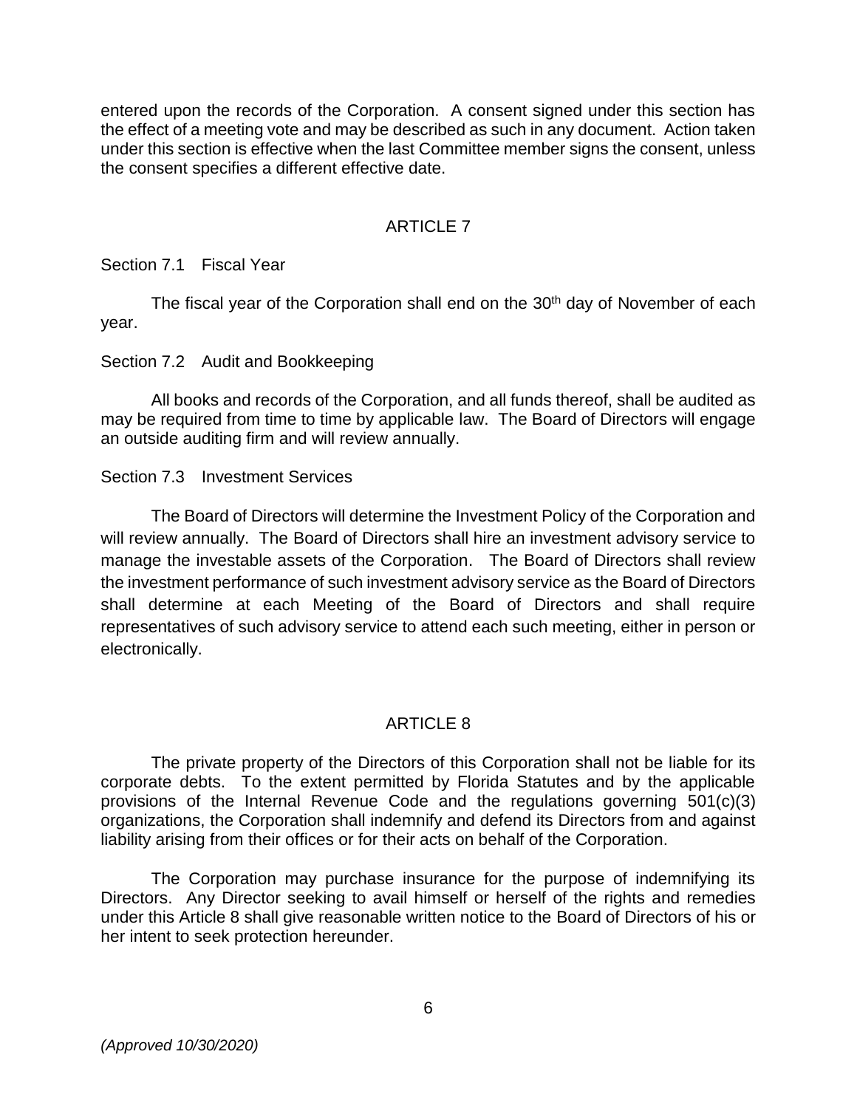entered upon the records of the Corporation. A consent signed under this section has the effect of a meeting vote and may be described as such in any document. Action taken under this section is effective when the last Committee member signs the consent, unless the consent specifies a different effective date.

## ARTICLE 7

Section 7.1 Fiscal Year

The fiscal year of the Corporation shall end on the 30<sup>th</sup> day of November of each year.

## Section 7.2 Audit and Bookkeeping

All books and records of the Corporation, and all funds thereof, shall be audited as may be required from time to time by applicable law. The Board of Directors will engage an outside auditing firm and will review annually.

## Section 7.3 Investment Services

The Board of Directors will determine the Investment Policy of the Corporation and will review annually. The Board of Directors shall hire an investment advisory service to manage the investable assets of the Corporation. The Board of Directors shall review the investment performance of such investment advisory service as the Board of Directors shall determine at each Meeting of the Board of Directors and shall require representatives of such advisory service to attend each such meeting, either in person or electronically.

# ARTICLE 8

The private property of the Directors of this Corporation shall not be liable for its corporate debts. To the extent permitted by Florida Statutes and by the applicable provisions of the Internal Revenue Code and the regulations governing 501(c)(3) organizations, the Corporation shall indemnify and defend its Directors from and against liability arising from their offices or for their acts on behalf of the Corporation.

The Corporation may purchase insurance for the purpose of indemnifying its Directors. Any Director seeking to avail himself or herself of the rights and remedies under this Article 8 shall give reasonable written notice to the Board of Directors of his or her intent to seek protection hereunder.